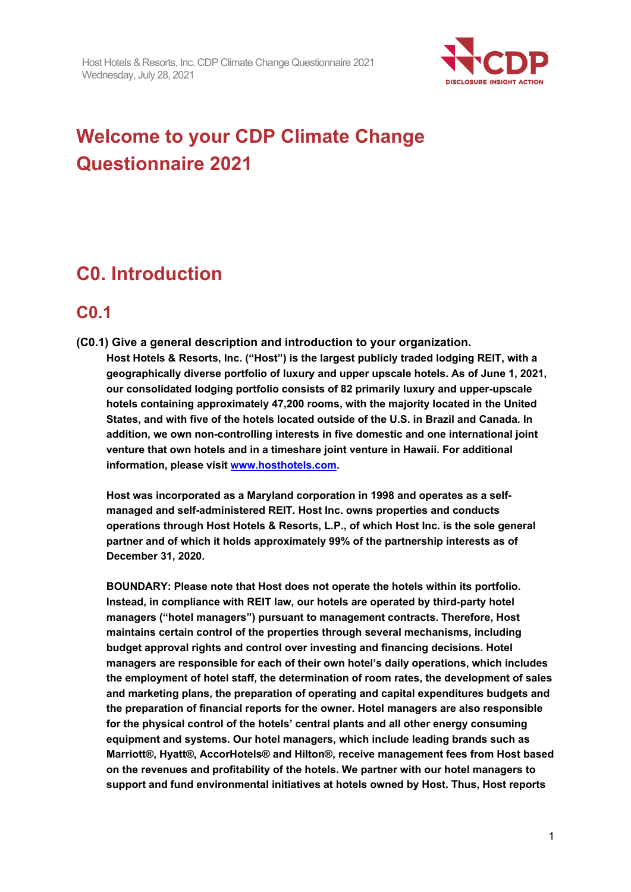

# **Welcome to your CDP Climate Change Questionnaire 2021**

# **C0. Introduction**

## **C0.1**

**(C0.1) Give a general description and introduction to your organization. Host Hotels & Resorts, Inc. ("Host") is the largest publicly traded lodging REIT, with a geographically diverse portfolio of luxury and upper upscale hotels. As of June 1, 2021, our consolidated lodging portfolio consists of 82 primarily luxury and upper-upscale hotels containing approximately 47,200 rooms, with the majority located in the United States, and with five of the hotels located outside of the U.S. in Brazil and Canada. In addition, we own non-controlling interests in five domestic and one international joint venture that own hotels and in a timeshare joint venture in Hawaii. For additional information, please visit [www.hosthotels.com.](http://www.hosthotels.com/)**

**Host was incorporated as a Maryland corporation in 1998 and operates as a selfmanaged and self-administered REIT. Host Inc. owns properties and conducts operations through Host Hotels & Resorts, L.P., of which Host Inc. is the sole general partner and of which it holds approximately 99% of the partnership interests as of December 31, 2020.**

**BOUNDARY: Please note that Host does not operate the hotels within its portfolio. Instead, in compliance with REIT law, our hotels are operated by third-party hotel managers ("hotel managers") pursuant to management contracts. Therefore, Host maintains certain control of the properties through several mechanisms, including budget approval rights and control over investing and financing decisions. Hotel managers are responsible for each of their own hotel's daily operations, which includes the employment of hotel staff, the determination of room rates, the development of sales and marketing plans, the preparation of operating and capital expenditures budgets and the preparation of financial reports for the owner. Hotel managers are also responsible for the physical control of the hotels' central plants and all other energy consuming equipment and systems. Our hotel managers, which include leading brands such as Marriott®, Hyatt®, AccorHotels® and Hilton®, receive management fees from Host based on the revenues and profitability of the hotels. We partner with our hotel managers to support and fund environmental initiatives at hotels owned by Host. Thus, Host reports**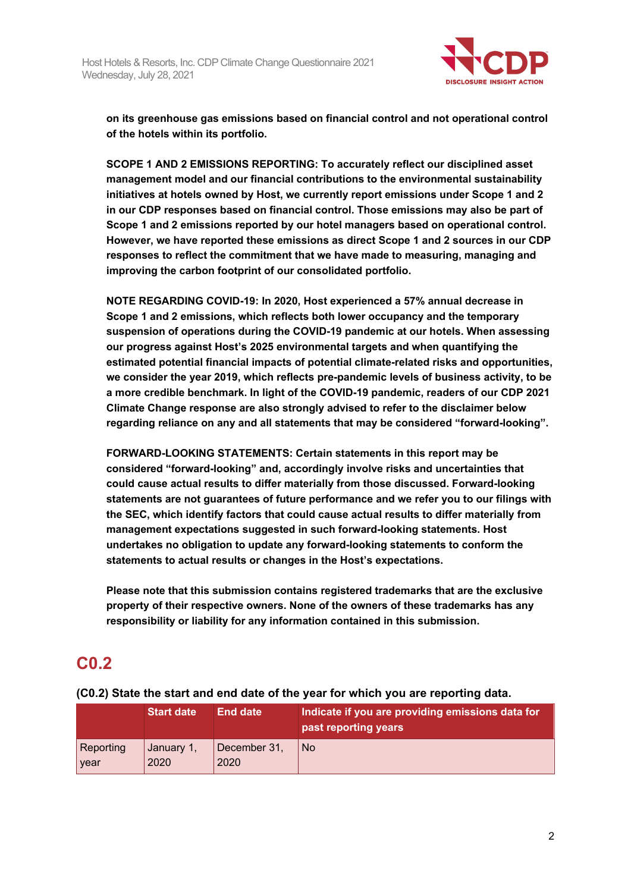

**on its greenhouse gas emissions based on financial control and not operational control of the hotels within its portfolio.**

**SCOPE 1 AND 2 EMISSIONS REPORTING: To accurately reflect our disciplined asset management model and our financial contributions to the environmental sustainability initiatives at hotels owned by Host, we currently report emissions under Scope 1 and 2 in our CDP responses based on financial control. Those emissions may also be part of Scope 1 and 2 emissions reported by our hotel managers based on operational control. However, we have reported these emissions as direct Scope 1 and 2 sources in our CDP responses to reflect the commitment that we have made to measuring, managing and improving the carbon footprint of our consolidated portfolio.**

**NOTE REGARDING COVID-19: In 2020, Host experienced a 57% annual decrease in Scope 1 and 2 emissions, which reflects both lower occupancy and the temporary suspension of operations during the COVID-19 pandemic at our hotels. When assessing our progress against Host's 2025 environmental targets and when quantifying the estimated potential financial impacts of potential climate-related risks and opportunities, we consider the year 2019, which reflects pre-pandemic levels of business activity, to be a more credible benchmark. In light of the COVID-19 pandemic, readers of our CDP 2021 Climate Change response are also strongly advised to refer to the disclaimer below regarding reliance on any and all statements that may be considered "forward-looking".** 

**FORWARD-LOOKING STATEMENTS: Certain statements in this report may be considered "forward-looking" and, accordingly involve risks and uncertainties that could cause actual results to differ materially from those discussed. Forward-looking statements are not guarantees of future performance and we refer you to our filings with the SEC, which identify factors that could cause actual results to differ materially from management expectations suggested in such forward-looking statements. Host undertakes no obligation to update any forward-looking statements to conform the statements to actual results or changes in the Host's expectations.**

**Please note that this submission contains registered trademarks that are the exclusive property of their respective owners. None of the owners of these trademarks has any responsibility or liability for any information contained in this submission.**

## **C0.2**

|                   | <b>Start date</b>  | <b>End date</b>      | Indicate if you are providing emissions data for<br>past reporting years |
|-------------------|--------------------|----------------------|--------------------------------------------------------------------------|
| Reporting<br>year | January 1,<br>2020 | December 31,<br>2020 | l No                                                                     |

## **(C0.2) State the start and end date of the year for which you are reporting data.**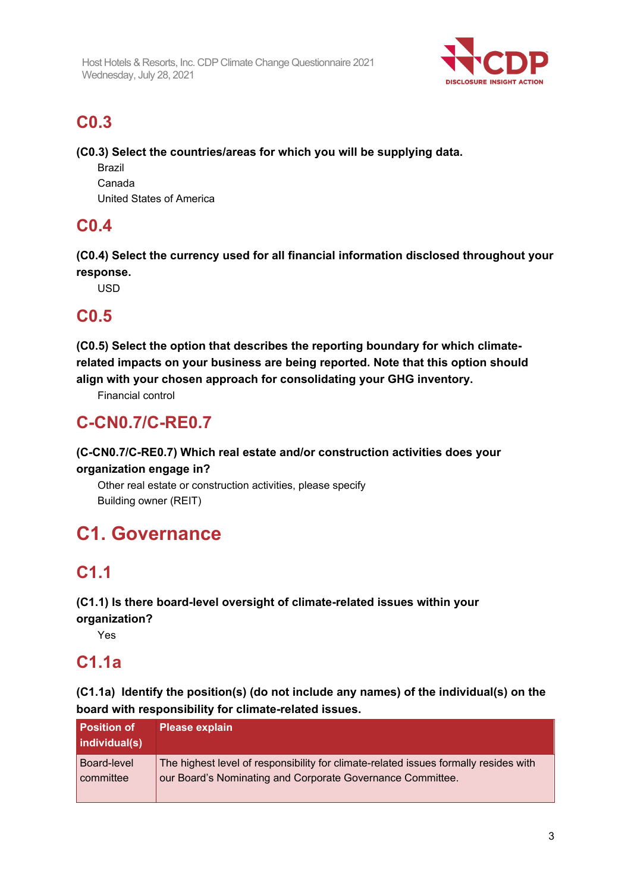

## **C0.3**

**(C0.3) Select the countries/areas for which you will be supplying data.**

Brazil Canada United States of America

# **C0.4**

**(C0.4) Select the currency used for all financial information disclosed throughout your response.**

USD

## **C0.5**

**(C0.5) Select the option that describes the reporting boundary for which climaterelated impacts on your business are being reported. Note that this option should align with your chosen approach for consolidating your GHG inventory.**

Financial control

## **C-CN0.7/C-RE0.7**

## **(C-CN0.7/C-RE0.7) Which real estate and/or construction activities does your organization engage in?**

Other real estate or construction activities, please specify Building owner (REIT)

# **C1. Governance**

# **C1.1**

**(C1.1) Is there board-level oversight of climate-related issues within your organization?**

Yes

## **C1.1a**

**(C1.1a) Identify the position(s) (do not include any names) of the individual(s) on the board with responsibility for climate-related issues.**

| Position of<br>individual(s) | <b>Please explain</b>                                                                |
|------------------------------|--------------------------------------------------------------------------------------|
| <b>Board-level</b>           | The highest level of responsibility for climate-related issues formally resides with |
| committee                    | our Board's Nominating and Corporate Governance Committee.                           |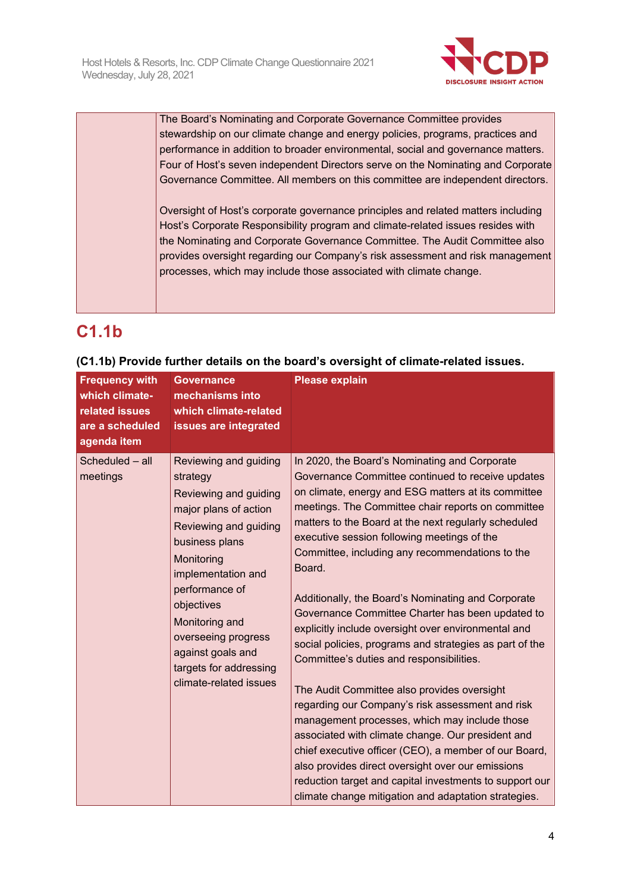

The Board's Nominating and Corporate Governance Committee provides stewardship on our climate change and energy policies, programs, practices and performance in addition to broader environmental, social and governance matters. Four of Host's seven independent Directors serve on the Nominating and Corporate Governance Committee. All members on this committee are independent directors.

Oversight of Host's corporate governance principles and related matters including Host's Corporate Responsibility program and climate-related issues resides with the Nominating and Corporate Governance Committee. The Audit Committee also provides oversight regarding our Company's risk assessment and risk management processes, which may include those associated with climate change.

## **C1.1b**

| <b>Frequency with</b><br>which climate-<br>related issues<br>are a scheduled<br>agenda item | <b>Governance</b><br>mechanisms into<br>which climate-related<br>issues are integrated                                                                                                                                                                                                                               | <b>Please explain</b>                                                                                                                                                                                                                                                                                                                                                                                                                                                                                                                                                                                                                                                                                                                                                                                                                                                                                                                                                                                                                                                                                 |
|---------------------------------------------------------------------------------------------|----------------------------------------------------------------------------------------------------------------------------------------------------------------------------------------------------------------------------------------------------------------------------------------------------------------------|-------------------------------------------------------------------------------------------------------------------------------------------------------------------------------------------------------------------------------------------------------------------------------------------------------------------------------------------------------------------------------------------------------------------------------------------------------------------------------------------------------------------------------------------------------------------------------------------------------------------------------------------------------------------------------------------------------------------------------------------------------------------------------------------------------------------------------------------------------------------------------------------------------------------------------------------------------------------------------------------------------------------------------------------------------------------------------------------------------|
| Scheduled - all<br>meetings                                                                 | Reviewing and guiding<br>strategy<br>Reviewing and guiding<br>major plans of action<br>Reviewing and guiding<br>business plans<br>Monitoring<br>implementation and<br>performance of<br>objectives<br>Monitoring and<br>overseeing progress<br>against goals and<br>targets for addressing<br>climate-related issues | In 2020, the Board's Nominating and Corporate<br>Governance Committee continued to receive updates<br>on climate, energy and ESG matters at its committee<br>meetings. The Committee chair reports on committee<br>matters to the Board at the next regularly scheduled<br>executive session following meetings of the<br>Committee, including any recommendations to the<br>Board.<br>Additionally, the Board's Nominating and Corporate<br>Governance Committee Charter has been updated to<br>explicitly include oversight over environmental and<br>social policies, programs and strategies as part of the<br>Committee's duties and responsibilities.<br>The Audit Committee also provides oversight<br>regarding our Company's risk assessment and risk<br>management processes, which may include those<br>associated with climate change. Our president and<br>chief executive officer (CEO), a member of our Board,<br>also provides direct oversight over our emissions<br>reduction target and capital investments to support our<br>climate change mitigation and adaptation strategies. |

## **(C1.1b) Provide further details on the board's oversight of climate-related issues.**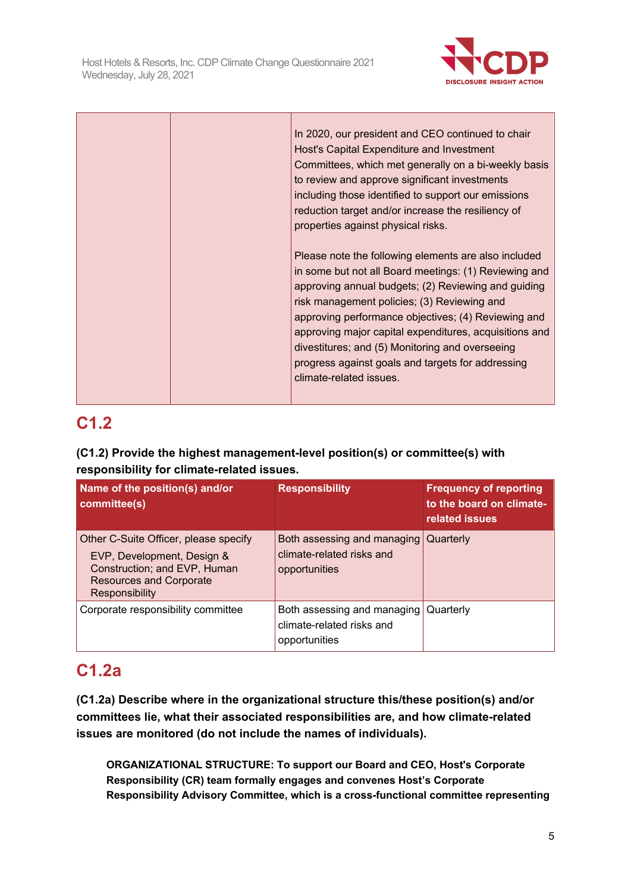

|  | In 2020, our president and CEO continued to chair<br>Host's Capital Expenditure and Investment<br>Committees, which met generally on a bi-weekly basis<br>to review and approve significant investments<br>including those identified to support our emissions<br>reduction target and/or increase the resiliency of<br>properties against physical risks.                                                                                                              |
|--|-------------------------------------------------------------------------------------------------------------------------------------------------------------------------------------------------------------------------------------------------------------------------------------------------------------------------------------------------------------------------------------------------------------------------------------------------------------------------|
|  | Please note the following elements are also included<br>in some but not all Board meetings: (1) Reviewing and<br>approving annual budgets; (2) Reviewing and guiding<br>risk management policies; (3) Reviewing and<br>approving performance objectives; (4) Reviewing and<br>approving major capital expenditures, acquisitions and<br>divestitures; and (5) Monitoring and overseeing<br>progress against goals and targets for addressing<br>climate-related issues. |

# **C1.2**

## **(C1.2) Provide the highest management-level position(s) or committee(s) with responsibility for climate-related issues.**

| Name of the position(s) and/or<br>committee(s)                                                                                                          | <b>Responsibility</b>                                                     | <b>Frequency of reporting</b><br>to the board on climate-<br>related issues |
|---------------------------------------------------------------------------------------------------------------------------------------------------------|---------------------------------------------------------------------------|-----------------------------------------------------------------------------|
| Other C-Suite Officer, please specify<br>EVP, Development, Design &<br>Construction; and EVP, Human<br><b>Resources and Corporate</b><br>Responsibility | Both assessing and managing<br>climate-related risks and<br>opportunities | Quarterly                                                                   |
| Corporate responsibility committee                                                                                                                      | Both assessing and managing<br>climate-related risks and<br>opportunities | Quarterly                                                                   |

## **C1.2a**

**(C1.2a) Describe where in the organizational structure this/these position(s) and/or committees lie, what their associated responsibilities are, and how climate-related issues are monitored (do not include the names of individuals).**

**ORGANIZATIONAL STRUCTURE: To support our Board and CEO, Host's Corporate Responsibility (CR) team formally engages and convenes Host's Corporate Responsibility Advisory Committee, which is a cross-functional committee representing**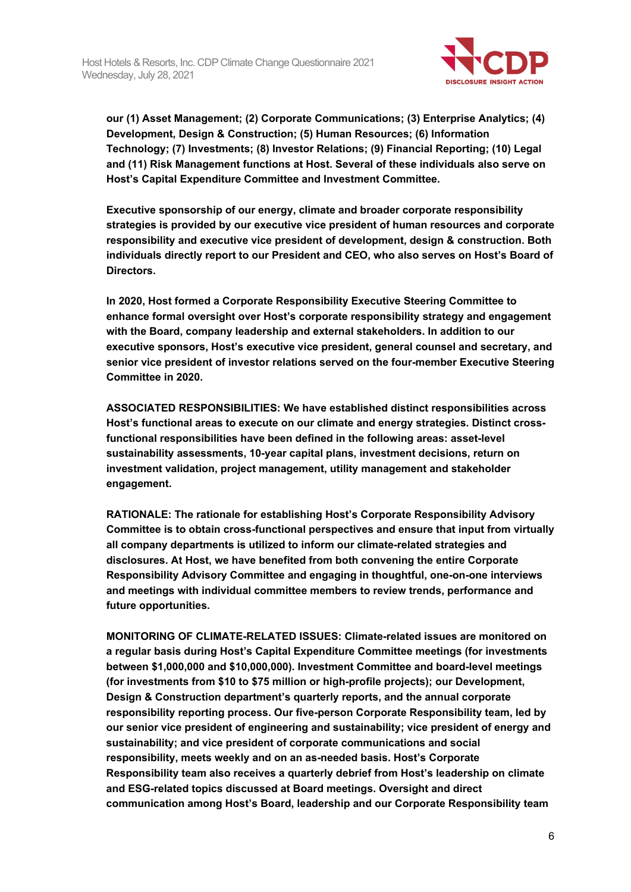

**our (1) Asset Management; (2) Corporate Communications; (3) Enterprise Analytics; (4) Development, Design & Construction; (5) Human Resources; (6) Information Technology; (7) Investments; (8) Investor Relations; (9) Financial Reporting; (10) Legal and (11) Risk Management functions at Host. Several of these individuals also serve on Host's Capital Expenditure Committee and Investment Committee.**

**Executive sponsorship of our energy, climate and broader corporate responsibility strategies is provided by our executive vice president of human resources and corporate responsibility and executive vice president of development, design & construction. Both individuals directly report to our President and CEO, who also serves on Host's Board of Directors.**

**In 2020, Host formed a Corporate Responsibility Executive Steering Committee to enhance formal oversight over Host's corporate responsibility strategy and engagement with the Board, company leadership and external stakeholders. In addition to our executive sponsors, Host's executive vice president, general counsel and secretary, and senior vice president of investor relations served on the four-member Executive Steering Committee in 2020.**

**ASSOCIATED RESPONSIBILITIES: We have established distinct responsibilities across Host's functional areas to execute on our climate and energy strategies. Distinct crossfunctional responsibilities have been defined in the following areas: asset-level sustainability assessments, 10-year capital plans, investment decisions, return on investment validation, project management, utility management and stakeholder engagement.**

**RATIONALE: The rationale for establishing Host's Corporate Responsibility Advisory Committee is to obtain cross-functional perspectives and ensure that input from virtually all company departments is utilized to inform our climate-related strategies and disclosures. At Host, we have benefited from both convening the entire Corporate Responsibility Advisory Committee and engaging in thoughtful, one-on-one interviews and meetings with individual committee members to review trends, performance and future opportunities.**

**MONITORING OF CLIMATE-RELATED ISSUES: Climate-related issues are monitored on a regular basis during Host's Capital Expenditure Committee meetings (for investments between \$1,000,000 and \$10,000,000). Investment Committee and board-level meetings (for investments from \$10 to \$75 million or high-profile projects); our Development, Design & Construction department's quarterly reports, and the annual corporate responsibility reporting process. Our five-person Corporate Responsibility team, led by our senior vice president of engineering and sustainability; vice president of energy and sustainability; and vice president of corporate communications and social responsibility, meets weekly and on an as-needed basis. Host's Corporate Responsibility team also receives a quarterly debrief from Host's leadership on climate and ESG-related topics discussed at Board meetings. Oversight and direct communication among Host's Board, leadership and our Corporate Responsibility team**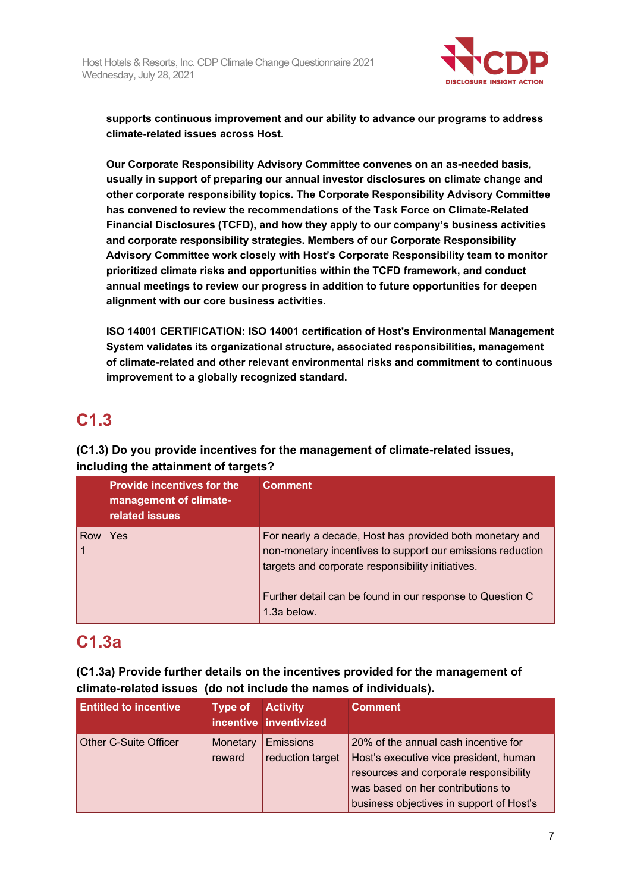

**supports continuous improvement and our ability to advance our programs to address climate-related issues across Host.**

**Our Corporate Responsibility Advisory Committee convenes on an as-needed basis, usually in support of preparing our annual investor disclosures on climate change and other corporate responsibility topics. The Corporate Responsibility Advisory Committee has convened to review the recommendations of the Task Force on Climate-Related Financial Disclosures (TCFD), and how they apply to our company's business activities and corporate responsibility strategies. Members of our Corporate Responsibility Advisory Committee work closely with Host's Corporate Responsibility team to monitor prioritized climate risks and opportunities within the TCFD framework, and conduct annual meetings to review our progress in addition to future opportunities for deepen alignment with our core business activities.**

**ISO 14001 CERTIFICATION: ISO 14001 certification of Host's Environmental Management System validates its organizational structure, associated responsibilities, management of climate-related and other relevant environmental risks and commitment to continuous improvement to a globally recognized standard.**

# **C1.3**

**(C1.3) Do you provide incentives for the management of climate-related issues, including the attainment of targets?**

|     | <b>Provide incentives for the</b><br>management of climate-<br>related issues | <b>Comment</b>                                                                                                                                                              |
|-----|-------------------------------------------------------------------------------|-----------------------------------------------------------------------------------------------------------------------------------------------------------------------------|
| Row | Yes                                                                           | For nearly a decade, Host has provided both monetary and<br>non-monetary incentives to support our emissions reduction<br>targets and corporate responsibility initiatives. |
|     |                                                                               | Further detail can be found in our response to Question C<br>1.3a below.                                                                                                    |

## **C1.3a**

**(C1.3a) Provide further details on the incentives provided for the management of climate-related issues (do not include the names of individuals).**

| <b>Entitled to incentive</b> | Type of $\mathsf{I}$ | <b>Activity</b><br>incentive inventivized | <b>Comment</b>                                                                                                                                                                                            |
|------------------------------|----------------------|-------------------------------------------|-----------------------------------------------------------------------------------------------------------------------------------------------------------------------------------------------------------|
| Other C-Suite Officer        | Monetary<br>reward   | <b>Emissions</b><br>reduction target      | 20% of the annual cash incentive for<br>Host's executive vice president, human<br>resources and corporate responsibility<br>was based on her contributions to<br>business objectives in support of Host's |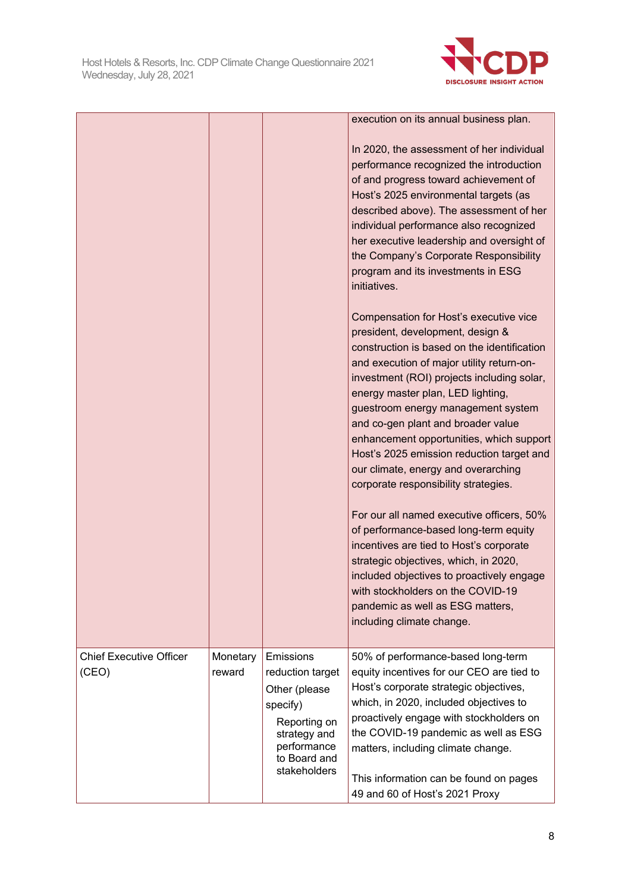

|                                |          |                                             | execution on its annual business plan.<br>In 2020, the assessment of her individual<br>performance recognized the introduction<br>of and progress toward achievement of<br>Host's 2025 environmental targets (as<br>described above). The assessment of her<br>individual performance also recognized<br>her executive leadership and oversight of<br>the Company's Corporate Responsibility<br>program and its investments in ESG<br>initiatives.<br>Compensation for Host's executive vice<br>president, development, design &<br>construction is based on the identification<br>and execution of major utility return-on-<br>investment (ROI) projects including solar,<br>energy master plan, LED lighting,<br>guestroom energy management system |
|--------------------------------|----------|---------------------------------------------|-------------------------------------------------------------------------------------------------------------------------------------------------------------------------------------------------------------------------------------------------------------------------------------------------------------------------------------------------------------------------------------------------------------------------------------------------------------------------------------------------------------------------------------------------------------------------------------------------------------------------------------------------------------------------------------------------------------------------------------------------------|
|                                |          |                                             | and co-gen plant and broader value<br>enhancement opportunities, which support<br>Host's 2025 emission reduction target and<br>our climate, energy and overarching<br>corporate responsibility strategies.                                                                                                                                                                                                                                                                                                                                                                                                                                                                                                                                            |
|                                |          |                                             | For our all named executive officers, 50%<br>of performance-based long-term equity<br>incentives are tied to Host's corporate<br>strategic objectives, which, in 2020,<br>included objectives to proactively engage<br>with stockholders on the COVID-19<br>pandemic as well as ESG matters,<br>including climate change.                                                                                                                                                                                                                                                                                                                                                                                                                             |
| <b>Chief Executive Officer</b> | Monetary | <b>Emissions</b>                            | 50% of performance-based long-term                                                                                                                                                                                                                                                                                                                                                                                                                                                                                                                                                                                                                                                                                                                    |
| (CEO)                          | reward   | reduction target                            | equity incentives for our CEO are tied to                                                                                                                                                                                                                                                                                                                                                                                                                                                                                                                                                                                                                                                                                                             |
|                                |          | Other (please<br>specify)                   | Host's corporate strategic objectives,<br>which, in 2020, included objectives to                                                                                                                                                                                                                                                                                                                                                                                                                                                                                                                                                                                                                                                                      |
|                                |          | Reporting on                                | proactively engage with stockholders on                                                                                                                                                                                                                                                                                                                                                                                                                                                                                                                                                                                                                                                                                                               |
|                                |          | strategy and                                | the COVID-19 pandemic as well as ESG                                                                                                                                                                                                                                                                                                                                                                                                                                                                                                                                                                                                                                                                                                                  |
|                                |          | performance<br>to Board and<br>stakeholders | matters, including climate change.                                                                                                                                                                                                                                                                                                                                                                                                                                                                                                                                                                                                                                                                                                                    |
|                                |          |                                             | This information can be found on pages<br>49 and 60 of Host's 2021 Proxy                                                                                                                                                                                                                                                                                                                                                                                                                                                                                                                                                                                                                                                                              |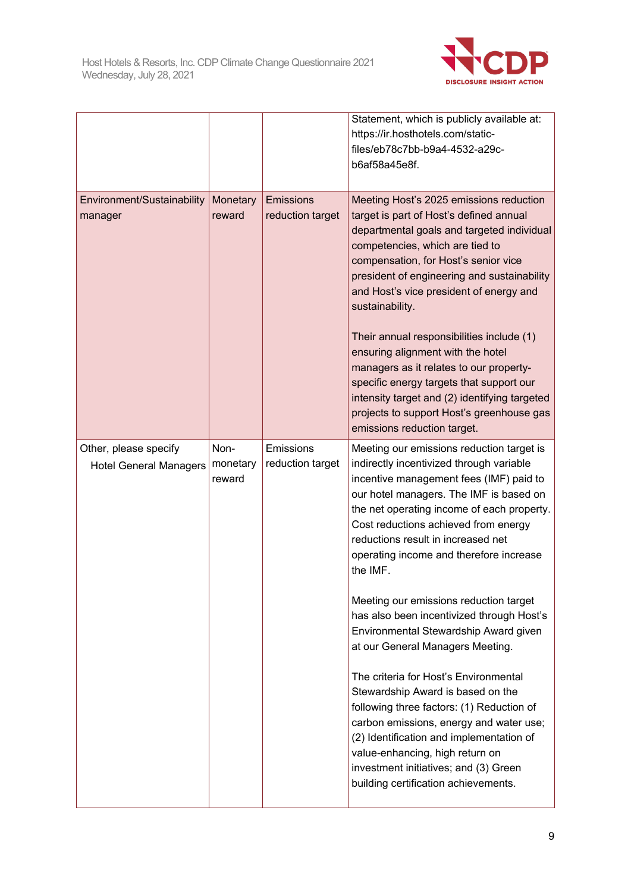

|                                                        |                            |                                      | Statement, which is publicly available at:<br>https://ir.hosthotels.com/static-<br>files/eb78c7bb-b9a4-4532-a29c-<br>b6af58a45e8f.                                                                                                                                                                                                                                                                                                                                                                                                                                                                                                                                                                                                                                                                                                                                       |
|--------------------------------------------------------|----------------------------|--------------------------------------|--------------------------------------------------------------------------------------------------------------------------------------------------------------------------------------------------------------------------------------------------------------------------------------------------------------------------------------------------------------------------------------------------------------------------------------------------------------------------------------------------------------------------------------------------------------------------------------------------------------------------------------------------------------------------------------------------------------------------------------------------------------------------------------------------------------------------------------------------------------------------|
| Environment/Sustainability<br>manager                  | Monetary<br>reward         | <b>Emissions</b><br>reduction target | Meeting Host's 2025 emissions reduction<br>target is part of Host's defined annual<br>departmental goals and targeted individual<br>competencies, which are tied to<br>compensation, for Host's senior vice<br>president of engineering and sustainability<br>and Host's vice president of energy and<br>sustainability.<br>Their annual responsibilities include (1)<br>ensuring alignment with the hotel<br>managers as it relates to our property-<br>specific energy targets that support our<br>intensity target and (2) identifying targeted<br>projects to support Host's greenhouse gas<br>emissions reduction target.                                                                                                                                                                                                                                           |
| Other, please specify<br><b>Hotel General Managers</b> | Non-<br>monetary<br>reward | Emissions<br>reduction target        | Meeting our emissions reduction target is<br>indirectly incentivized through variable<br>incentive management fees (IMF) paid to<br>our hotel managers. The IMF is based on<br>the net operating income of each property.<br>Cost reductions achieved from energy<br>reductions result in increased net<br>operating income and therefore increase<br>the IMF.<br>Meeting our emissions reduction target<br>has also been incentivized through Host's<br>Environmental Stewardship Award given<br>at our General Managers Meeting.<br>The criteria for Host's Environmental<br>Stewardship Award is based on the<br>following three factors: (1) Reduction of<br>carbon emissions, energy and water use;<br>(2) Identification and implementation of<br>value-enhancing, high return on<br>investment initiatives; and (3) Green<br>building certification achievements. |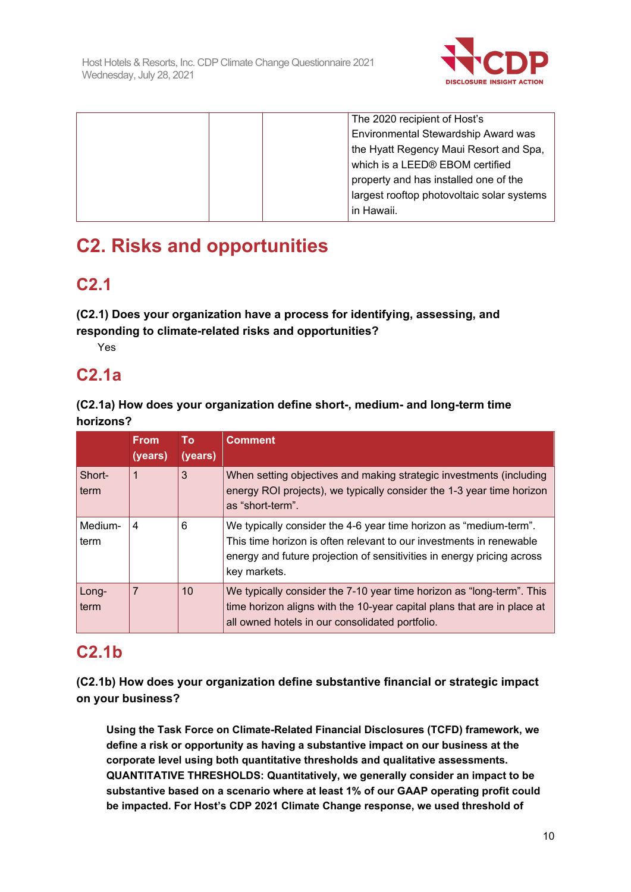

|  |  | The 2020 recipient of Host's               |
|--|--|--------------------------------------------|
|  |  | Environmental Stewardship Award was        |
|  |  | the Hyatt Regency Maui Resort and Spa,     |
|  |  | which is a LEED® EBOM certified            |
|  |  | property and has installed one of the      |
|  |  | largest rooftop photovoltaic solar systems |
|  |  | in Hawaii.                                 |
|  |  |                                            |

# **C2. Risks and opportunities**

## **C2.1**

**(C2.1) Does your organization have a process for identifying, assessing, and responding to climate-related risks and opportunities?**

Yes

## **C2.1a**

## **(C2.1a) How does your organization define short-, medium- and long-term time horizons?**

|                 | <b>From</b><br>(years) | To:<br>(years) | <b>Comment</b>                                                                                                                                                                                                                     |
|-----------------|------------------------|----------------|------------------------------------------------------------------------------------------------------------------------------------------------------------------------------------------------------------------------------------|
| Short-<br>term  | 1                      | 3              | When setting objectives and making strategic investments (including<br>energy ROI projects), we typically consider the 1-3 year time horizon<br>as "short-term".                                                                   |
| Medium-<br>term | 4                      | 6              | We typically consider the 4-6 year time horizon as "medium-term".<br>This time horizon is often relevant to our investments in renewable<br>energy and future projection of sensitivities in energy pricing across<br>key markets. |
| Long-<br>term   | 7                      | 10             | We typically consider the 7-10 year time horizon as "long-term". This<br>time horizon aligns with the 10-year capital plans that are in place at<br>all owned hotels in our consolidated portfolio.                                |

## **C2.1b**

**(C2.1b) How does your organization define substantive financial or strategic impact on your business?**

**Using the Task Force on Climate-Related Financial Disclosures (TCFD) framework, we define a risk or opportunity as having a substantive impact on our business at the corporate level using both quantitative thresholds and qualitative assessments. QUANTITATIVE THRESHOLDS: Quantitatively, we generally consider an impact to be substantive based on a scenario where at least 1% of our GAAP operating profit could be impacted. For Host's CDP 2021 Climate Change response, we used threshold of**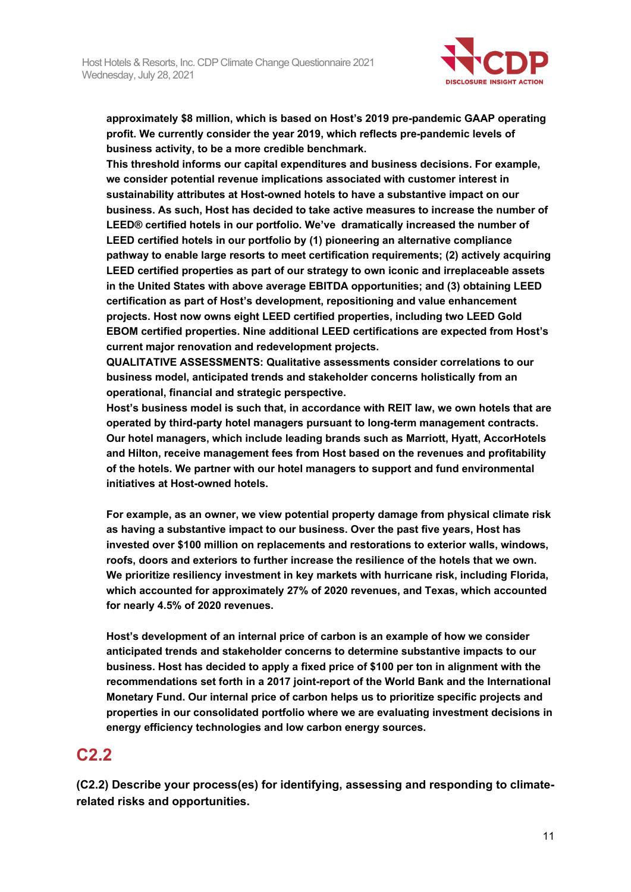

**approximately \$8 million, which is based on Host's 2019 pre-pandemic GAAP operating profit. We currently consider the year 2019, which reflects pre-pandemic levels of business activity, to be a more credible benchmark.**

**This threshold informs our capital expenditures and business decisions. For example, we consider potential revenue implications associated with customer interest in sustainability attributes at Host-owned hotels to have a substantive impact on our business. As such, Host has decided to take active measures to increase the number of LEED® certified hotels in our portfolio. We've dramatically increased the number of LEED certified hotels in our portfolio by (1) pioneering an alternative compliance pathway to enable large resorts to meet certification requirements; (2) actively acquiring LEED certified properties as part of our strategy to own iconic and irreplaceable assets in the United States with above average EBITDA opportunities; and (3) obtaining LEED certification as part of Host's development, repositioning and value enhancement projects. Host now owns eight LEED certified properties, including two LEED Gold EBOM certified properties. Nine additional LEED certifications are expected from Host's current major renovation and redevelopment projects.**

**QUALITATIVE ASSESSMENTS: Qualitative assessments consider correlations to our business model, anticipated trends and stakeholder concerns holistically from an operational, financial and strategic perspective.**

**Host's business model is such that, in accordance with REIT law, we own hotels that are operated by third-party hotel managers pursuant to long-term management contracts. Our hotel managers, which include leading brands such as Marriott, Hyatt, AccorHotels and Hilton, receive management fees from Host based on the revenues and profitability of the hotels. We partner with our hotel managers to support and fund environmental initiatives at Host-owned hotels.**

**For example, as an owner, we view potential property damage from physical climate risk as having a substantive impact to our business. Over the past five years, Host has invested over \$100 million on replacements and restorations to exterior walls, windows, roofs, doors and exteriors to further increase the resilience of the hotels that we own. We prioritize resiliency investment in key markets with hurricane risk, including Florida, which accounted for approximately 27% of 2020 revenues, and Texas, which accounted for nearly 4.5% of 2020 revenues.**

**Host's development of an internal price of carbon is an example of how we consider anticipated trends and stakeholder concerns to determine substantive impacts to our business. Host has decided to apply a fixed price of \$100 per ton in alignment with the recommendations set forth in a 2017 joint-report of the World Bank and the International Monetary Fund. Our internal price of carbon helps us to prioritize specific projects and properties in our consolidated portfolio where we are evaluating investment decisions in energy efficiency technologies and low carbon energy sources.**

## **C2.2**

**(C2.2) Describe your process(es) for identifying, assessing and responding to climaterelated risks and opportunities.**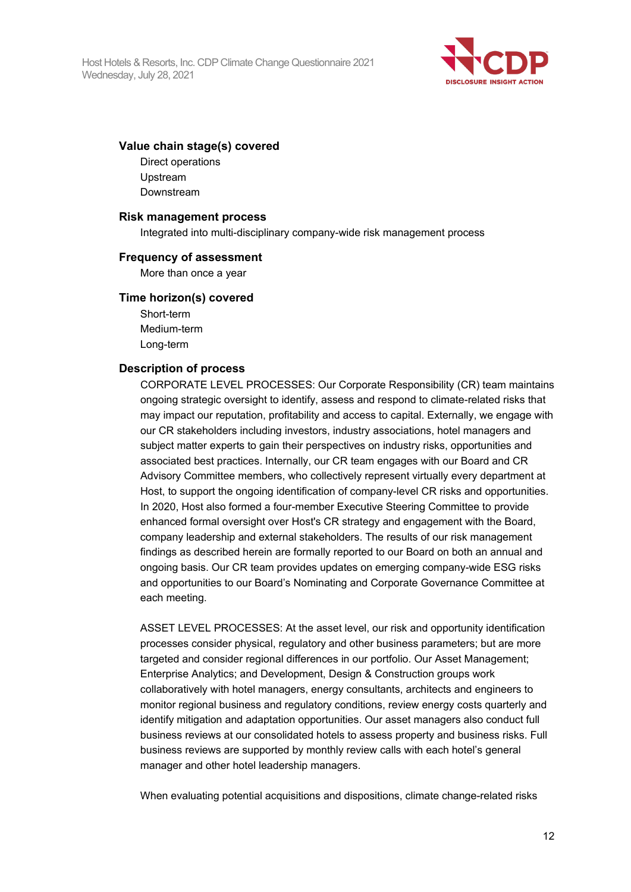

#### **Value chain stage(s) covered**

Direct operations Upstream Downstream

#### **Risk management process**

Integrated into multi-disciplinary company-wide risk management process

#### **Frequency of assessment**

More than once a year

#### **Time horizon(s) covered**

Short-term Medium-term Long-term

#### **Description of process**

CORPORATE LEVEL PROCESSES: Our Corporate Responsibility (CR) team maintains ongoing strategic oversight to identify, assess and respond to climate-related risks that may impact our reputation, profitability and access to capital. Externally, we engage with our CR stakeholders including investors, industry associations, hotel managers and subject matter experts to gain their perspectives on industry risks, opportunities and associated best practices. Internally, our CR team engages with our Board and CR Advisory Committee members, who collectively represent virtually every department at Host, to support the ongoing identification of company-level CR risks and opportunities. In 2020, Host also formed a four-member Executive Steering Committee to provide enhanced formal oversight over Host's CR strategy and engagement with the Board, company leadership and external stakeholders. The results of our risk management findings as described herein are formally reported to our Board on both an annual and ongoing basis. Our CR team provides updates on emerging company-wide ESG risks and opportunities to our Board's Nominating and Corporate Governance Committee at each meeting.

ASSET LEVEL PROCESSES: At the asset level, our risk and opportunity identification processes consider physical, regulatory and other business parameters; but are more targeted and consider regional differences in our portfolio. Our Asset Management; Enterprise Analytics; and Development, Design & Construction groups work collaboratively with hotel managers, energy consultants, architects and engineers to monitor regional business and regulatory conditions, review energy costs quarterly and identify mitigation and adaptation opportunities. Our asset managers also conduct full business reviews at our consolidated hotels to assess property and business risks. Full business reviews are supported by monthly review calls with each hotel's general manager and other hotel leadership managers.

When evaluating potential acquisitions and dispositions, climate change-related risks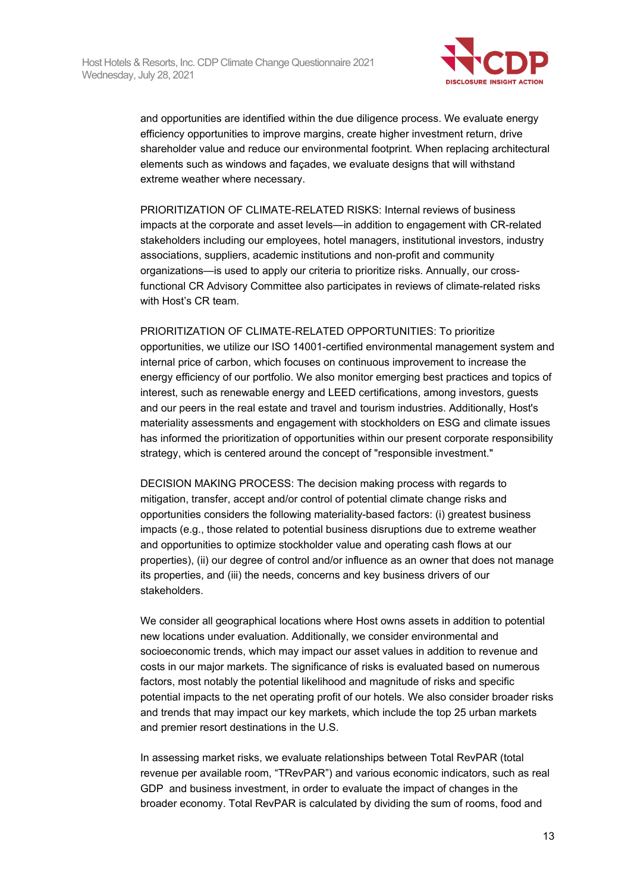

and opportunities are identified within the due diligence process. We evaluate energy efficiency opportunities to improve margins, create higher investment return, drive shareholder value and reduce our environmental footprint. When replacing architectural elements such as windows and façades, we evaluate designs that will withstand extreme weather where necessary.

PRIORITIZATION OF CLIMATE-RELATED RISKS: Internal reviews of business impacts at the corporate and asset levels—in addition to engagement with CR-related stakeholders including our employees, hotel managers, institutional investors, industry associations, suppliers, academic institutions and non-profit and community organizations—is used to apply our criteria to prioritize risks. Annually, our crossfunctional CR Advisory Committee also participates in reviews of climate-related risks with Host's CR team.

PRIORITIZATION OF CLIMATE-RELATED OPPORTUNITIES: To prioritize opportunities, we utilize our ISO 14001-certified environmental management system and internal price of carbon, which focuses on continuous improvement to increase the energy efficiency of our portfolio. We also monitor emerging best practices and topics of interest, such as renewable energy and LEED certifications, among investors, guests and our peers in the real estate and travel and tourism industries. Additionally, Host's materiality assessments and engagement with stockholders on ESG and climate issues has informed the prioritization of opportunities within our present corporate responsibility strategy, which is centered around the concept of "responsible investment."

DECISION MAKING PROCESS: The decision making process with regards to mitigation, transfer, accept and/or control of potential climate change risks and opportunities considers the following materiality-based factors: (i) greatest business impacts (e.g., those related to potential business disruptions due to extreme weather and opportunities to optimize stockholder value and operating cash flows at our properties), (ii) our degree of control and/or influence as an owner that does not manage its properties, and (iii) the needs, concerns and key business drivers of our stakeholders.

We consider all geographical locations where Host owns assets in addition to potential new locations under evaluation. Additionally, we consider environmental and socioeconomic trends, which may impact our asset values in addition to revenue and costs in our major markets. The significance of risks is evaluated based on numerous factors, most notably the potential likelihood and magnitude of risks and specific potential impacts to the net operating profit of our hotels. We also consider broader risks and trends that may impact our key markets, which include the top 25 urban markets and premier resort destinations in the U.S.

In assessing market risks, we evaluate relationships between Total RevPAR (total revenue per available room, "TRevPAR") and various economic indicators, such as real GDP and business investment, in order to evaluate the impact of changes in the broader economy. Total RevPAR is calculated by dividing the sum of rooms, food and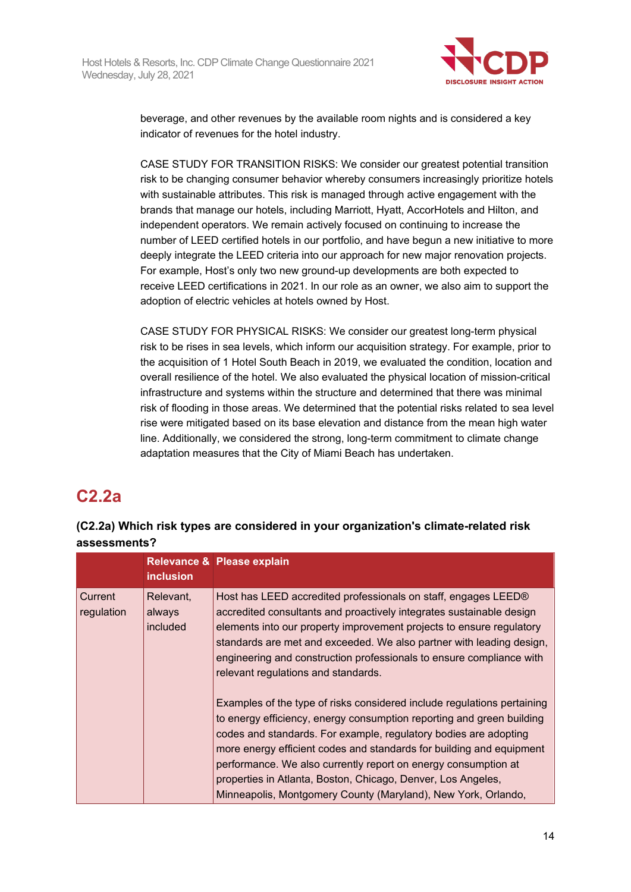

beverage, and other revenues by the available room nights and is considered a key indicator of revenues for the hotel industry.

CASE STUDY FOR TRANSITION RISKS: We consider our greatest potential transition risk to be changing consumer behavior whereby consumers increasingly prioritize hotels with sustainable attributes. This risk is managed through active engagement with the brands that manage our hotels, including Marriott, Hyatt, AccorHotels and Hilton, and independent operators. We remain actively focused on continuing to increase the number of LEED certified hotels in our portfolio, and have begun a new initiative to more deeply integrate the LEED criteria into our approach for new major renovation projects. For example, Host's only two new ground-up developments are both expected to receive LEED certifications in 2021. In our role as an owner, we also aim to support the adoption of electric vehicles at hotels owned by Host.

CASE STUDY FOR PHYSICAL RISKS: We consider our greatest long-term physical risk to be rises in sea levels, which inform our acquisition strategy. For example, prior to the acquisition of 1 Hotel South Beach in 2019, we evaluated the condition, location and overall resilience of the hotel. We also evaluated the physical location of mission-critical infrastructure and systems within the structure and determined that there was minimal risk of flooding in those areas. We determined that the potential risks related to sea level rise were mitigated based on its base elevation and distance from the mean high water line. Additionally, we considered the strong, long-term commitment to climate change adaptation measures that the City of Miami Beach has undertaken.

## **C2.2a**

## **(C2.2a) Which risk types are considered in your organization's climate-related risk assessments?**

|                       | <b>inclusion</b>                       | Relevance & Please explain                                                                                                                                                                                                                                                                                                                                                                                                                                                                      |
|-----------------------|----------------------------------------|-------------------------------------------------------------------------------------------------------------------------------------------------------------------------------------------------------------------------------------------------------------------------------------------------------------------------------------------------------------------------------------------------------------------------------------------------------------------------------------------------|
| Current<br>regulation | Relevant,<br>always<br><i>included</i> | Host has LEED accredited professionals on staff, engages LEED®<br>accredited consultants and proactively integrates sustainable design<br>elements into our property improvement projects to ensure regulatory<br>standards are met and exceeded. We also partner with leading design,<br>engineering and construction professionals to ensure compliance with<br>relevant regulations and standards.                                                                                           |
|                       |                                        | Examples of the type of risks considered include regulations pertaining<br>to energy efficiency, energy consumption reporting and green building<br>codes and standards. For example, regulatory bodies are adopting<br>more energy efficient codes and standards for building and equipment<br>performance. We also currently report on energy consumption at<br>properties in Atlanta, Boston, Chicago, Denver, Los Angeles,<br>Minneapolis, Montgomery County (Maryland), New York, Orlando, |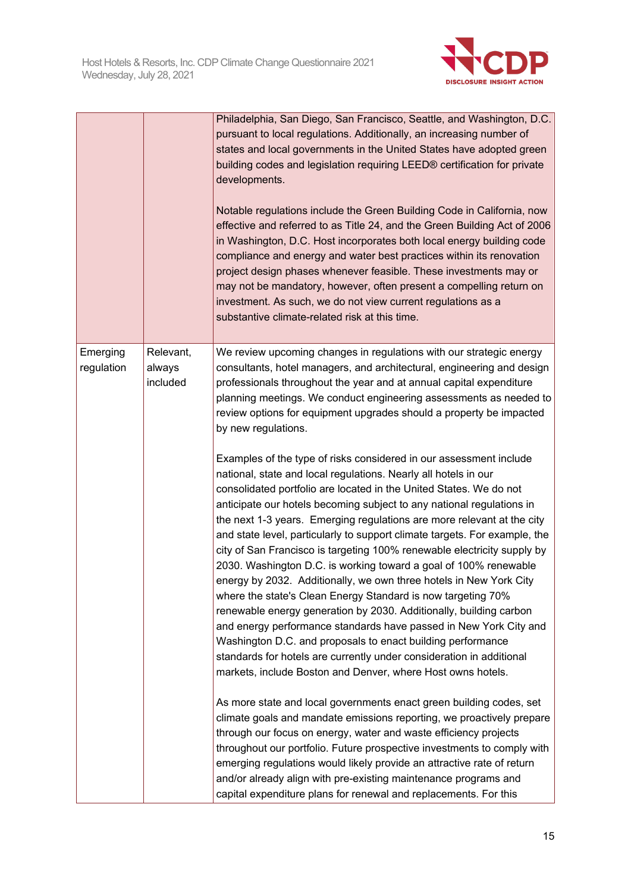

|                        |                                 | Philadelphia, San Diego, San Francisco, Seattle, and Washington, D.C.<br>pursuant to local regulations. Additionally, an increasing number of<br>states and local governments in the United States have adopted green<br>building codes and legislation requiring LEED® certification for private<br>developments.<br>Notable regulations include the Green Building Code in California, now<br>effective and referred to as Title 24, and the Green Building Act of 2006<br>in Washington, D.C. Host incorporates both local energy building code<br>compliance and energy and water best practices within its renovation<br>project design phases whenever feasible. These investments may or<br>may not be mandatory, however, often present a compelling return on<br>investment. As such, we do not view current regulations as a<br>substantive climate-related risk at this time.                                                                                                                                                                                                                                                                                                                                                                                                                                                                                                                                                                                                                                                                                                                                                                                                                                                                                                                                                                                                                                   |
|------------------------|---------------------------------|----------------------------------------------------------------------------------------------------------------------------------------------------------------------------------------------------------------------------------------------------------------------------------------------------------------------------------------------------------------------------------------------------------------------------------------------------------------------------------------------------------------------------------------------------------------------------------------------------------------------------------------------------------------------------------------------------------------------------------------------------------------------------------------------------------------------------------------------------------------------------------------------------------------------------------------------------------------------------------------------------------------------------------------------------------------------------------------------------------------------------------------------------------------------------------------------------------------------------------------------------------------------------------------------------------------------------------------------------------------------------------------------------------------------------------------------------------------------------------------------------------------------------------------------------------------------------------------------------------------------------------------------------------------------------------------------------------------------------------------------------------------------------------------------------------------------------------------------------------------------------------------------------------------------------|
| Emerging<br>regulation | Relevant,<br>always<br>included | We review upcoming changes in regulations with our strategic energy<br>consultants, hotel managers, and architectural, engineering and design<br>professionals throughout the year and at annual capital expenditure<br>planning meetings. We conduct engineering assessments as needed to<br>review options for equipment upgrades should a property be impacted<br>by new regulations.<br>Examples of the type of risks considered in our assessment include<br>national, state and local regulations. Nearly all hotels in our<br>consolidated portfolio are located in the United States. We do not<br>anticipate our hotels becoming subject to any national regulations in<br>the next 1-3 years. Emerging regulations are more relevant at the city<br>and state level, particularly to support climate targets. For example, the<br>city of San Francisco is targeting 100% renewable electricity supply by<br>2030. Washington D.C. is working toward a goal of 100% renewable<br>energy by 2032. Additionally, we own three hotels in New York City<br>where the state's Clean Energy Standard is now targeting 70%<br>renewable energy generation by 2030. Additionally, building carbon<br>and energy performance standards have passed in New York City and<br>Washington D.C. and proposals to enact building performance<br>standards for hotels are currently under consideration in additional<br>markets, include Boston and Denver, where Host owns hotels.<br>As more state and local governments enact green building codes, set<br>climate goals and mandate emissions reporting, we proactively prepare<br>through our focus on energy, water and waste efficiency projects<br>throughout our portfolio. Future prospective investments to comply with<br>emerging regulations would likely provide an attractive rate of return<br>and/or already align with pre-existing maintenance programs and |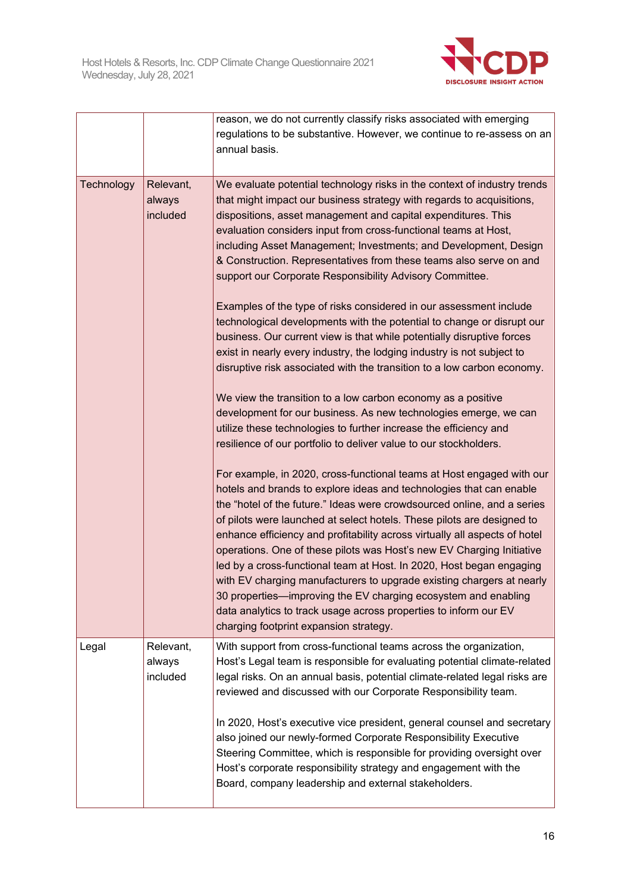

|            |                                 | reason, we do not currently classify risks associated with emerging<br>regulations to be substantive. However, we continue to re-assess on an<br>annual basis.                                                                                                                                                                                                                                                                                                                                                                                                                                                                                                                                                                                                                            |
|------------|---------------------------------|-------------------------------------------------------------------------------------------------------------------------------------------------------------------------------------------------------------------------------------------------------------------------------------------------------------------------------------------------------------------------------------------------------------------------------------------------------------------------------------------------------------------------------------------------------------------------------------------------------------------------------------------------------------------------------------------------------------------------------------------------------------------------------------------|
| Technology | Relevant,<br>always<br>included | We evaluate potential technology risks in the context of industry trends<br>that might impact our business strategy with regards to acquisitions,<br>dispositions, asset management and capital expenditures. This<br>evaluation considers input from cross-functional teams at Host,<br>including Asset Management; Investments; and Development, Design<br>& Construction. Representatives from these teams also serve on and<br>support our Corporate Responsibility Advisory Committee.                                                                                                                                                                                                                                                                                               |
|            |                                 | Examples of the type of risks considered in our assessment include<br>technological developments with the potential to change or disrupt our<br>business. Our current view is that while potentially disruptive forces<br>exist in nearly every industry, the lodging industry is not subject to<br>disruptive risk associated with the transition to a low carbon economy.                                                                                                                                                                                                                                                                                                                                                                                                               |
|            |                                 | We view the transition to a low carbon economy as a positive<br>development for our business. As new technologies emerge, we can<br>utilize these technologies to further increase the efficiency and<br>resilience of our portfolio to deliver value to our stockholders.                                                                                                                                                                                                                                                                                                                                                                                                                                                                                                                |
|            |                                 | For example, in 2020, cross-functional teams at Host engaged with our<br>hotels and brands to explore ideas and technologies that can enable<br>the "hotel of the future." Ideas were crowdsourced online, and a series<br>of pilots were launched at select hotels. These pilots are designed to<br>enhance efficiency and profitability across virtually all aspects of hotel<br>operations. One of these pilots was Host's new EV Charging Initiative<br>led by a cross-functional team at Host. In 2020, Host began engaging<br>with EV charging manufacturers to upgrade existing chargers at nearly<br>30 properties—improving the EV charging ecosystem and enabling<br>data analytics to track usage across properties to inform our EV<br>charging footprint expansion strategy. |
| Legal      | Relevant,<br>always<br>included | With support from cross-functional teams across the organization,<br>Host's Legal team is responsible for evaluating potential climate-related<br>legal risks. On an annual basis, potential climate-related legal risks are<br>reviewed and discussed with our Corporate Responsibility team.                                                                                                                                                                                                                                                                                                                                                                                                                                                                                            |
|            |                                 | In 2020, Host's executive vice president, general counsel and secretary<br>also joined our newly-formed Corporate Responsibility Executive<br>Steering Committee, which is responsible for providing oversight over<br>Host's corporate responsibility strategy and engagement with the<br>Board, company leadership and external stakeholders.                                                                                                                                                                                                                                                                                                                                                                                                                                           |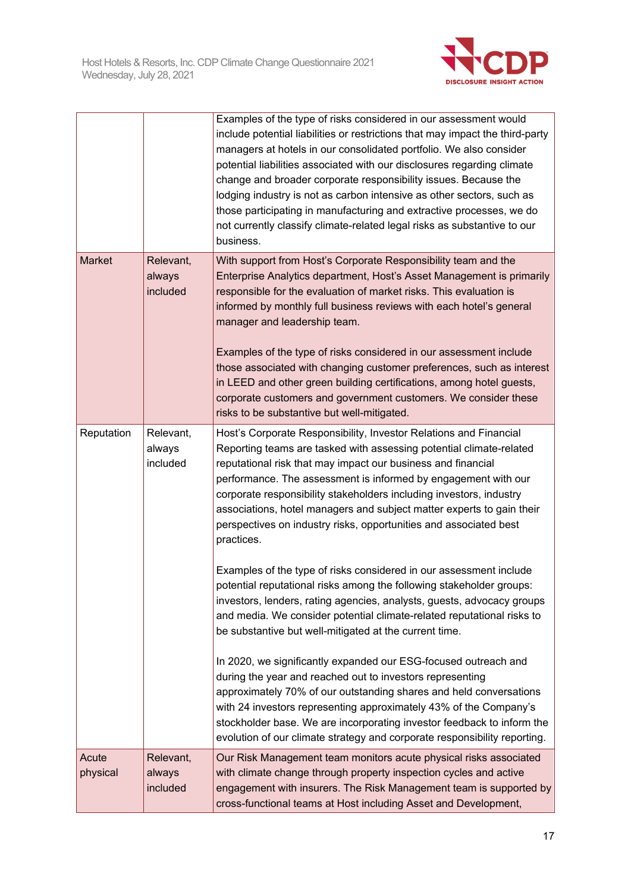

|                   |                                 | Examples of the type of risks considered in our assessment would<br>include potential liabilities or restrictions that may impact the third-party<br>managers at hotels in our consolidated portfolio. We also consider<br>potential liabilities associated with our disclosures regarding climate<br>change and broader corporate responsibility issues. Because the<br>lodging industry is not as carbon intensive as other sectors, such as<br>those participating in manufacturing and extractive processes, we do<br>not currently classify climate-related legal risks as substantive to our<br>business.                                                                                                                                                                                                                                                                                                                                                                                           |
|-------------------|---------------------------------|-----------------------------------------------------------------------------------------------------------------------------------------------------------------------------------------------------------------------------------------------------------------------------------------------------------------------------------------------------------------------------------------------------------------------------------------------------------------------------------------------------------------------------------------------------------------------------------------------------------------------------------------------------------------------------------------------------------------------------------------------------------------------------------------------------------------------------------------------------------------------------------------------------------------------------------------------------------------------------------------------------------|
| Market            | Relevant,<br>always<br>included | With support from Host's Corporate Responsibility team and the<br>Enterprise Analytics department, Host's Asset Management is primarily<br>responsible for the evaluation of market risks. This evaluation is<br>informed by monthly full business reviews with each hotel's general<br>manager and leadership team.<br>Examples of the type of risks considered in our assessment include<br>those associated with changing customer preferences, such as interest<br>in LEED and other green building certifications, among hotel guests,<br>corporate customers and government customers. We consider these<br>risks to be substantive but well-mitigated.                                                                                                                                                                                                                                                                                                                                             |
| Reputation        | Relevant,<br>always<br>included | Host's Corporate Responsibility, Investor Relations and Financial<br>Reporting teams are tasked with assessing potential climate-related<br>reputational risk that may impact our business and financial<br>performance. The assessment is informed by engagement with our<br>corporate responsibility stakeholders including investors, industry<br>associations, hotel managers and subject matter experts to gain their<br>perspectives on industry risks, opportunities and associated best<br>practices.<br>Examples of the type of risks considered in our assessment include<br>potential reputational risks among the following stakeholder groups:<br>investors, lenders, rating agencies, analysts, guests, advocacy groups<br>and media. We consider potential climate-related reputational risks to<br>be substantive but well-mitigated at the current time.<br>In 2020, we significantly expanded our ESG-focused outreach and<br>during the year and reached out to investors representing |
|                   |                                 | approximately 70% of our outstanding shares and held conversations<br>with 24 investors representing approximately 43% of the Company's<br>stockholder base. We are incorporating investor feedback to inform the<br>evolution of our climate strategy and corporate responsibility reporting.                                                                                                                                                                                                                                                                                                                                                                                                                                                                                                                                                                                                                                                                                                            |
| Acute<br>physical | Relevant,<br>always<br>included | Our Risk Management team monitors acute physical risks associated<br>with climate change through property inspection cycles and active<br>engagement with insurers. The Risk Management team is supported by<br>cross-functional teams at Host including Asset and Development,                                                                                                                                                                                                                                                                                                                                                                                                                                                                                                                                                                                                                                                                                                                           |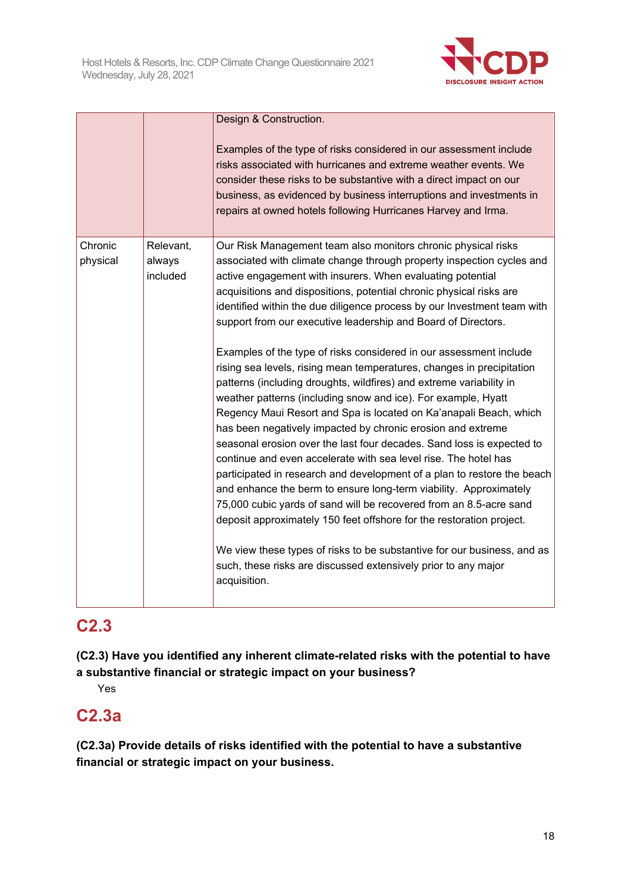

|                     |                                 | Design & Construction.<br>Examples of the type of risks considered in our assessment include<br>risks associated with hurricanes and extreme weather events. We<br>consider these risks to be substantive with a direct impact on our<br>business, as evidenced by business interruptions and investments in<br>repairs at owned hotels following Hurricanes Harvey and Irma.                                                                                                                                                                                                                                                                                                                                                                                                                                                                                                                                                                                                                                                                                                                                                                                                                                                                                                                                                                                                                                                                             |
|---------------------|---------------------------------|-----------------------------------------------------------------------------------------------------------------------------------------------------------------------------------------------------------------------------------------------------------------------------------------------------------------------------------------------------------------------------------------------------------------------------------------------------------------------------------------------------------------------------------------------------------------------------------------------------------------------------------------------------------------------------------------------------------------------------------------------------------------------------------------------------------------------------------------------------------------------------------------------------------------------------------------------------------------------------------------------------------------------------------------------------------------------------------------------------------------------------------------------------------------------------------------------------------------------------------------------------------------------------------------------------------------------------------------------------------------------------------------------------------------------------------------------------------|
| Chronic<br>physical | Relevant,<br>always<br>included | Our Risk Management team also monitors chronic physical risks<br>associated with climate change through property inspection cycles and<br>active engagement with insurers. When evaluating potential<br>acquisitions and dispositions, potential chronic physical risks are<br>identified within the due diligence process by our Investment team with<br>support from our executive leadership and Board of Directors.<br>Examples of the type of risks considered in our assessment include<br>rising sea levels, rising mean temperatures, changes in precipitation<br>patterns (including droughts, wildfires) and extreme variability in<br>weather patterns (including snow and ice). For example, Hyatt<br>Regency Maui Resort and Spa is located on Ka'anapali Beach, which<br>has been negatively impacted by chronic erosion and extreme<br>seasonal erosion over the last four decades. Sand loss is expected to<br>continue and even accelerate with sea level rise. The hotel has<br>participated in research and development of a plan to restore the beach<br>and enhance the berm to ensure long-term viability. Approximately<br>75,000 cubic yards of sand will be recovered from an 8.5-acre sand<br>deposit approximately 150 feet offshore for the restoration project.<br>We view these types of risks to be substantive for our business, and as<br>such, these risks are discussed extensively prior to any major<br>acquisition. |

## **C2.3**

**(C2.3) Have you identified any inherent climate-related risks with the potential to have a substantive financial or strategic impact on your business?**

Yes

## **C2.3a**

**(C2.3a) Provide details of risks identified with the potential to have a substantive financial or strategic impact on your business.**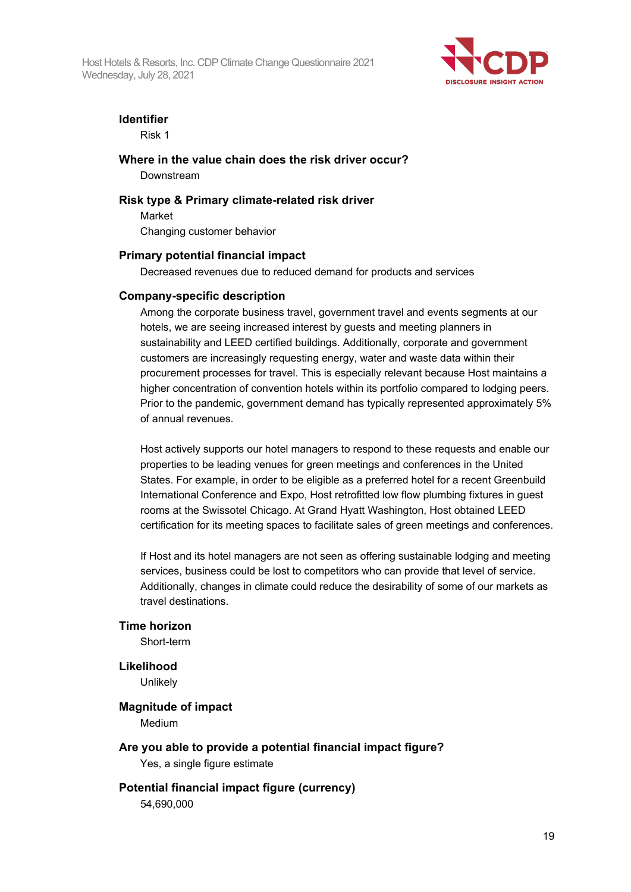Host Hotels & Resorts, Inc. CDP Climate Change Questionnaire 2021 Wednesday, July 28, 2021



## **Identifier**

Risk 1

**Where in the value chain does the risk driver occur?**

Downstream

## **Risk type & Primary climate-related risk driver**

Market Changing customer behavior

## **Primary potential financial impact**

Decreased revenues due to reduced demand for products and services

## **Company-specific description**

Among the corporate business travel, government travel and events segments at our hotels, we are seeing increased interest by guests and meeting planners in sustainability and LEED certified buildings. Additionally, corporate and government customers are increasingly requesting energy, water and waste data within their procurement processes for travel. This is especially relevant because Host maintains a higher concentration of convention hotels within its portfolio compared to lodging peers. Prior to the pandemic, government demand has typically represented approximately 5% of annual revenues.

Host actively supports our hotel managers to respond to these requests and enable our properties to be leading venues for green meetings and conferences in the United States. For example, in order to be eligible as a preferred hotel for a recent Greenbuild International Conference and Expo, Host retrofitted low flow plumbing fixtures in guest rooms at the Swissotel Chicago. At Grand Hyatt Washington, Host obtained LEED certification for its meeting spaces to facilitate sales of green meetings and conferences.

If Host and its hotel managers are not seen as offering sustainable lodging and meeting services, business could be lost to competitors who can provide that level of service. Additionally, changes in climate could reduce the desirability of some of our markets as travel destinations.

## **Time horizon**

Short-term

## **Likelihood**

**Unlikely** 

## **Magnitude of impact**

Medium

## **Are you able to provide a potential financial impact figure?**

Yes, a single figure estimate

## **Potential financial impact figure (currency)**

54,690,000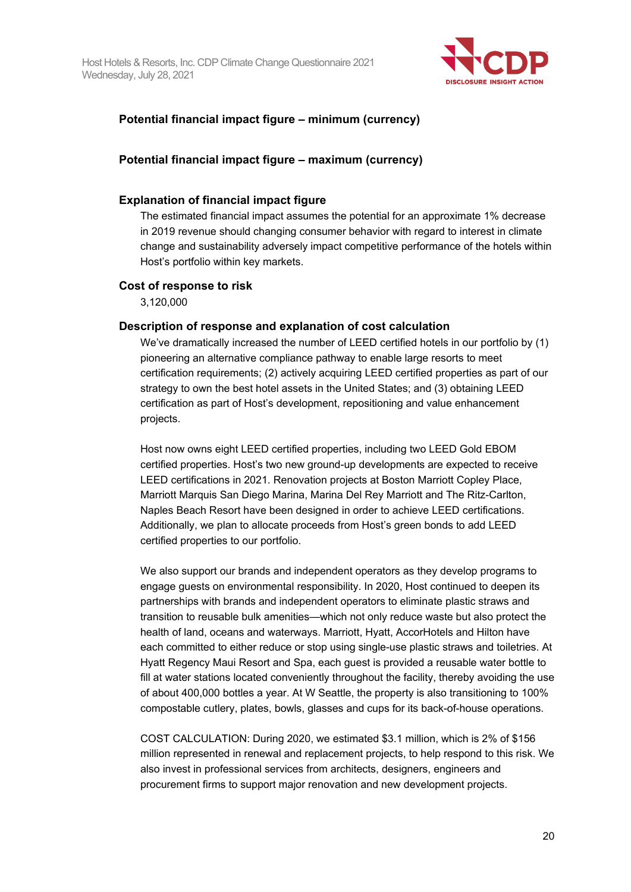

## **Potential financial impact figure – minimum (currency)**

### **Potential financial impact figure – maximum (currency)**

#### **Explanation of financial impact figure**

The estimated financial impact assumes the potential for an approximate 1% decrease in 2019 revenue should changing consumer behavior with regard to interest in climate change and sustainability adversely impact competitive performance of the hotels within Host's portfolio within key markets.

#### **Cost of response to risk**

3,120,000

#### **Description of response and explanation of cost calculation**

We've dramatically increased the number of LEED certified hotels in our portfolio by (1) pioneering an alternative compliance pathway to enable large resorts to meet certification requirements; (2) actively acquiring LEED certified properties as part of our strategy to own the best hotel assets in the United States; and (3) obtaining LEED certification as part of Host's development, repositioning and value enhancement projects.

Host now owns eight LEED certified properties, including two LEED Gold EBOM certified properties. Host's two new ground-up developments are expected to receive LEED certifications in 2021. Renovation projects at Boston Marriott Copley Place, Marriott Marquis San Diego Marina, Marina Del Rey Marriott and The Ritz-Carlton, Naples Beach Resort have been designed in order to achieve LEED certifications. Additionally, we plan to allocate proceeds from Host's green bonds to add LEED certified properties to our portfolio.

We also support our brands and independent operators as they develop programs to engage guests on environmental responsibility. In 2020, Host continued to deepen its partnerships with brands and independent operators to eliminate plastic straws and transition to reusable bulk amenities—which not only reduce waste but also protect the health of land, oceans and waterways. Marriott, Hyatt, AccorHotels and Hilton have each committed to either reduce or stop using single-use plastic straws and toiletries. At Hyatt Regency Maui Resort and Spa, each guest is provided a reusable water bottle to fill at water stations located conveniently throughout the facility, thereby avoiding the use of about 400,000 bottles a year. At W Seattle, the property is also transitioning to 100% compostable cutlery, plates, bowls, glasses and cups for its back-of-house operations.

COST CALCULATION: During 2020, we estimated \$3.1 million, which is 2% of \$156 million represented in renewal and replacement projects, to help respond to this risk. We also invest in professional services from architects, designers, engineers and procurement firms to support major renovation and new development projects.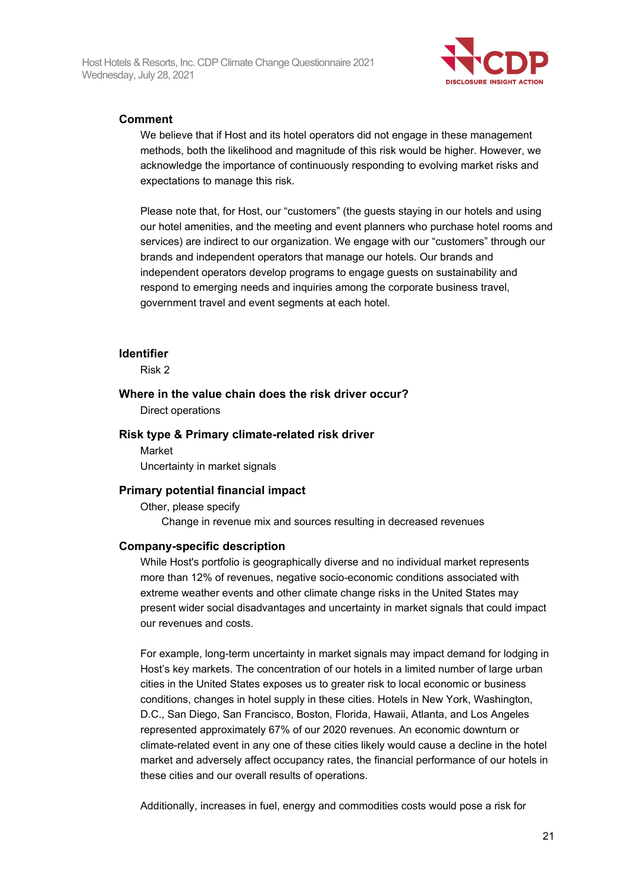

### **Comment**

We believe that if Host and its hotel operators did not engage in these management methods, both the likelihood and magnitude of this risk would be higher. However, we acknowledge the importance of continuously responding to evolving market risks and expectations to manage this risk.

Please note that, for Host, our "customers" (the guests staying in our hotels and using our hotel amenities, and the meeting and event planners who purchase hotel rooms and services) are indirect to our organization. We engage with our "customers" through our brands and independent operators that manage our hotels. Our brands and independent operators develop programs to engage guests on sustainability and respond to emerging needs and inquiries among the corporate business travel, government travel and event segments at each hotel.

#### **Identifier**

Risk 2

#### **Where in the value chain does the risk driver occur?**

Direct operations

#### **Risk type & Primary climate-related risk driver**

Market Uncertainty in market signals

#### **Primary potential financial impact**

Other, please specify

Change in revenue mix and sources resulting in decreased revenues

#### **Company-specific description**

While Host's portfolio is geographically diverse and no individual market represents more than 12% of revenues, negative socio-economic conditions associated with extreme weather events and other climate change risks in the United States may present wider social disadvantages and uncertainty in market signals that could impact our revenues and costs.

For example, long-term uncertainty in market signals may impact demand for lodging in Host's key markets. The concentration of our hotels in a limited number of large urban cities in the United States exposes us to greater risk to local economic or business conditions, changes in hotel supply in these cities. Hotels in New York, Washington, D.C., San Diego, San Francisco, Boston, Florida, Hawaii, Atlanta, and Los Angeles represented approximately 67% of our 2020 revenues. An economic downturn or climate-related event in any one of these cities likely would cause a decline in the hotel market and adversely affect occupancy rates, the financial performance of our hotels in these cities and our overall results of operations.

Additionally, increases in fuel, energy and commodities costs would pose a risk for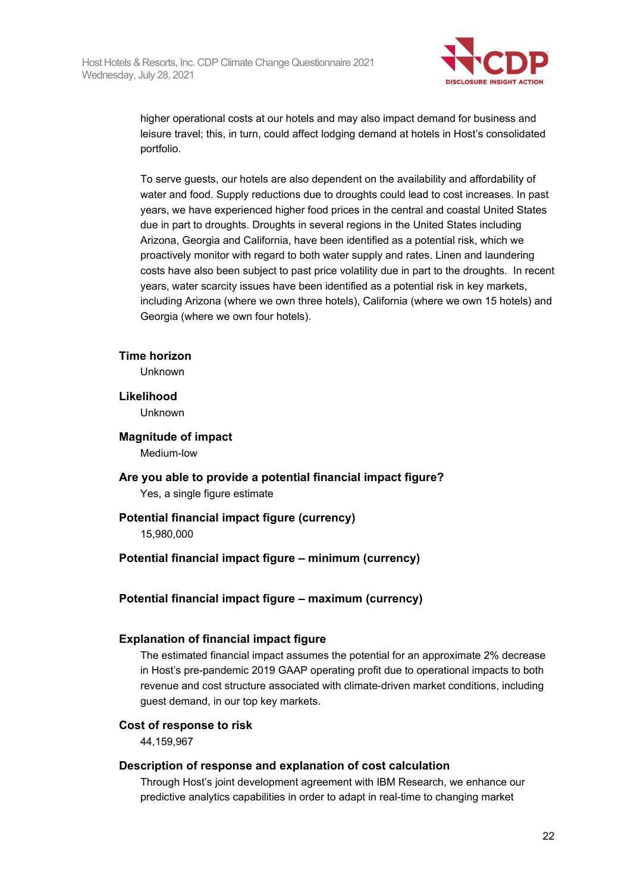

higher operational costs at our hotels and may also impact demand for business and leisure travel; this, in turn, could affect lodging demand at hotels in Host's consolidated portfolio.

To serve guests, our hotels are also dependent on the availability and affordability of water and food. Supply reductions due to droughts could lead to cost increases. In past years, we have experienced higher food prices in the central and coastal United States due in part to droughts. Droughts in several regions in the United States including Arizona, Georgia and California, have been identified as a potential risk, which we proactively monitor with regard to both water supply and rates. Linen and laundering costs have also been subject to past price volatility due in part to the droughts. In recent years, water scarcity issues have been identified as a potential risk in key markets, including Arizona (where we own three hotels), California (where we own 15 hotels) and Georgia (where we own four hotels).

#### **Time horizon**

Unknown

#### **Likelihood**

Unknown

#### **Magnitude of impact** Medium-low

**Are you able to provide a potential financial impact figure?** Yes, a single figure estimate

## **Potential financial impact figure (currency)**

15,980,000

## **Potential financial impact figure – minimum (currency)**

## **Potential financial impact figure – maximum (currency)**

## **Explanation of financial impact figure**

The estimated financial impact assumes the potential for an approximate 2% decrease in Host's pre-pandemic 2019 GAAP operating profit due to operational impacts to both revenue and cost structure associated with climate-driven market conditions, including guest demand, in our top key markets.

## **Cost of response to risk**

44,159,967

## **Description of response and explanation of cost calculation**

Through Host's joint development agreement with IBM Research, we enhance our predictive analytics capabilities in order to adapt in real-time to changing market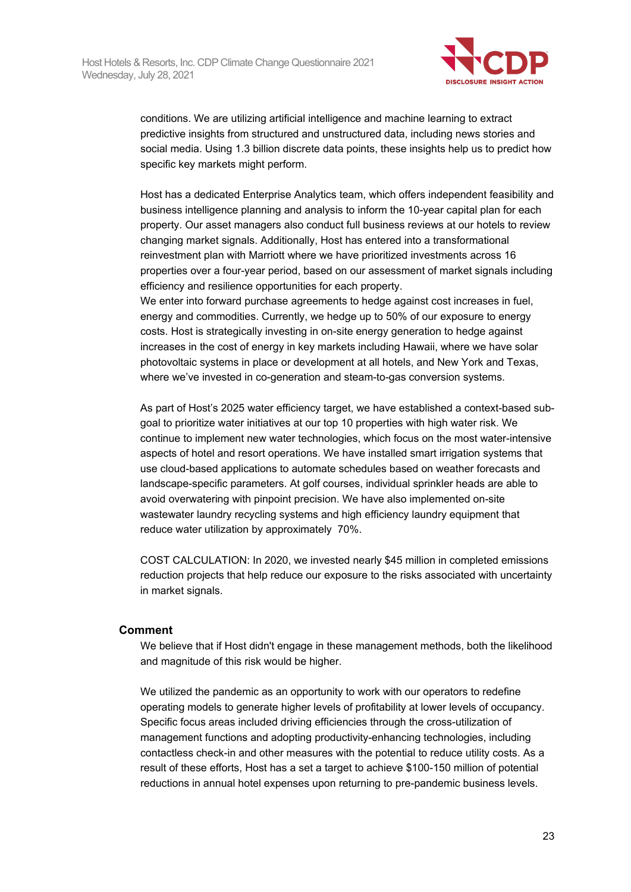

conditions. We are utilizing artificial intelligence and machine learning to extract predictive insights from structured and unstructured data, including news stories and social media. Using 1.3 billion discrete data points, these insights help us to predict how specific key markets might perform.

Host has a dedicated Enterprise Analytics team, which offers independent feasibility and business intelligence planning and analysis to inform the 10-year capital plan for each property. Our asset managers also conduct full business reviews at our hotels to review changing market signals. Additionally, Host has entered into a transformational reinvestment plan with Marriott where we have prioritized investments across 16 properties over a four-year period, based on our assessment of market signals including efficiency and resilience opportunities for each property.

We enter into forward purchase agreements to hedge against cost increases in fuel, energy and commodities. Currently, we hedge up to 50% of our exposure to energy costs. Host is strategically investing in on-site energy generation to hedge against increases in the cost of energy in key markets including Hawaii, where we have solar photovoltaic systems in place or development at all hotels, and New York and Texas, where we've invested in co-generation and steam-to-gas conversion systems.

As part of Host's 2025 water efficiency target, we have established a context-based subgoal to prioritize water initiatives at our top 10 properties with high water risk. We continue to implement new water technologies, which focus on the most water-intensive aspects of hotel and resort operations. We have installed smart irrigation systems that use cloud-based applications to automate schedules based on weather forecasts and landscape-specific parameters. At golf courses, individual sprinkler heads are able to avoid overwatering with pinpoint precision. We have also implemented on-site wastewater laundry recycling systems and high efficiency laundry equipment that reduce water utilization by approximately 70%.

COST CALCULATION: In 2020, we invested nearly \$45 million in completed emissions reduction projects that help reduce our exposure to the risks associated with uncertainty in market signals.

#### **Comment**

We believe that if Host didn't engage in these management methods, both the likelihood and magnitude of this risk would be higher.

We utilized the pandemic as an opportunity to work with our operators to redefine operating models to generate higher levels of profitability at lower levels of occupancy. Specific focus areas included driving efficiencies through the cross-utilization of management functions and adopting productivity-enhancing technologies, including contactless check-in and other measures with the potential to reduce utility costs. As a result of these efforts, Host has a set a target to achieve \$100-150 million of potential reductions in annual hotel expenses upon returning to pre-pandemic business levels.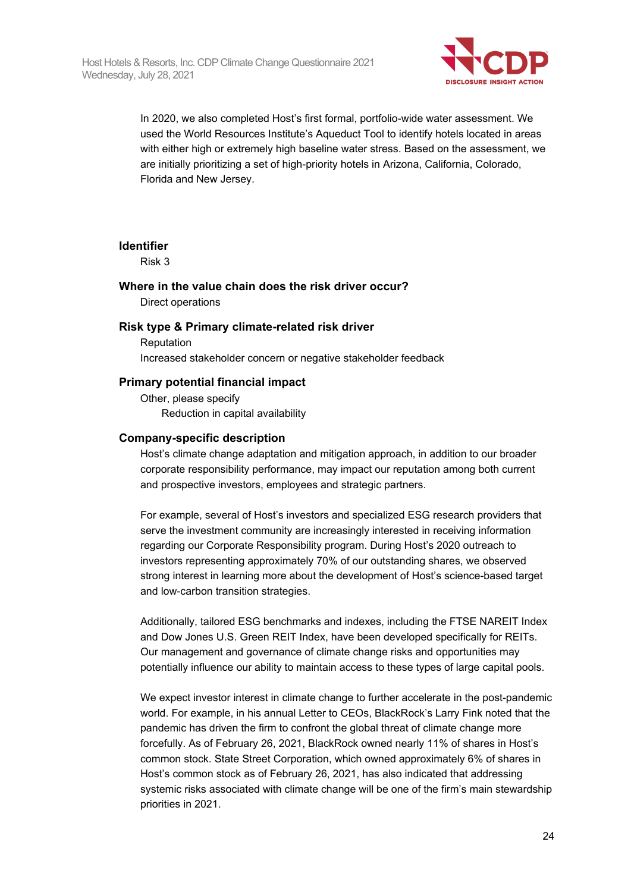

In 2020, we also completed Host's first formal, portfolio-wide water assessment. We used the World Resources Institute's Aqueduct Tool to identify hotels located in areas with either high or extremely high baseline water stress. Based on the assessment, we are initially prioritizing a set of high-priority hotels in Arizona, California, Colorado, Florida and New Jersey.

#### **Identifier**

Risk 3

#### **Where in the value chain does the risk driver occur?** Direct operations

#### **Risk type & Primary climate-related risk driver**

Reputation Increased stakeholder concern or negative stakeholder feedback

#### **Primary potential financial impact**

Other, please specify Reduction in capital availability

#### **Company-specific description**

Host's climate change adaptation and mitigation approach, in addition to our broader corporate responsibility performance, may impact our reputation among both current and prospective investors, employees and strategic partners.

For example, several of Host's investors and specialized ESG research providers that serve the investment community are increasingly interested in receiving information regarding our Corporate Responsibility program. During Host's 2020 outreach to investors representing approximately 70% of our outstanding shares, we observed strong interest in learning more about the development of Host's science-based target and low-carbon transition strategies.

Additionally, tailored ESG benchmarks and indexes, including the FTSE NAREIT Index and Dow Jones U.S. Green REIT Index, have been developed specifically for REITs. Our management and governance of climate change risks and opportunities may potentially influence our ability to maintain access to these types of large capital pools.

We expect investor interest in climate change to further accelerate in the post-pandemic world. For example, in his annual Letter to CEOs, BlackRock's Larry Fink noted that the pandemic has driven the firm to confront the global threat of climate change more forcefully. As of February 26, 2021, BlackRock owned nearly 11% of shares in Host's common stock. State Street Corporation, which owned approximately 6% of shares in Host's common stock as of February 26, 2021, has also indicated that addressing systemic risks associated with climate change will be one of the firm's main stewardship priorities in 2021.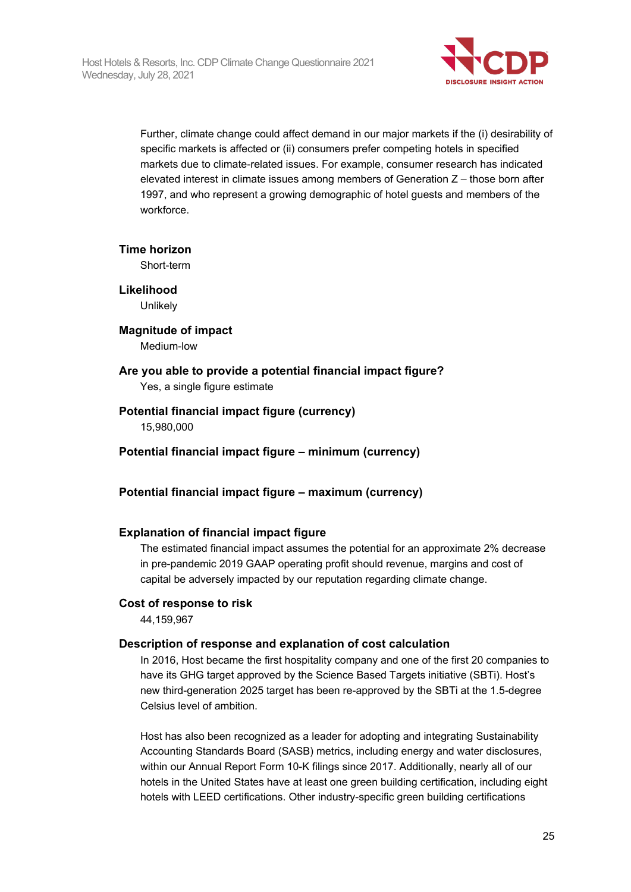

Further, climate change could affect demand in our major markets if the (i) desirability of specific markets is affected or (ii) consumers prefer competing hotels in specified markets due to climate-related issues. For example, consumer research has indicated elevated interest in climate issues among members of Generation Z – those born after 1997, and who represent a growing demographic of hotel guests and members of the workforce.

#### **Time horizon**

Short-term

**Likelihood Unlikely** 

**Magnitude of impact** Medium-low

## **Are you able to provide a potential financial impact figure?**

Yes, a single figure estimate

#### **Potential financial impact figure (currency)**

15,980,000

#### **Potential financial impact figure – minimum (currency)**

## **Potential financial impact figure – maximum (currency)**

#### **Explanation of financial impact figure**

The estimated financial impact assumes the potential for an approximate 2% decrease in pre-pandemic 2019 GAAP operating profit should revenue, margins and cost of capital be adversely impacted by our reputation regarding climate change.

#### **Cost of response to risk**

44,159,967

#### **Description of response and explanation of cost calculation**

In 2016, Host became the first hospitality company and one of the first 20 companies to have its GHG target approved by the Science Based Targets initiative (SBTi). Host's new third-generation 2025 target has been re-approved by the SBTi at the 1.5-degree Celsius level of ambition.

Host has also been recognized as a leader for adopting and integrating Sustainability Accounting Standards Board (SASB) metrics, including energy and water disclosures, within our Annual Report Form 10-K filings since 2017. Additionally, nearly all of our hotels in the United States have at least one green building certification, including eight hotels with LEED certifications. Other industry-specific green building certifications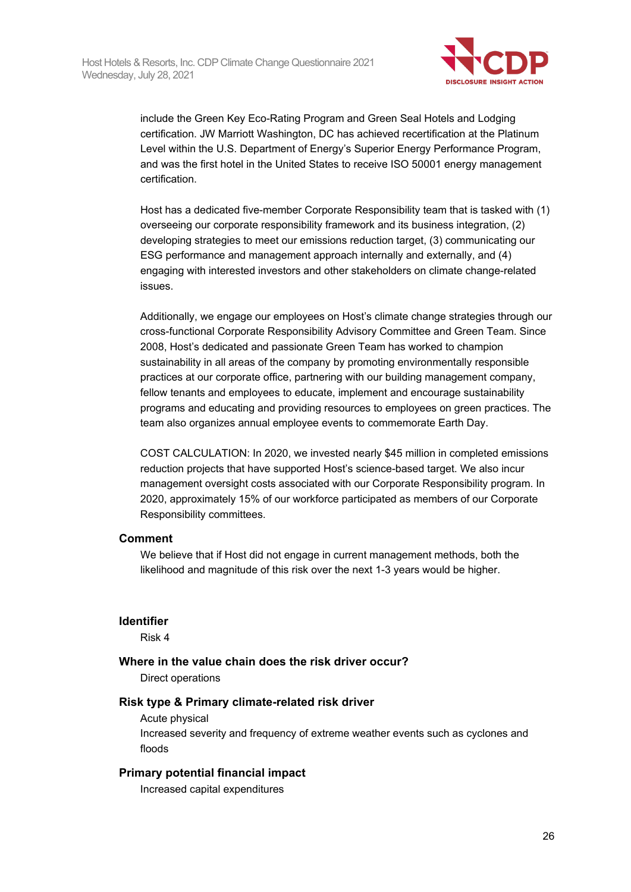

include the Green Key Eco-Rating Program and Green Seal Hotels and Lodging certification. JW Marriott Washington, DC has achieved recertification at the Platinum Level within the U.S. Department of Energy's Superior Energy Performance Program, and was the first hotel in the United States to receive ISO 50001 energy management certification.

Host has a dedicated five-member Corporate Responsibility team that is tasked with (1) overseeing our corporate responsibility framework and its business integration, (2) developing strategies to meet our emissions reduction target, (3) communicating our ESG performance and management approach internally and externally, and (4) engaging with interested investors and other stakeholders on climate change-related issues.

Additionally, we engage our employees on Host's climate change strategies through our cross-functional Corporate Responsibility Advisory Committee and Green Team. Since 2008, Host's dedicated and passionate Green Team has worked to champion sustainability in all areas of the company by promoting environmentally responsible practices at our corporate office, partnering with our building management company, fellow tenants and employees to educate, implement and encourage sustainability programs and educating and providing resources to employees on green practices. The team also organizes annual employee events to commemorate Earth Day.

COST CALCULATION: In 2020, we invested nearly \$45 million in completed emissions reduction projects that have supported Host's science-based target. We also incur management oversight costs associated with our Corporate Responsibility program. In 2020, approximately 15% of our workforce participated as members of our Corporate Responsibility committees.

#### **Comment**

We believe that if Host did not engage in current management methods, both the likelihood and magnitude of this risk over the next 1-3 years would be higher.

#### **Identifier**

Risk 4

#### **Where in the value chain does the risk driver occur?**

Direct operations

#### **Risk type & Primary climate-related risk driver**

Acute physical

Increased severity and frequency of extreme weather events such as cyclones and floods

#### **Primary potential financial impact**

Increased capital expenditures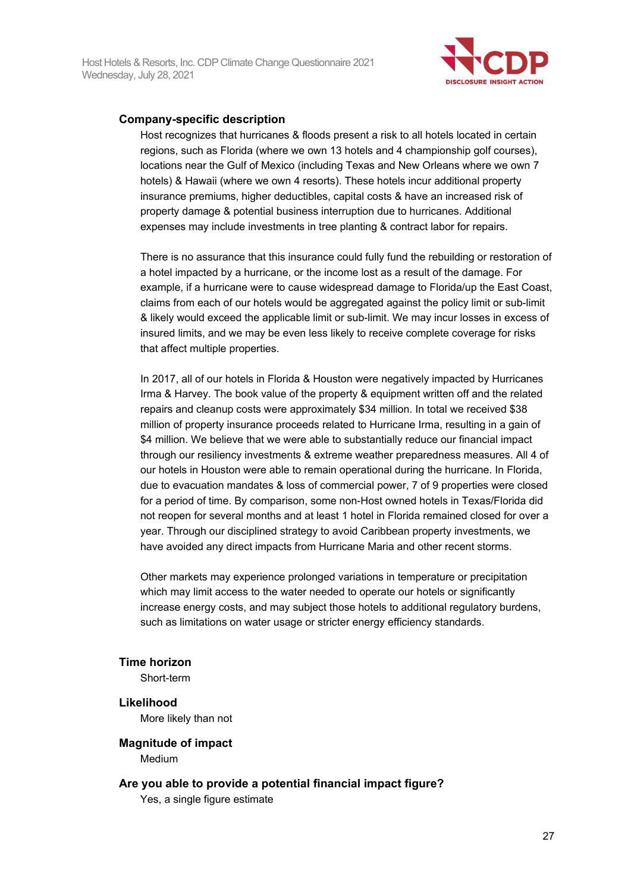

### **Company-specific description**

Host recognizes that hurricanes & floods present a risk to all hotels located in certain regions, such as Florida (where we own 13 hotels and 4 championship golf courses), locations near the Gulf of Mexico (including Texas and New Orleans where we own 7 hotels) & Hawaii (where we own 4 resorts). These hotels incur additional property insurance premiums, higher deductibles, capital costs & have an increased risk of property damage & potential business interruption due to hurricanes. Additional expenses may include investments in tree planting & contract labor for repairs.

There is no assurance that this insurance could fully fund the rebuilding or restoration of a hotel impacted by a hurricane, or the income lost as a result of the damage. For example, if a hurricane were to cause widespread damage to Florida/up the East Coast, claims from each of our hotels would be aggregated against the policy limit or sub-limit & likely would exceed the applicable limit or sub-limit. We may incur losses in excess of insured limits, and we may be even less likely to receive complete coverage for risks that affect multiple properties.

In 2017, all of our hotels in Florida & Houston were negatively impacted by Hurricanes Irma & Harvey. The book value of the property & equipment written off and the related repairs and cleanup costs were approximately \$34 million. In total we received \$38 million of property insurance proceeds related to Hurricane Irma, resulting in a gain of \$4 million. We believe that we were able to substantially reduce our financial impact through our resiliency investments & extreme weather preparedness measures. All 4 of our hotels in Houston were able to remain operational during the hurricane. In Florida, due to evacuation mandates & loss of commercial power, 7 of 9 properties were closed for a period of time. By comparison, some non-Host owned hotels in Texas/Florida did not reopen for several months and at least 1 hotel in Florida remained closed for over a year. Through our disciplined strategy to avoid Caribbean property investments, we have avoided any direct impacts from Hurricane Maria and other recent storms.

Other markets may experience prolonged variations in temperature or precipitation which may limit access to the water needed to operate our hotels or significantly increase energy costs, and may subject those hotels to additional regulatory burdens, such as limitations on water usage or stricter energy efficiency standards.

#### **Time horizon**

Short-term

#### **Likelihood**

More likely than not

#### **Magnitude of impact**

Medium

#### **Are you able to provide a potential financial impact figure?**

Yes, a single figure estimate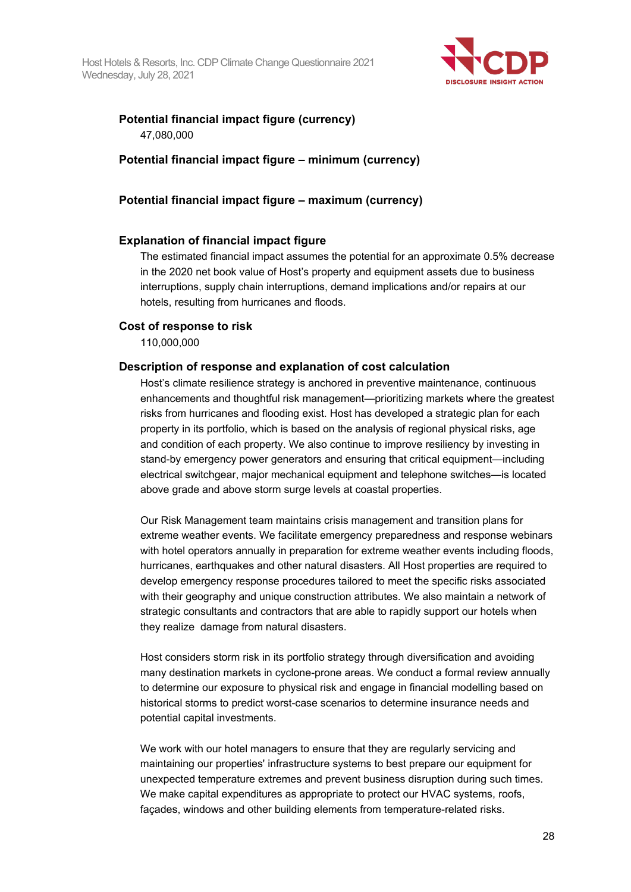

## **Potential financial impact figure (currency)** 47,080,000

## **Potential financial impact figure – minimum (currency)**

## **Potential financial impact figure – maximum (currency)**

## **Explanation of financial impact figure**

The estimated financial impact assumes the potential for an approximate 0.5% decrease in the 2020 net book value of Host's property and equipment assets due to business interruptions, supply chain interruptions, demand implications and/or repairs at our hotels, resulting from hurricanes and floods.

## **Cost of response to risk**

110,000,000

## **Description of response and explanation of cost calculation**

Host's climate resilience strategy is anchored in preventive maintenance, continuous enhancements and thoughtful risk management—prioritizing markets where the greatest risks from hurricanes and flooding exist. Host has developed a strategic plan for each property in its portfolio, which is based on the analysis of regional physical risks, age and condition of each property. We also continue to improve resiliency by investing in stand-by emergency power generators and ensuring that critical equipment—including electrical switchgear, major mechanical equipment and telephone switches—is located above grade and above storm surge levels at coastal properties.

Our Risk Management team maintains crisis management and transition plans for extreme weather events. We facilitate emergency preparedness and response webinars with hotel operators annually in preparation for extreme weather events including floods, hurricanes, earthquakes and other natural disasters. All Host properties are required to develop emergency response procedures tailored to meet the specific risks associated with their geography and unique construction attributes. We also maintain a network of strategic consultants and contractors that are able to rapidly support our hotels when they realize damage from natural disasters.

Host considers storm risk in its portfolio strategy through diversification and avoiding many destination markets in cyclone-prone areas. We conduct a formal review annually to determine our exposure to physical risk and engage in financial modelling based on historical storms to predict worst-case scenarios to determine insurance needs and potential capital investments.

We work with our hotel managers to ensure that they are regularly servicing and maintaining our properties' infrastructure systems to best prepare our equipment for unexpected temperature extremes and prevent business disruption during such times. We make capital expenditures as appropriate to protect our HVAC systems, roofs, façades, windows and other building elements from temperature-related risks.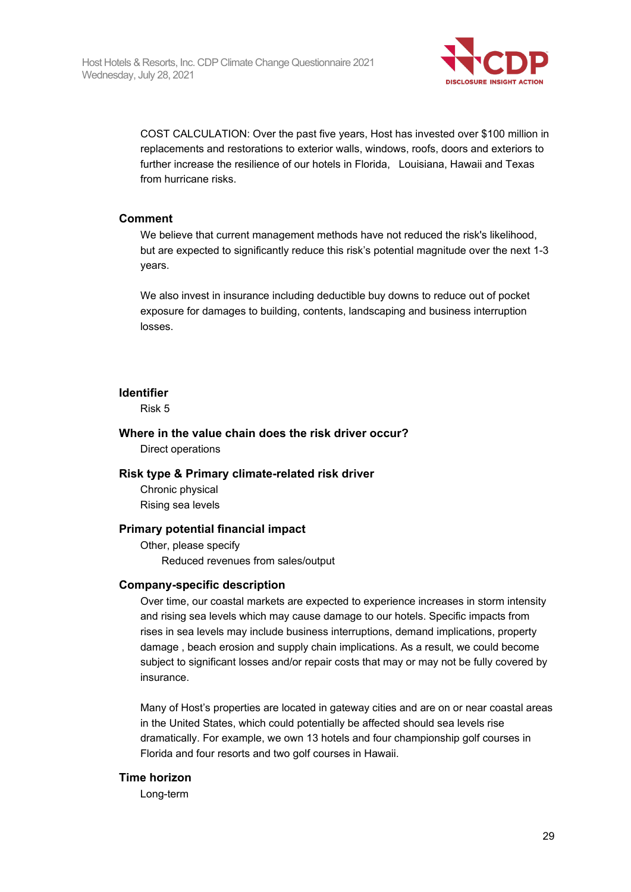

COST CALCULATION: Over the past five years, Host has invested over \$100 million in replacements and restorations to exterior walls, windows, roofs, doors and exteriors to further increase the resilience of our hotels in Florida, Louisiana, Hawaii and Texas from hurricane risks.

#### **Comment**

We believe that current management methods have not reduced the risk's likelihood, but are expected to significantly reduce this risk's potential magnitude over the next 1-3 years.

We also invest in insurance including deductible buy downs to reduce out of pocket exposure for damages to building, contents, landscaping and business interruption losses.

#### **Identifier**

Risk 5

### **Where in the value chain does the risk driver occur?** Direct operations

#### **Risk type & Primary climate-related risk driver**

Chronic physical Rising sea levels

#### **Primary potential financial impact**

Other, please specify Reduced revenues from sales/output

#### **Company-specific description**

Over time, our coastal markets are expected to experience increases in storm intensity and rising sea levels which may cause damage to our hotels. Specific impacts from rises in sea levels may include business interruptions, demand implications, property damage , beach erosion and supply chain implications. As a result, we could become subject to significant losses and/or repair costs that may or may not be fully covered by insurance.

Many of Host's properties are located in gateway cities and are on or near coastal areas in the United States, which could potentially be affected should sea levels rise dramatically. For example, we own 13 hotels and four championship golf courses in Florida and four resorts and two golf courses in Hawaii.

#### **Time horizon**

Long-term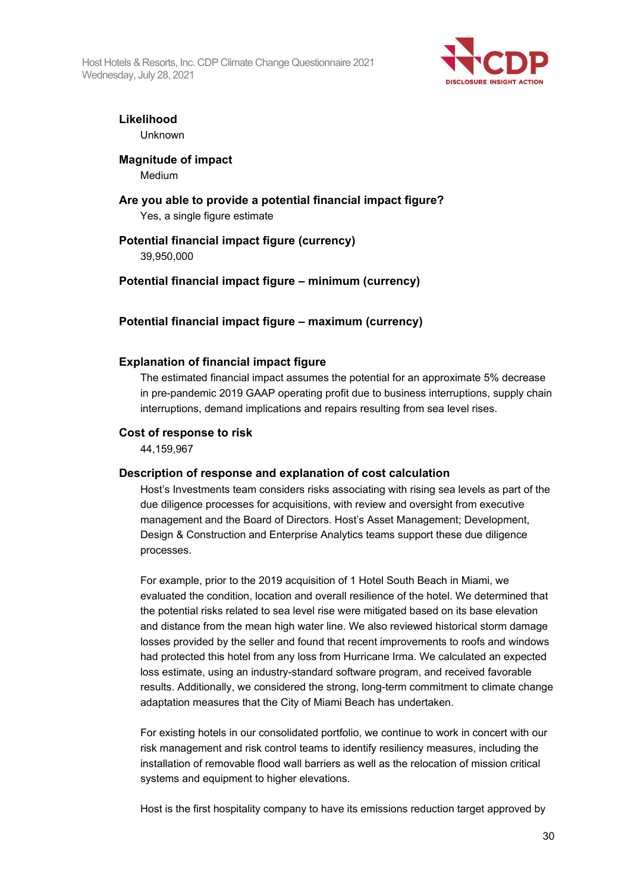Host Hotels & Resorts, Inc. CDP Climate Change Questionnaire 2021 Wednesday, July 28, 2021



## **Likelihood**

Unknown

### **Magnitude of impact**

Medium

## **Are you able to provide a potential financial impact figure?** Yes, a single figure estimate

## **Potential financial impact figure (currency)** 39,950,000

## **Potential financial impact figure – minimum (currency)**

## **Potential financial impact figure – maximum (currency)**

#### **Explanation of financial impact figure**

The estimated financial impact assumes the potential for an approximate 5% decrease in pre-pandemic 2019 GAAP operating profit due to business interruptions, supply chain interruptions, demand implications and repairs resulting from sea level rises.

#### **Cost of response to risk**

44,159,967

## **Description of response and explanation of cost calculation**

Host's Investments team considers risks associating with rising sea levels as part of the due diligence processes for acquisitions, with review and oversight from executive management and the Board of Directors. Host's Asset Management; Development, Design & Construction and Enterprise Analytics teams support these due diligence processes.

For example, prior to the 2019 acquisition of 1 Hotel South Beach in Miami, we evaluated the condition, location and overall resilience of the hotel. We determined that the potential risks related to sea level rise were mitigated based on its base elevation and distance from the mean high water line. We also reviewed historical storm damage losses provided by the seller and found that recent improvements to roofs and windows had protected this hotel from any loss from Hurricane Irma. We calculated an expected loss estimate, using an industry-standard software program, and received favorable results. Additionally, we considered the strong, long-term commitment to climate change adaptation measures that the City of Miami Beach has undertaken.

For existing hotels in our consolidated portfolio, we continue to work in concert with our risk management and risk control teams to identify resiliency measures, including the installation of removable flood wall barriers as well as the relocation of mission critical systems and equipment to higher elevations.

Host is the first hospitality company to have its emissions reduction target approved by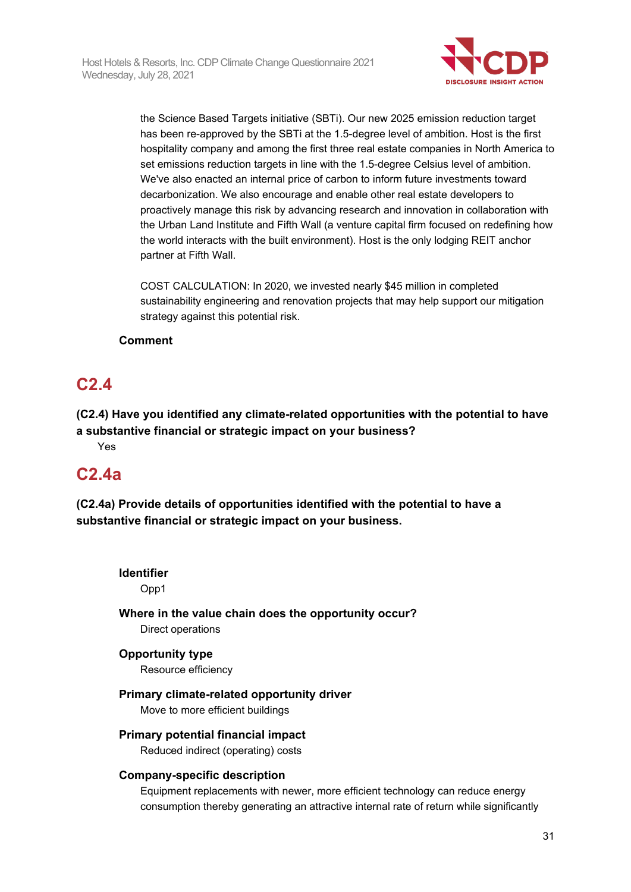

the Science Based Targets initiative (SBTi). Our new 2025 emission reduction target has been re-approved by the SBTi at the 1.5-degree level of ambition. Host is the first hospitality company and among the first three real estate companies in North America to set emissions reduction targets in line with the 1.5-degree Celsius level of ambition. We've also enacted an internal price of carbon to inform future investments toward decarbonization. We also encourage and enable other real estate developers to proactively manage this risk by advancing research and innovation in collaboration with the Urban Land Institute and Fifth Wall (a venture capital firm focused on redefining how the world interacts with the built environment). Host is the only lodging REIT anchor partner at Fifth Wall.

COST CALCULATION: In 2020, we invested nearly \$45 million in completed sustainability engineering and renovation projects that may help support our mitigation strategy against this potential risk.

## **Comment**

## **C2.4**

**(C2.4) Have you identified any climate-related opportunities with the potential to have a substantive financial or strategic impact on your business?** Yes

## **C2.4a**

**(C2.4a) Provide details of opportunities identified with the potential to have a substantive financial or strategic impact on your business.**

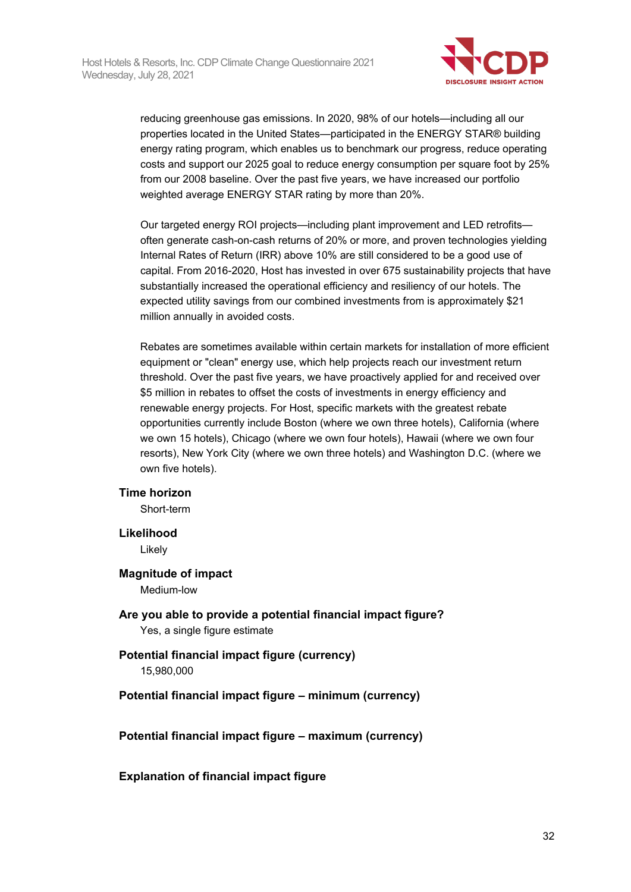

reducing greenhouse gas emissions. In 2020, 98% of our hotels—including all our properties located in the United States—participated in the ENERGY STAR® building energy rating program, which enables us to benchmark our progress, reduce operating costs and support our 2025 goal to reduce energy consumption per square foot by 25% from our 2008 baseline. Over the past five years, we have increased our portfolio weighted average ENERGY STAR rating by more than 20%.

Our targeted energy ROI projects—including plant improvement and LED retrofits often generate cash-on-cash returns of 20% or more, and proven technologies yielding Internal Rates of Return (IRR) above 10% are still considered to be a good use of capital. From 2016-2020, Host has invested in over 675 sustainability projects that have substantially increased the operational efficiency and resiliency of our hotels. The expected utility savings from our combined investments from is approximately \$21 million annually in avoided costs.

Rebates are sometimes available within certain markets for installation of more efficient equipment or "clean" energy use, which help projects reach our investment return threshold. Over the past five years, we have proactively applied for and received over \$5 million in rebates to offset the costs of investments in energy efficiency and renewable energy projects. For Host, specific markets with the greatest rebate opportunities currently include Boston (where we own three hotels), California (where we own 15 hotels), Chicago (where we own four hotels), Hawaii (where we own four resorts), New York City (where we own three hotels) and Washington D.C. (where we own five hotels).

#### **Time horizon**

Short-term

#### **Likelihood**

Likely

#### **Magnitude of impact**

Medium-low

**Are you able to provide a potential financial impact figure?** Yes, a single figure estimate

#### **Potential financial impact figure (currency)** 15,980,000

#### **Potential financial impact figure – minimum (currency)**

**Potential financial impact figure – maximum (currency)**

#### **Explanation of financial impact figure**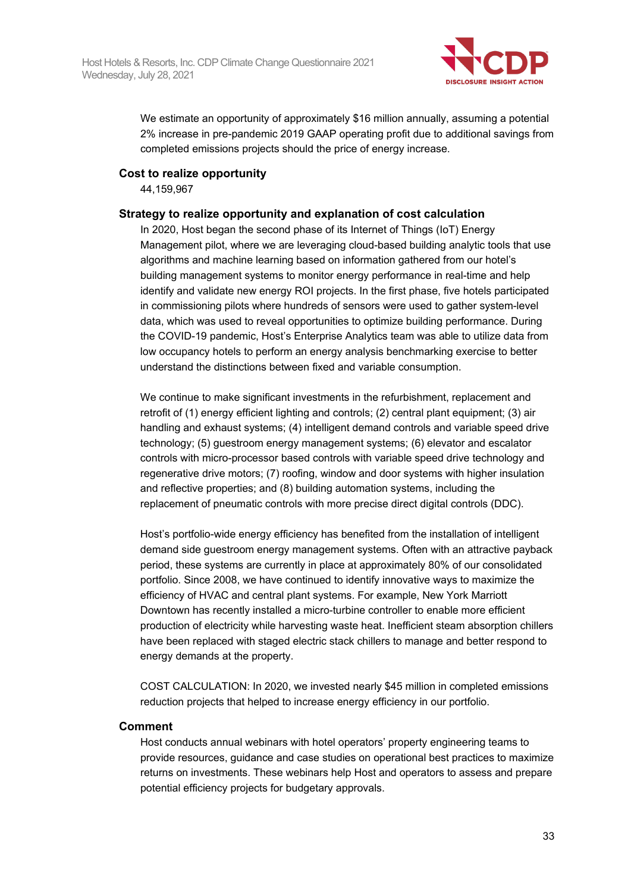

We estimate an opportunity of approximately \$16 million annually, assuming a potential 2% increase in pre-pandemic 2019 GAAP operating profit due to additional savings from completed emissions projects should the price of energy increase.

#### **Cost to realize opportunity**

44,159,967

#### **Strategy to realize opportunity and explanation of cost calculation**

In 2020, Host began the second phase of its Internet of Things (IoT) Energy Management pilot, where we are leveraging cloud-based building analytic tools that use algorithms and machine learning based on information gathered from our hotel's building management systems to monitor energy performance in real-time and help identify and validate new energy ROI projects. In the first phase, five hotels participated in commissioning pilots where hundreds of sensors were used to gather system-level data, which was used to reveal opportunities to optimize building performance. During the COVID-19 pandemic, Host's Enterprise Analytics team was able to utilize data from low occupancy hotels to perform an energy analysis benchmarking exercise to better understand the distinctions between fixed and variable consumption.

We continue to make significant investments in the refurbishment, replacement and retrofit of (1) energy efficient lighting and controls; (2) central plant equipment; (3) air handling and exhaust systems; (4) intelligent demand controls and variable speed drive technology; (5) guestroom energy management systems; (6) elevator and escalator controls with micro-processor based controls with variable speed drive technology and regenerative drive motors; (7) roofing, window and door systems with higher insulation and reflective properties; and (8) building automation systems, including the replacement of pneumatic controls with more precise direct digital controls (DDC).

Host's portfolio-wide energy efficiency has benefited from the installation of intelligent demand side guestroom energy management systems. Often with an attractive payback period, these systems are currently in place at approximately 80% of our consolidated portfolio. Since 2008, we have continued to identify innovative ways to maximize the efficiency of HVAC and central plant systems. For example, New York Marriott Downtown has recently installed a micro-turbine controller to enable more efficient production of electricity while harvesting waste heat. Inefficient steam absorption chillers have been replaced with staged electric stack chillers to manage and better respond to energy demands at the property.

COST CALCULATION: In 2020, we invested nearly \$45 million in completed emissions reduction projects that helped to increase energy efficiency in our portfolio.

#### **Comment**

Host conducts annual webinars with hotel operators' property engineering teams to provide resources, guidance and case studies on operational best practices to maximize returns on investments. These webinars help Host and operators to assess and prepare potential efficiency projects for budgetary approvals.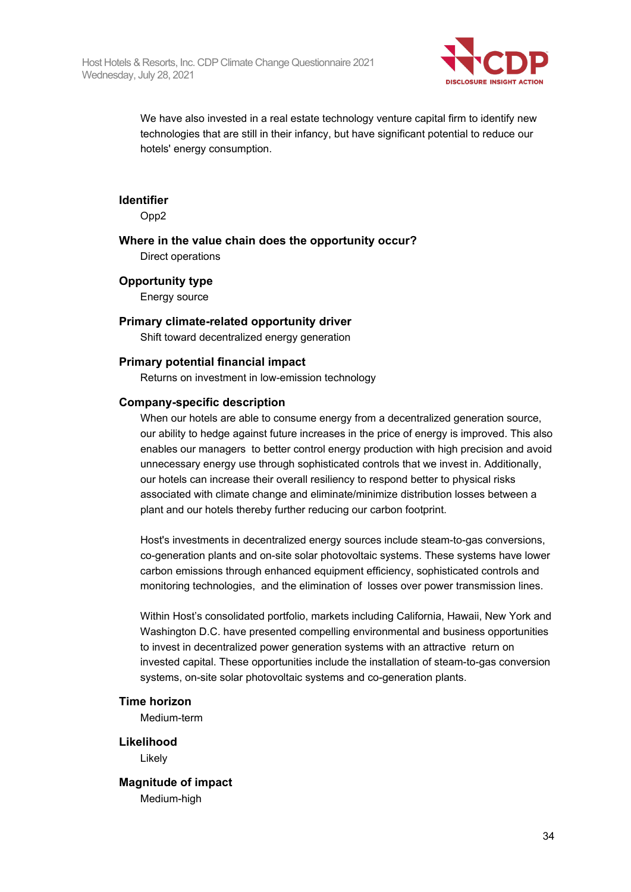

We have also invested in a real estate technology venture capital firm to identify new technologies that are still in their infancy, but have significant potential to reduce our hotels' energy consumption.

#### **Identifier**

Opp2

## **Where in the value chain does the opportunity occur?**

Direct operations

#### **Opportunity type**

Energy source

#### **Primary climate-related opportunity driver**

Shift toward decentralized energy generation

#### **Primary potential financial impact**

Returns on investment in low-emission technology

#### **Company-specific description**

When our hotels are able to consume energy from a decentralized generation source, our ability to hedge against future increases in the price of energy is improved. This also enables our managers to better control energy production with high precision and avoid unnecessary energy use through sophisticated controls that we invest in. Additionally, our hotels can increase their overall resiliency to respond better to physical risks associated with climate change and eliminate/minimize distribution losses between a plant and our hotels thereby further reducing our carbon footprint.

Host's investments in decentralized energy sources include steam-to-gas conversions, co-generation plants and on-site solar photovoltaic systems. These systems have lower carbon emissions through enhanced equipment efficiency, sophisticated controls and monitoring technologies, and the elimination of losses over power transmission lines.

Within Host's consolidated portfolio, markets including California, Hawaii, New York and Washington D.C. have presented compelling environmental and business opportunities to invest in decentralized power generation systems with an attractive return on invested capital. These opportunities include the installation of steam-to-gas conversion systems, on-site solar photovoltaic systems and co-generation plants.

#### **Time horizon**

Medium-term

**Likelihood** Likely

**Magnitude of impact** Medium-high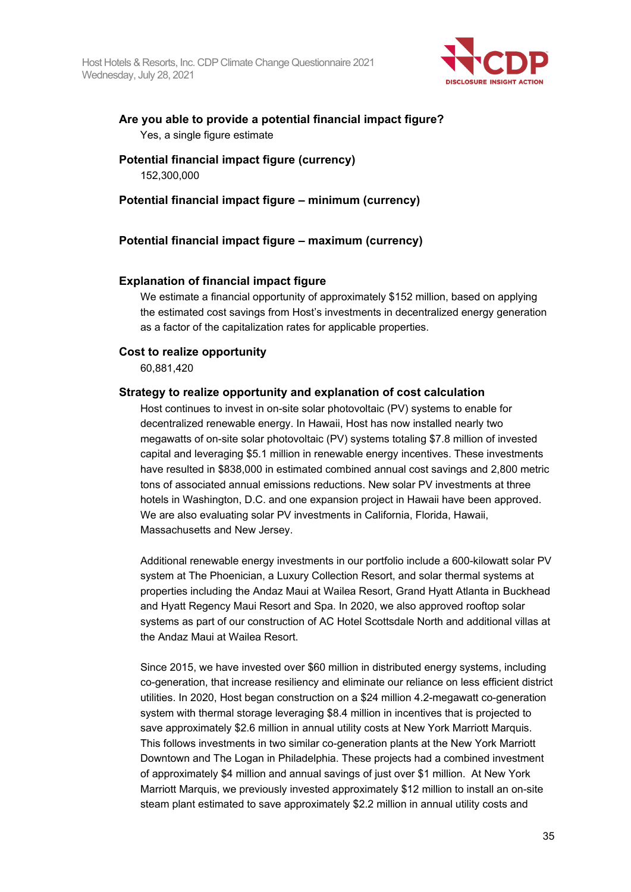

## **Are you able to provide a potential financial impact figure?** Yes, a single figure estimate

## **Potential financial impact figure (currency)** 152,300,000

## **Potential financial impact figure – minimum (currency)**

## **Potential financial impact figure – maximum (currency)**

## **Explanation of financial impact figure**

We estimate a financial opportunity of approximately \$152 million, based on applying the estimated cost savings from Host's investments in decentralized energy generation as a factor of the capitalization rates for applicable properties.

## **Cost to realize opportunity**

60,881,420

## **Strategy to realize opportunity and explanation of cost calculation**

Host continues to invest in on-site solar photovoltaic (PV) systems to enable for decentralized renewable energy. In Hawaii, Host has now installed nearly two megawatts of on-site solar photovoltaic (PV) systems totaling \$7.8 million of invested capital and leveraging \$5.1 million in renewable energy incentives. These investments have resulted in \$838,000 in estimated combined annual cost savings and 2,800 metric tons of associated annual emissions reductions. New solar PV investments at three hotels in Washington, D.C. and one expansion project in Hawaii have been approved. We are also evaluating solar PV investments in California, Florida, Hawaii, Massachusetts and New Jersey.

Additional renewable energy investments in our portfolio include a 600-kilowatt solar PV system at The Phoenician, a Luxury Collection Resort, and solar thermal systems at properties including the Andaz Maui at Wailea Resort, Grand Hyatt Atlanta in Buckhead and Hyatt Regency Maui Resort and Spa. In 2020, we also approved rooftop solar systems as part of our construction of AC Hotel Scottsdale North and additional villas at the Andaz Maui at Wailea Resort.

Since 2015, we have invested over \$60 million in distributed energy systems, including co-generation, that increase resiliency and eliminate our reliance on less efficient district utilities. In 2020, Host began construction on a \$24 million 4.2-megawatt co-generation system with thermal storage leveraging \$8.4 million in incentives that is projected to save approximately \$2.6 million in annual utility costs at New York Marriott Marquis. This follows investments in two similar co-generation plants at the New York Marriott Downtown and The Logan in Philadelphia. These projects had a combined investment of approximately \$4 million and annual savings of just over \$1 million. At New York Marriott Marquis, we previously invested approximately \$12 million to install an on-site steam plant estimated to save approximately \$2.2 million in annual utility costs and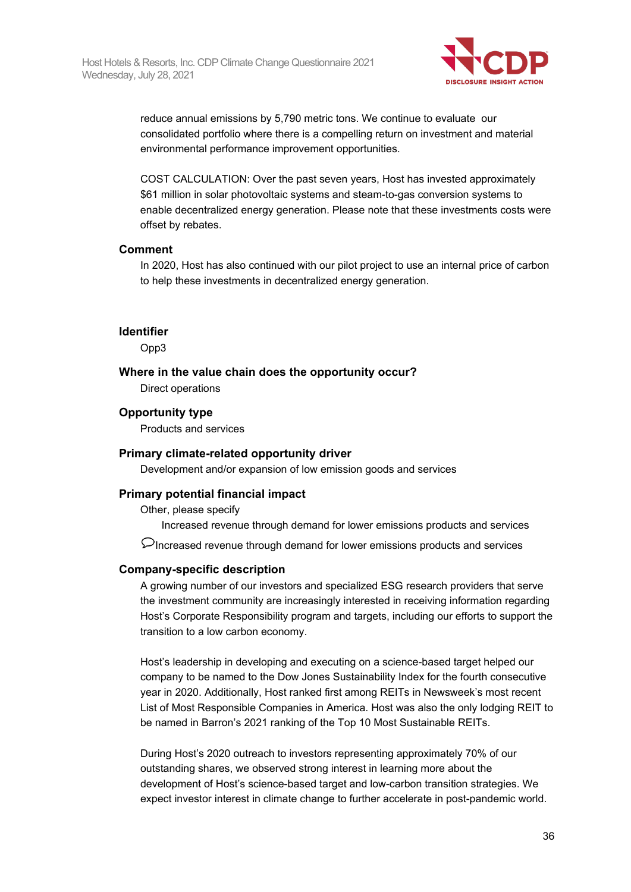

reduce annual emissions by 5,790 metric tons. We continue to evaluate our consolidated portfolio where there is a compelling return on investment and material environmental performance improvement opportunities.

COST CALCULATION: Over the past seven years, Host has invested approximately \$61 million in solar photovoltaic systems and steam-to-gas conversion systems to enable decentralized energy generation. Please note that these investments costs were offset by rebates.

#### **Comment**

In 2020, Host has also continued with our pilot project to use an internal price of carbon to help these investments in decentralized energy generation.

#### **Identifier**

Opp3

#### **Where in the value chain does the opportunity occur?**

Direct operations

#### **Opportunity type**

Products and services

#### **Primary climate-related opportunity driver**

Development and/or expansion of low emission goods and services

#### **Primary potential financial impact**

Other, please specify

Increased revenue through demand for lower emissions products and services

 $\mathcal D$  Increased revenue through demand for lower emissions products and services

#### **Company-specific description**

A growing number of our investors and specialized ESG research providers that serve the investment community are increasingly interested in receiving information regarding Host's Corporate Responsibility program and targets, including our efforts to support the transition to a low carbon economy.

Host's leadership in developing and executing on a science-based target helped our company to be named to the Dow Jones Sustainability Index for the fourth consecutive year in 2020. Additionally, Host ranked first among REITs in Newsweek's most recent List of Most Responsible Companies in America. Host was also the only lodging REIT to be named in Barron's 2021 ranking of the Top 10 Most Sustainable REITs.

During Host's 2020 outreach to investors representing approximately 70% of our outstanding shares, we observed strong interest in learning more about the development of Host's science-based target and low-carbon transition strategies. We expect investor interest in climate change to further accelerate in post-pandemic world.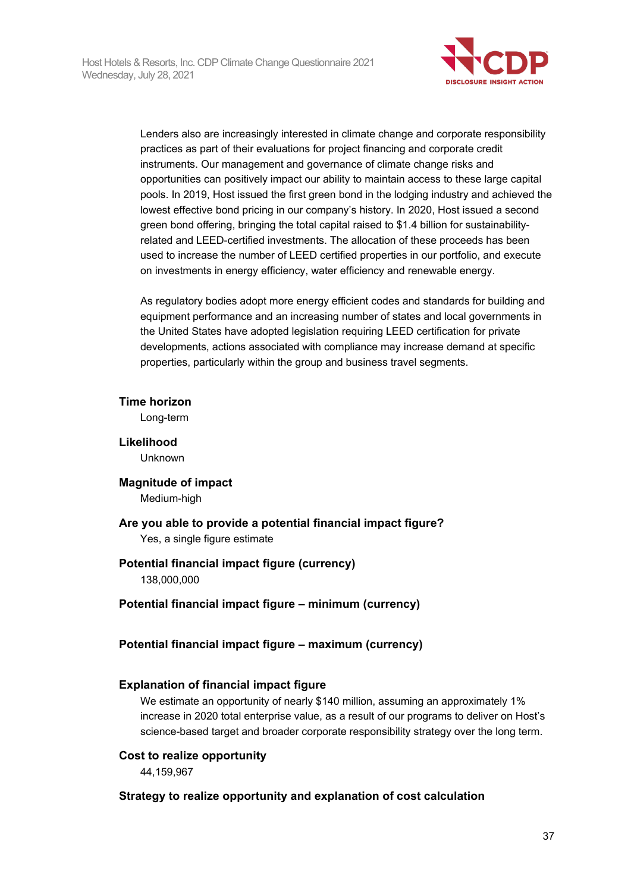

Lenders also are increasingly interested in climate change and corporate responsibility practices as part of their evaluations for project financing and corporate credit instruments. Our management and governance of climate change risks and opportunities can positively impact our ability to maintain access to these large capital pools. In 2019, Host issued the first green bond in the lodging industry and achieved the lowest effective bond pricing in our company's history. In 2020, Host issued a second green bond offering, bringing the total capital raised to \$1.4 billion for sustainabilityrelated and LEED-certified investments. The allocation of these proceeds has been used to increase the number of LEED certified properties in our portfolio, and execute on investments in energy efficiency, water efficiency and renewable energy.

As regulatory bodies adopt more energy efficient codes and standards for building and equipment performance and an increasing number of states and local governments in the United States have adopted legislation requiring LEED certification for private developments, actions associated with compliance may increase demand at specific properties, particularly within the group and business travel segments.

## **Time horizon**

Long-term

**Likelihood** Unknown

## **Magnitude of impact**

Medium-high

**Are you able to provide a potential financial impact figure?** Yes, a single figure estimate

## **Potential financial impact figure (currency)**

138,000,000

## **Potential financial impact figure – minimum (currency)**

## **Potential financial impact figure – maximum (currency)**

## **Explanation of financial impact figure**

We estimate an opportunity of nearly \$140 million, assuming an approximately 1% increase in 2020 total enterprise value, as a result of our programs to deliver on Host's science-based target and broader corporate responsibility strategy over the long term.

## **Cost to realize opportunity**

44,159,967

## **Strategy to realize opportunity and explanation of cost calculation**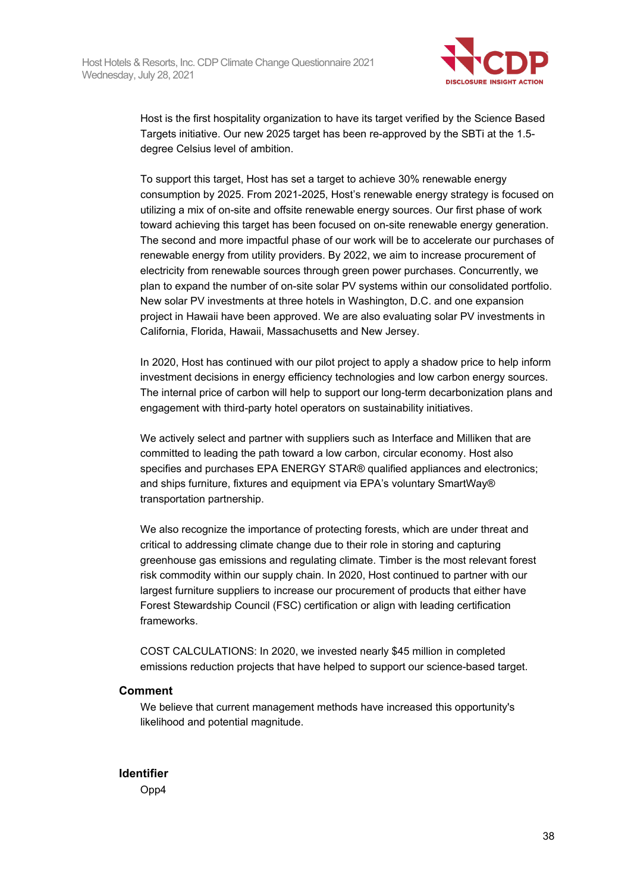

Host is the first hospitality organization to have its target verified by the Science Based Targets initiative. Our new 2025 target has been re-approved by the SBTi at the 1.5 degree Celsius level of ambition.

To support this target, Host has set a target to achieve 30% renewable energy consumption by 2025. From 2021-2025, Host's renewable energy strategy is focused on utilizing a mix of on-site and offsite renewable energy sources. Our first phase of work toward achieving this target has been focused on on-site renewable energy generation. The second and more impactful phase of our work will be to accelerate our purchases of renewable energy from utility providers. By 2022, we aim to increase procurement of electricity from renewable sources through green power purchases. Concurrently, we plan to expand the number of on-site solar PV systems within our consolidated portfolio. New solar PV investments at three hotels in Washington, D.C. and one expansion project in Hawaii have been approved. We are also evaluating solar PV investments in California, Florida, Hawaii, Massachusetts and New Jersey.

In 2020, Host has continued with our pilot project to apply a shadow price to help inform investment decisions in energy efficiency technologies and low carbon energy sources. The internal price of carbon will help to support our long-term decarbonization plans and engagement with third-party hotel operators on sustainability initiatives.

We actively select and partner with suppliers such as Interface and Milliken that are committed to leading the path toward a low carbon, circular economy. Host also specifies and purchases EPA ENERGY STAR® qualified appliances and electronics; and ships furniture, fixtures and equipment via EPA's voluntary SmartWay® transportation partnership.

We also recognize the importance of protecting forests, which are under threat and critical to addressing climate change due to their role in storing and capturing greenhouse gas emissions and regulating climate. Timber is the most relevant forest risk commodity within our supply chain. In 2020, Host continued to partner with our largest furniture suppliers to increase our procurement of products that either have Forest Stewardship Council (FSC) certification or align with leading certification frameworks.

COST CALCULATIONS: In 2020, we invested nearly \$45 million in completed emissions reduction projects that have helped to support our science-based target.

## **Comment**

We believe that current management methods have increased this opportunity's likelihood and potential magnitude.

**Identifier** Opp4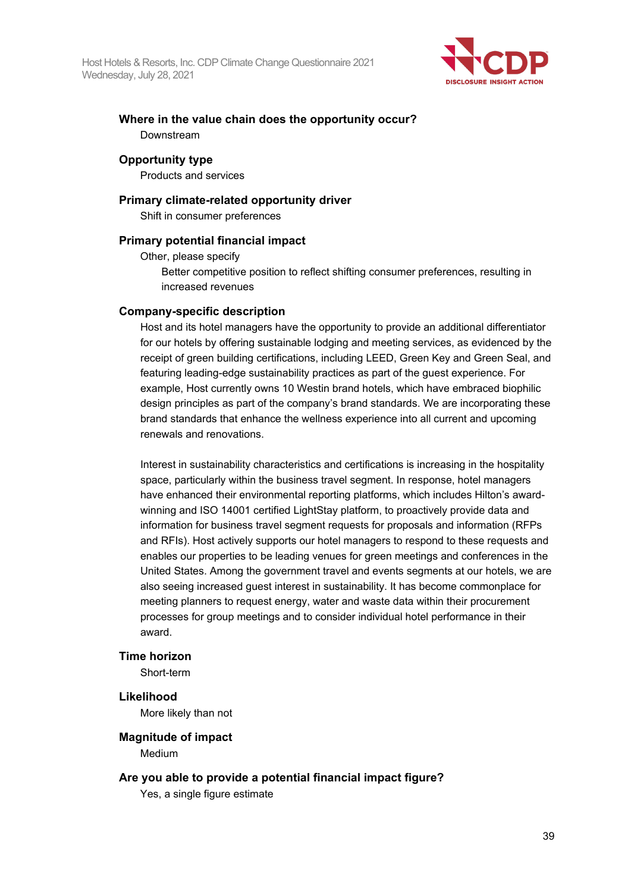

## **Where in the value chain does the opportunity occur?** Downstream

## **Opportunity type**

Products and services

## **Primary climate-related opportunity driver**

Shift in consumer preferences

## **Primary potential financial impact**

Other, please specify

Better competitive position to reflect shifting consumer preferences, resulting in increased revenues

## **Company-specific description**

Host and its hotel managers have the opportunity to provide an additional differentiator for our hotels by offering sustainable lodging and meeting services, as evidenced by the receipt of green building certifications, including LEED, Green Key and Green Seal, and featuring leading-edge sustainability practices as part of the guest experience. For example, Host currently owns 10 Westin brand hotels, which have embraced biophilic design principles as part of the company's brand standards. We are incorporating these brand standards that enhance the wellness experience into all current and upcoming renewals and renovations.

Interest in sustainability characteristics and certifications is increasing in the hospitality space, particularly within the business travel segment. In response, hotel managers have enhanced their environmental reporting platforms, which includes Hilton's awardwinning and ISO 14001 certified LightStay platform, to proactively provide data and information for business travel segment requests for proposals and information (RFPs and RFIs). Host actively supports our hotel managers to respond to these requests and enables our properties to be leading venues for green meetings and conferences in the United States. Among the government travel and events segments at our hotels, we are also seeing increased guest interest in sustainability. It has become commonplace for meeting planners to request energy, water and waste data within their procurement processes for group meetings and to consider individual hotel performance in their award.

## **Time horizon**

Short-term

## **Likelihood**

More likely than not

## **Magnitude of impact**

Medium

## **Are you able to provide a potential financial impact figure?**

Yes, a single figure estimate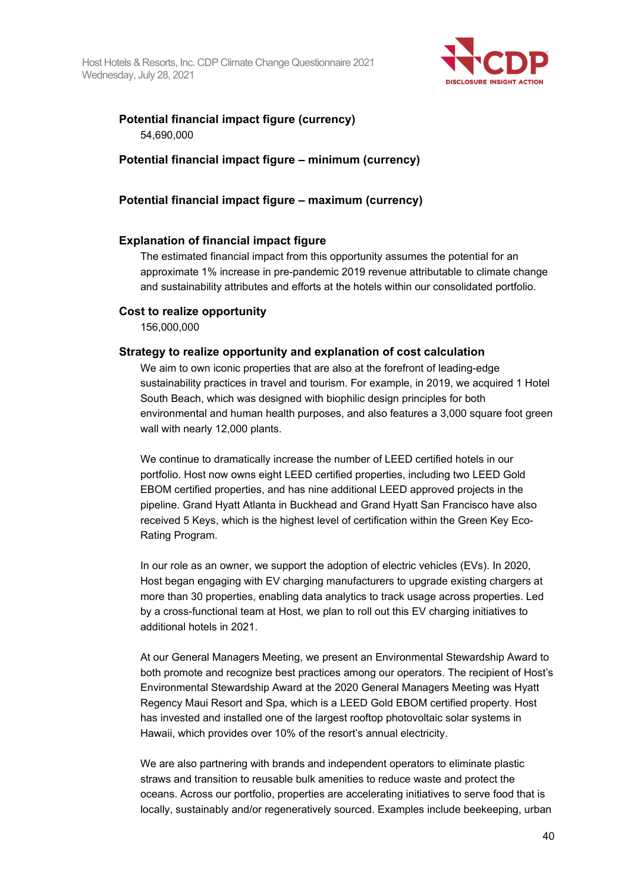

## **Potential financial impact figure (currency)** 54,690,000

## **Potential financial impact figure – minimum (currency)**

## **Potential financial impact figure – maximum (currency)**

## **Explanation of financial impact figure**

The estimated financial impact from this opportunity assumes the potential for an approximate 1% increase in pre-pandemic 2019 revenue attributable to climate change and sustainability attributes and efforts at the hotels within our consolidated portfolio.

## **Cost to realize opportunity**

156,000,000

## **Strategy to realize opportunity and explanation of cost calculation**

We aim to own iconic properties that are also at the forefront of leading-edge sustainability practices in travel and tourism. For example, in 2019, we acquired 1 Hotel South Beach, which was designed with biophilic design principles for both environmental and human health purposes, and also features a 3,000 square foot green wall with nearly 12,000 plants.

We continue to dramatically increase the number of LEED certified hotels in our portfolio. Host now owns eight LEED certified properties, including two LEED Gold EBOM certified properties, and has nine additional LEED approved projects in the pipeline. Grand Hyatt Atlanta in Buckhead and Grand Hyatt San Francisco have also received 5 Keys, which is the highest level of certification within the Green Key Eco-Rating Program.

In our role as an owner, we support the adoption of electric vehicles (EVs). In 2020, Host began engaging with EV charging manufacturers to upgrade existing chargers at more than 30 properties, enabling data analytics to track usage across properties. Led by a cross-functional team at Host, we plan to roll out this EV charging initiatives to additional hotels in 2021.

At our General Managers Meeting, we present an Environmental Stewardship Award to both promote and recognize best practices among our operators. The recipient of Host's Environmental Stewardship Award at the 2020 General Managers Meeting was Hyatt Regency Maui Resort and Spa, which is a LEED Gold EBOM certified property. Host has invested and installed one of the largest rooftop photovoltaic solar systems in Hawaii, which provides over 10% of the resort's annual electricity.

We are also partnering with brands and independent operators to eliminate plastic straws and transition to reusable bulk amenities to reduce waste and protect the oceans. Across our portfolio, properties are accelerating initiatives to serve food that is locally, sustainably and/or regeneratively sourced. Examples include beekeeping, urban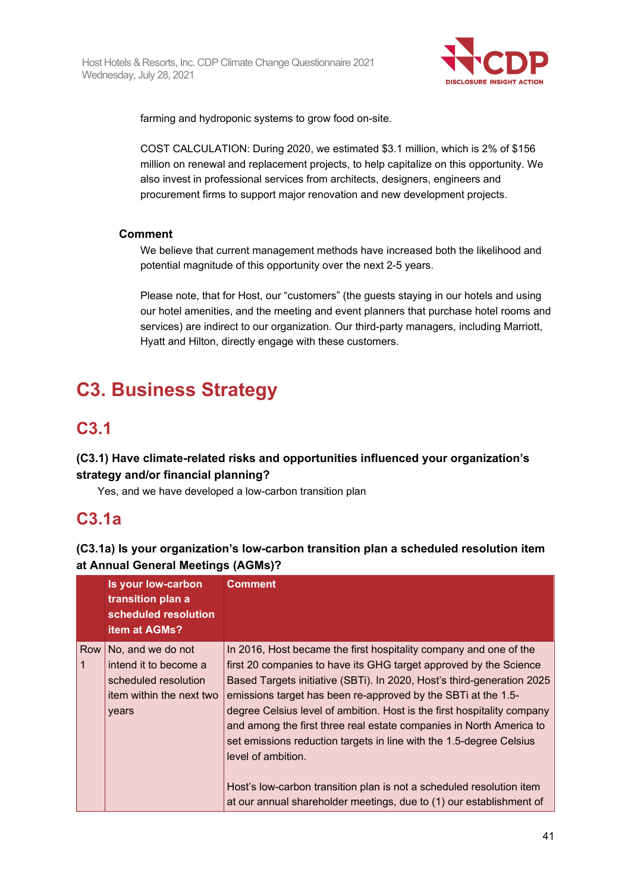

farming and hydroponic systems to grow food on-site.

COST CALCULATION: During 2020, we estimated \$3.1 million, which is 2% of \$156 million on renewal and replacement projects, to help capitalize on this opportunity. We also invest in professional services from architects, designers, engineers and procurement firms to support major renovation and new development projects.

## **Comment**

We believe that current management methods have increased both the likelihood and potential magnitude of this opportunity over the next 2-5 years.

Please note, that for Host, our "customers" (the guests staying in our hotels and using our hotel amenities, and the meeting and event planners that purchase hotel rooms and services) are indirect to our organization. Our third-party managers, including Marriott, Hyatt and Hilton, directly engage with these customers.

# **C3. Business Strategy**

# **C3.1**

## **(C3.1) Have climate-related risks and opportunities influenced your organization's strategy and/or financial planning?**

Yes, and we have developed a low-carbon transition plan

## **C3.1a**

## **(C3.1a) Is your organization's low-carbon transition plan a scheduled resolution item at Annual General Meetings (AGMs)?**

| Is your low-carbon<br>transition plan a<br>scheduled resolution<br><b>item at AGMs?</b>                       | <b>Comment</b>                                                                                                                                                                                                                                                                                                                                                                                                                                                                                                                                                                                                                                                                  |
|---------------------------------------------------------------------------------------------------------------|---------------------------------------------------------------------------------------------------------------------------------------------------------------------------------------------------------------------------------------------------------------------------------------------------------------------------------------------------------------------------------------------------------------------------------------------------------------------------------------------------------------------------------------------------------------------------------------------------------------------------------------------------------------------------------|
| Row   No, and we do not<br>intend it to become a<br>scheduled resolution<br>item within the next two<br>years | In 2016, Host became the first hospitality company and one of the<br>first 20 companies to have its GHG target approved by the Science<br>Based Targets initiative (SBTi). In 2020, Host's third-generation 2025<br>emissions target has been re-approved by the SBTi at the 1.5-<br>degree Celsius level of ambition. Host is the first hospitality company<br>and among the first three real estate companies in North America to<br>set emissions reduction targets in line with the 1.5-degree Celsius<br>level of ambition.<br>Host's low-carbon transition plan is not a scheduled resolution item<br>at our annual shareholder meetings, due to (1) our establishment of |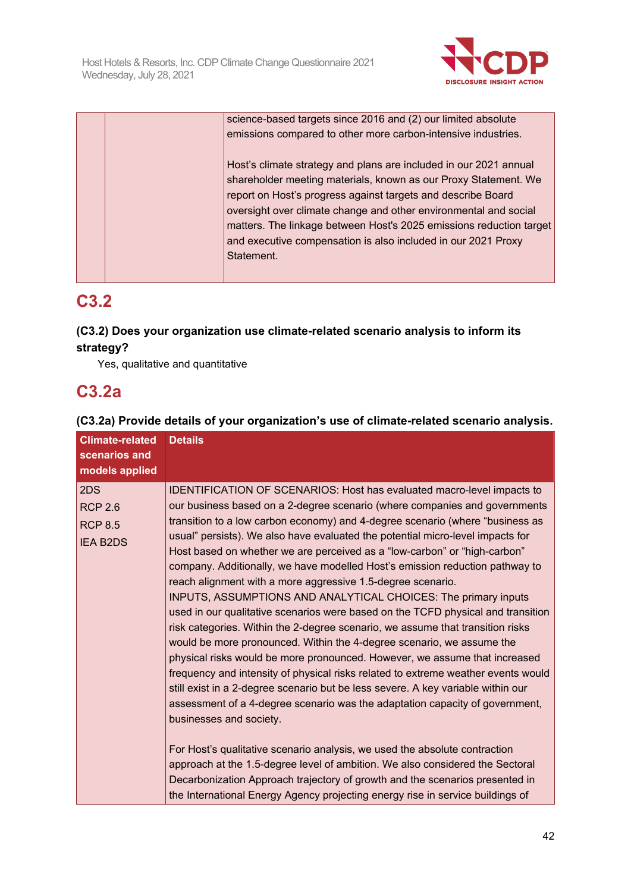

| science-based targets since 2016 and (2) our limited absolute<br>emissions compared to other more carbon-intensive industries.                                                                                                                                                                                                                                                                                                 |
|--------------------------------------------------------------------------------------------------------------------------------------------------------------------------------------------------------------------------------------------------------------------------------------------------------------------------------------------------------------------------------------------------------------------------------|
| Host's climate strategy and plans are included in our 2021 annual<br>shareholder meeting materials, known as our Proxy Statement. We<br>report on Host's progress against targets and describe Board<br>oversight over climate change and other environmental and social<br>matters. The linkage between Host's 2025 emissions reduction target<br>and executive compensation is also included in our 2021 Proxy<br>Statement. |

# **C3.2**

## **(C3.2) Does your organization use climate-related scenario analysis to inform its strategy?**

Yes, qualitative and quantitative

# **C3.2a**

## **(C3.2a) Provide details of your organization's use of climate-related scenario analysis.**

| <b>Climate-related</b><br>scenarios and<br>models applied  | <b>Details</b>                                                                                                                                                                                                                                                                                                                                                                                                                                                                                                                                                                                                                                                                                                                                                                                                                                                                                                                                                                                                                                                                                                                                                                                                                         |
|------------------------------------------------------------|----------------------------------------------------------------------------------------------------------------------------------------------------------------------------------------------------------------------------------------------------------------------------------------------------------------------------------------------------------------------------------------------------------------------------------------------------------------------------------------------------------------------------------------------------------------------------------------------------------------------------------------------------------------------------------------------------------------------------------------------------------------------------------------------------------------------------------------------------------------------------------------------------------------------------------------------------------------------------------------------------------------------------------------------------------------------------------------------------------------------------------------------------------------------------------------------------------------------------------------|
| 2DS<br><b>RCP 2.6</b><br><b>RCP 8.5</b><br><b>IEA B2DS</b> | IDENTIFICATION OF SCENARIOS: Host has evaluated macro-level impacts to<br>our business based on a 2-degree scenario (where companies and governments<br>transition to a low carbon economy) and 4-degree scenario (where "business as<br>usual" persists). We also have evaluated the potential micro-level impacts for<br>Host based on whether we are perceived as a "low-carbon" or "high-carbon"<br>company. Additionally, we have modelled Host's emission reduction pathway to<br>reach alignment with a more aggressive 1.5-degree scenario.<br>INPUTS, ASSUMPTIONS AND ANALYTICAL CHOICES: The primary inputs<br>used in our qualitative scenarios were based on the TCFD physical and transition<br>risk categories. Within the 2-degree scenario, we assume that transition risks<br>would be more pronounced. Within the 4-degree scenario, we assume the<br>physical risks would be more pronounced. However, we assume that increased<br>frequency and intensity of physical risks related to extreme weather events would<br>still exist in a 2-degree scenario but be less severe. A key variable within our<br>assessment of a 4-degree scenario was the adaptation capacity of government,<br>businesses and society. |
|                                                            | For Host's qualitative scenario analysis, we used the absolute contraction<br>approach at the 1.5-degree level of ambition. We also considered the Sectoral<br>Decarbonization Approach trajectory of growth and the scenarios presented in<br>the International Energy Agency projecting energy rise in service buildings of                                                                                                                                                                                                                                                                                                                                                                                                                                                                                                                                                                                                                                                                                                                                                                                                                                                                                                          |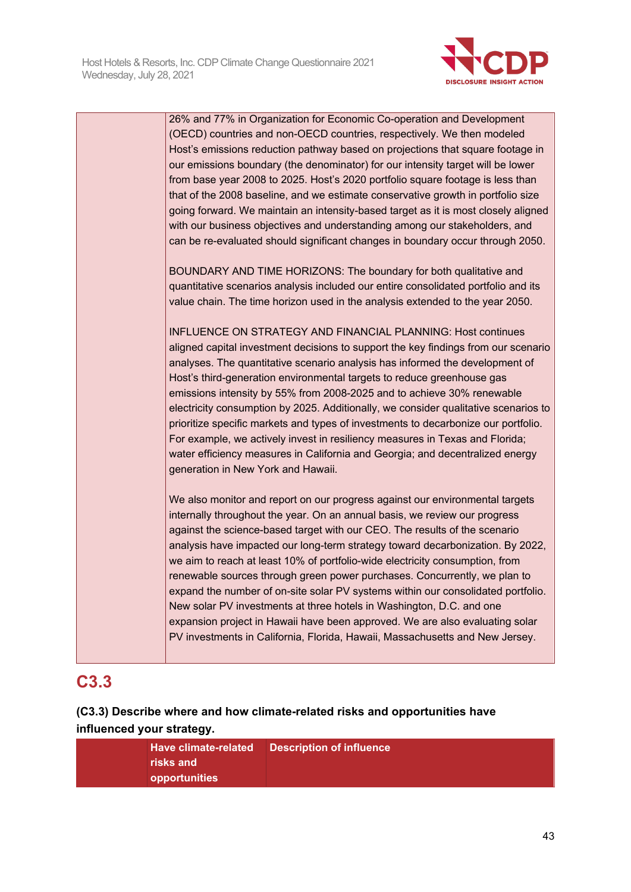

| 26% and 77% in Organization for Economic Co-operation and Development<br>(OECD) countries and non-OECD countries, respectively. We then modeled<br>Host's emissions reduction pathway based on projections that square footage in<br>our emissions boundary (the denominator) for our intensity target will be lower<br>from base year 2008 to 2025. Host's 2020 portfolio square footage is less than<br>that of the 2008 baseline, and we estimate conservative growth in portfolio size<br>going forward. We maintain an intensity-based target as it is most closely aligned<br>with our business objectives and understanding among our stakeholders, and<br>can be re-evaluated should significant changes in boundary occur through 2050.                                                                    |
|---------------------------------------------------------------------------------------------------------------------------------------------------------------------------------------------------------------------------------------------------------------------------------------------------------------------------------------------------------------------------------------------------------------------------------------------------------------------------------------------------------------------------------------------------------------------------------------------------------------------------------------------------------------------------------------------------------------------------------------------------------------------------------------------------------------------|
| BOUNDARY AND TIME HORIZONS: The boundary for both qualitative and<br>quantitative scenarios analysis included our entire consolidated portfolio and its<br>value chain. The time horizon used in the analysis extended to the year 2050.                                                                                                                                                                                                                                                                                                                                                                                                                                                                                                                                                                            |
| <b>INFLUENCE ON STRATEGY AND FINANCIAL PLANNING: Host continues</b><br>aligned capital investment decisions to support the key findings from our scenario<br>analyses. The quantitative scenario analysis has informed the development of<br>Host's third-generation environmental targets to reduce greenhouse gas<br>emissions intensity by 55% from 2008-2025 and to achieve 30% renewable<br>electricity consumption by 2025. Additionally, we consider qualitative scenarios to<br>prioritize specific markets and types of investments to decarbonize our portfolio.<br>For example, we actively invest in resiliency measures in Texas and Florida;<br>water efficiency measures in California and Georgia; and decentralized energy<br>generation in New York and Hawaii.                                   |
| We also monitor and report on our progress against our environmental targets<br>internally throughout the year. On an annual basis, we review our progress<br>against the science-based target with our CEO. The results of the scenario<br>analysis have impacted our long-term strategy toward decarbonization. By 2022,<br>we aim to reach at least 10% of portfolio-wide electricity consumption, from<br>renewable sources through green power purchases. Concurrently, we plan to<br>expand the number of on-site solar PV systems within our consolidated portfolio.<br>New solar PV investments at three hotels in Washington, D.C. and one<br>expansion project in Hawaii have been approved. We are also evaluating solar<br>PV investments in California, Florida, Hawaii, Massachusetts and New Jersey. |

# **C3.3**

## **(C3.3) Describe where and how climate-related risks and opportunities have influenced your strategy.**

| <b>Have climate-related</b> | <b>Description of influence</b> |
|-----------------------------|---------------------------------|
| risks and                   |                                 |
| opportunities               |                                 |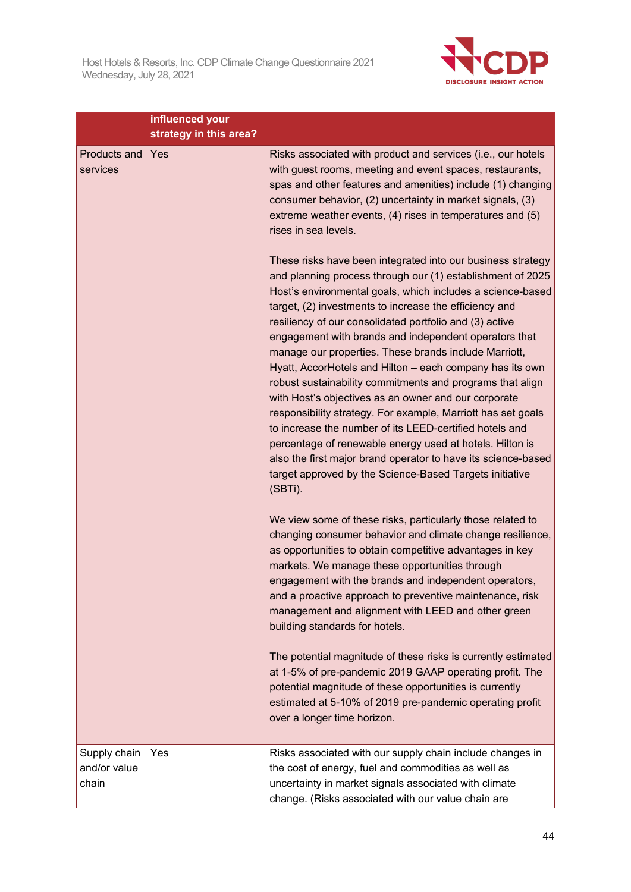

|                                       | influenced your<br>strategy in this area? |                                                                                                                                                                                                                                                                                                                                                                                                                                                                                                                                                                                                                                                                                                                                                                                                                                                                                                                                                                                                                                                                                                                                                                                                                                                                                            |
|---------------------------------------|-------------------------------------------|--------------------------------------------------------------------------------------------------------------------------------------------------------------------------------------------------------------------------------------------------------------------------------------------------------------------------------------------------------------------------------------------------------------------------------------------------------------------------------------------------------------------------------------------------------------------------------------------------------------------------------------------------------------------------------------------------------------------------------------------------------------------------------------------------------------------------------------------------------------------------------------------------------------------------------------------------------------------------------------------------------------------------------------------------------------------------------------------------------------------------------------------------------------------------------------------------------------------------------------------------------------------------------------------|
| Products and<br>services              | Yes                                       | Risks associated with product and services (i.e., our hotels<br>with guest rooms, meeting and event spaces, restaurants,<br>spas and other features and amenities) include (1) changing<br>consumer behavior, (2) uncertainty in market signals, (3)<br>extreme weather events, (4) rises in temperatures and (5)<br>rises in sea levels.<br>These risks have been integrated into our business strategy<br>and planning process through our (1) establishment of 2025<br>Host's environmental goals, which includes a science-based<br>target, (2) investments to increase the efficiency and<br>resiliency of our consolidated portfolio and (3) active<br>engagement with brands and independent operators that<br>manage our properties. These brands include Marriott,<br>Hyatt, AccorHotels and Hilton - each company has its own<br>robust sustainability commitments and programs that align<br>with Host's objectives as an owner and our corporate<br>responsibility strategy. For example, Marriott has set goals<br>to increase the number of its LEED-certified hotels and<br>percentage of renewable energy used at hotels. Hilton is<br>also the first major brand operator to have its science-based<br>target approved by the Science-Based Targets initiative<br>(SBTi). |
|                                       |                                           | We view some of these risks, particularly those related to<br>changing consumer behavior and climate change resilience,<br>as opportunities to obtain competitive advantages in key<br>markets. We manage these opportunities through<br>engagement with the brands and independent operators,<br>and a proactive approach to preventive maintenance, risk<br>management and alignment with LEED and other green<br>building standards for hotels.<br>The potential magnitude of these risks is currently estimated<br>at 1-5% of pre-pandemic 2019 GAAP operating profit. The<br>potential magnitude of these opportunities is currently<br>estimated at 5-10% of 2019 pre-pandemic operating profit<br>over a longer time horizon.                                                                                                                                                                                                                                                                                                                                                                                                                                                                                                                                                       |
| Supply chain<br>and/or value<br>chain | Yes                                       | Risks associated with our supply chain include changes in<br>the cost of energy, fuel and commodities as well as<br>uncertainty in market signals associated with climate<br>change. (Risks associated with our value chain are                                                                                                                                                                                                                                                                                                                                                                                                                                                                                                                                                                                                                                                                                                                                                                                                                                                                                                                                                                                                                                                            |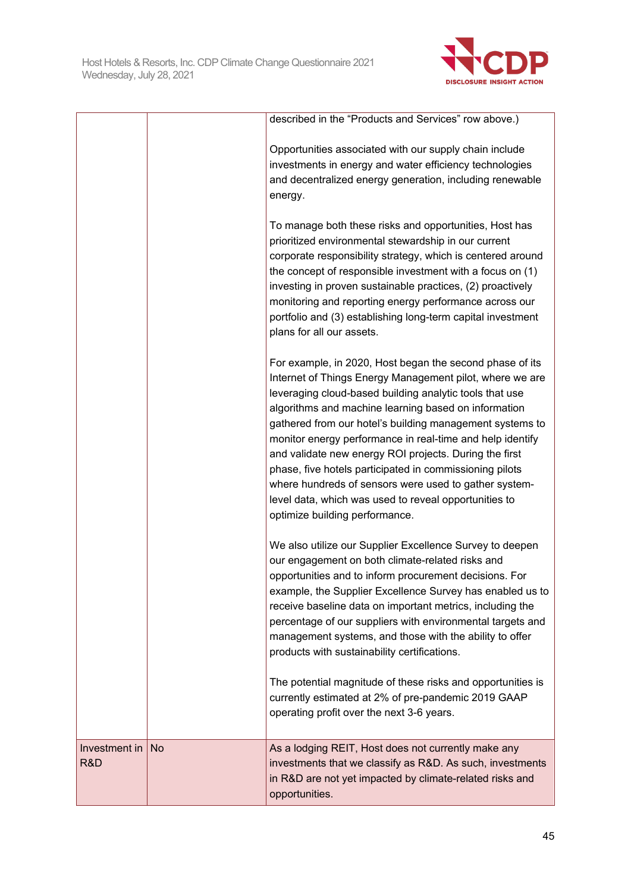

|                      |           | described in the "Products and Services" row above.)                                                                                                                                                                                                                                                                                                                                                                                                                                                                                                                                                                                      |
|----------------------|-----------|-------------------------------------------------------------------------------------------------------------------------------------------------------------------------------------------------------------------------------------------------------------------------------------------------------------------------------------------------------------------------------------------------------------------------------------------------------------------------------------------------------------------------------------------------------------------------------------------------------------------------------------------|
|                      |           | Opportunities associated with our supply chain include<br>investments in energy and water efficiency technologies<br>and decentralized energy generation, including renewable<br>energy.                                                                                                                                                                                                                                                                                                                                                                                                                                                  |
|                      |           | To manage both these risks and opportunities, Host has<br>prioritized environmental stewardship in our current<br>corporate responsibility strategy, which is centered around<br>the concept of responsible investment with a focus on (1)<br>investing in proven sustainable practices, (2) proactively<br>monitoring and reporting energy performance across our<br>portfolio and (3) establishing long-term capital investment<br>plans for all our assets.                                                                                                                                                                            |
|                      |           | For example, in 2020, Host began the second phase of its<br>Internet of Things Energy Management pilot, where we are<br>leveraging cloud-based building analytic tools that use<br>algorithms and machine learning based on information<br>gathered from our hotel's building management systems to<br>monitor energy performance in real-time and help identify<br>and validate new energy ROI projects. During the first<br>phase, five hotels participated in commissioning pilots<br>where hundreds of sensors were used to gather system-<br>level data, which was used to reveal opportunities to<br>optimize building performance. |
|                      |           | We also utilize our Supplier Excellence Survey to deepen<br>our engagement on both climate-related risks and<br>opportunities and to inform procurement decisions. For<br>example, the Supplier Excellence Survey has enabled us to<br>receive baseline data on important metrics, including the<br>percentage of our suppliers with environmental targets and<br>management systems, and those with the ability to offer<br>products with sustainability certifications.                                                                                                                                                                 |
|                      |           | The potential magnitude of these risks and opportunities is<br>currently estimated at 2% of pre-pandemic 2019 GAAP<br>operating profit over the next 3-6 years.                                                                                                                                                                                                                                                                                                                                                                                                                                                                           |
| Investment in<br>R&D | <b>No</b> | As a lodging REIT, Host does not currently make any<br>investments that we classify as R&D. As such, investments<br>in R&D are not yet impacted by climate-related risks and<br>opportunities.                                                                                                                                                                                                                                                                                                                                                                                                                                            |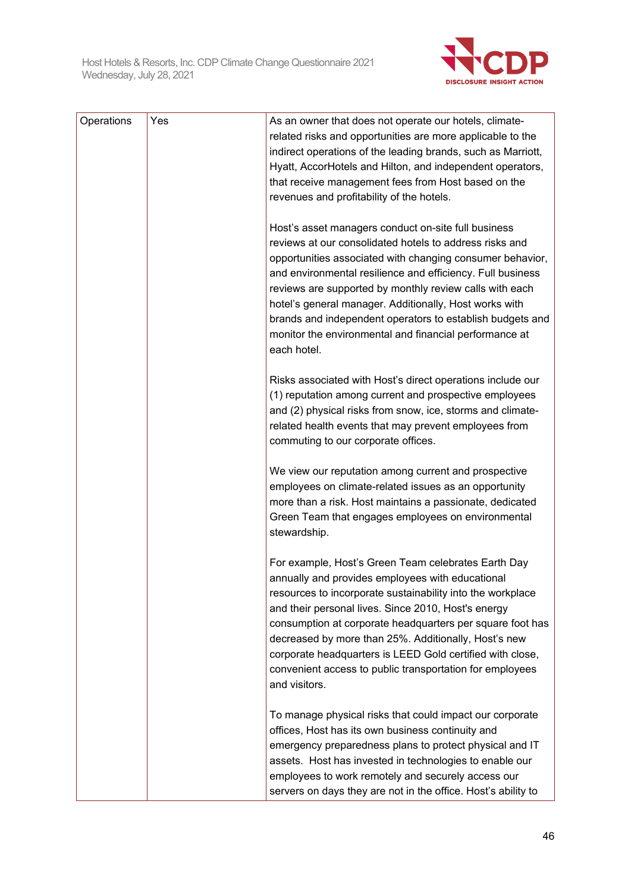

| Operations | Yes | As an owner that does not operate our hotels, climate-        |
|------------|-----|---------------------------------------------------------------|
|            |     | related risks and opportunities are more applicable to the    |
|            |     | indirect operations of the leading brands, such as Marriott,  |
|            |     | Hyatt, AccorHotels and Hilton, and independent operators,     |
|            |     | that receive management fees from Host based on the           |
|            |     | revenues and profitability of the hotels.                     |
|            |     |                                                               |
|            |     | Host's asset managers conduct on-site full business           |
|            |     | reviews at our consolidated hotels to address risks and       |
|            |     | opportunities associated with changing consumer behavior,     |
|            |     | and environmental resilience and efficiency. Full business    |
|            |     | reviews are supported by monthly review calls with each       |
|            |     | hotel's general manager. Additionally, Host works with        |
|            |     | brands and independent operators to establish budgets and     |
|            |     | monitor the environmental and financial performance at        |
|            |     | each hotel.                                                   |
|            |     |                                                               |
|            |     | Risks associated with Host's direct operations include our    |
|            |     | (1) reputation among current and prospective employees        |
|            |     | and (2) physical risks from snow, ice, storms and climate-    |
|            |     | related health events that may prevent employees from         |
|            |     | commuting to our corporate offices.                           |
|            |     |                                                               |
|            |     | We view our reputation among current and prospective          |
|            |     | employees on climate-related issues as an opportunity         |
|            |     | more than a risk. Host maintains a passionate, dedicated      |
|            |     | Green Team that engages employees on environmental            |
|            |     | stewardship.                                                  |
|            |     |                                                               |
|            |     | For example, Host's Green Team celebrates Earth Day           |
|            |     | annually and provides employees with educational              |
|            |     | resources to incorporate sustainability into the workplace    |
|            |     | and their personal lives. Since 2010, Host's energy           |
|            |     | consumption at corporate headquarters per square foot has     |
|            |     | decreased by more than 25%. Additionally, Host's new          |
|            |     | corporate headquarters is LEED Gold certified with close,     |
|            |     | convenient access to public transportation for employees      |
|            |     | and visitors.                                                 |
|            |     |                                                               |
|            |     | To manage physical risks that could impact our corporate      |
|            |     | offices, Host has its own business continuity and             |
|            |     | emergency preparedness plans to protect physical and IT       |
|            |     | assets. Host has invested in technologies to enable our       |
|            |     | employees to work remotely and securely access our            |
|            |     | servers on days they are not in the office. Host's ability to |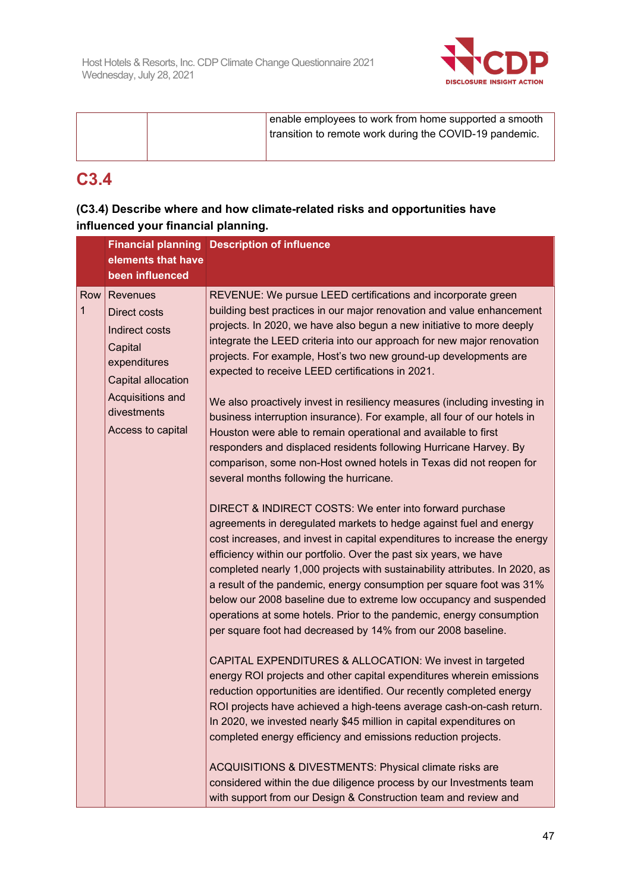

| enable employees to work from home supported a smooth   |
|---------------------------------------------------------|
| transition to remote work during the COVID-19 pandemic. |
|                                                         |

# **C3.4**

## **(C3.4) Describe where and how climate-related risks and opportunities have influenced your financial planning.**

|          |                                                                                                                                                            | <b>Financial planning Description of influence</b>                                                                                                                                                                                                                                                                                                                                                                                                                                                                                                                                                                                                                                                                                                                                                                                                                                                                                                                                                                                                                                                                                                                                                                                                                                                                                                                                                                                                                                                                                                                                                                                                                                                                                                                                                                                                                                                                                                                                                                                                                                                                         |
|----------|------------------------------------------------------------------------------------------------------------------------------------------------------------|----------------------------------------------------------------------------------------------------------------------------------------------------------------------------------------------------------------------------------------------------------------------------------------------------------------------------------------------------------------------------------------------------------------------------------------------------------------------------------------------------------------------------------------------------------------------------------------------------------------------------------------------------------------------------------------------------------------------------------------------------------------------------------------------------------------------------------------------------------------------------------------------------------------------------------------------------------------------------------------------------------------------------------------------------------------------------------------------------------------------------------------------------------------------------------------------------------------------------------------------------------------------------------------------------------------------------------------------------------------------------------------------------------------------------------------------------------------------------------------------------------------------------------------------------------------------------------------------------------------------------------------------------------------------------------------------------------------------------------------------------------------------------------------------------------------------------------------------------------------------------------------------------------------------------------------------------------------------------------------------------------------------------------------------------------------------------------------------------------------------------|
|          | elements that have<br>been influenced                                                                                                                      |                                                                                                                                                                                                                                                                                                                                                                                                                                                                                                                                                                                                                                                                                                                                                                                                                                                                                                                                                                                                                                                                                                                                                                                                                                                                                                                                                                                                                                                                                                                                                                                                                                                                                                                                                                                                                                                                                                                                                                                                                                                                                                                            |
| Row<br>1 | <b>Revenues</b><br>Direct costs<br>Indirect costs<br>Capital<br>expenditures<br>Capital allocation<br>Acquisitions and<br>divestments<br>Access to capital | REVENUE: We pursue LEED certifications and incorporate green<br>building best practices in our major renovation and value enhancement<br>projects. In 2020, we have also begun a new initiative to more deeply<br>integrate the LEED criteria into our approach for new major renovation<br>projects. For example, Host's two new ground-up developments are<br>expected to receive LEED certifications in 2021.<br>We also proactively invest in resiliency measures (including investing in<br>business interruption insurance). For example, all four of our hotels in<br>Houston were able to remain operational and available to first<br>responders and displaced residents following Hurricane Harvey. By<br>comparison, some non-Host owned hotels in Texas did not reopen for<br>several months following the hurricane.<br>DIRECT & INDIRECT COSTS: We enter into forward purchase<br>agreements in deregulated markets to hedge against fuel and energy<br>cost increases, and invest in capital expenditures to increase the energy<br>efficiency within our portfolio. Over the past six years, we have<br>completed nearly 1,000 projects with sustainability attributes. In 2020, as<br>a result of the pandemic, energy consumption per square foot was 31%<br>below our 2008 baseline due to extreme low occupancy and suspended<br>operations at some hotels. Prior to the pandemic, energy consumption<br>per square foot had decreased by 14% from our 2008 baseline.<br>CAPITAL EXPENDITURES & ALLOCATION: We invest in targeted<br>energy ROI projects and other capital expenditures wherein emissions<br>reduction opportunities are identified. Our recently completed energy<br>ROI projects have achieved a high-teens average cash-on-cash return.<br>In 2020, we invested nearly \$45 million in capital expenditures on<br>completed energy efficiency and emissions reduction projects.<br>ACQUISITIONS & DIVESTMENTS: Physical climate risks are<br>considered within the due diligence process by our Investments team<br>with support from our Design & Construction team and review and |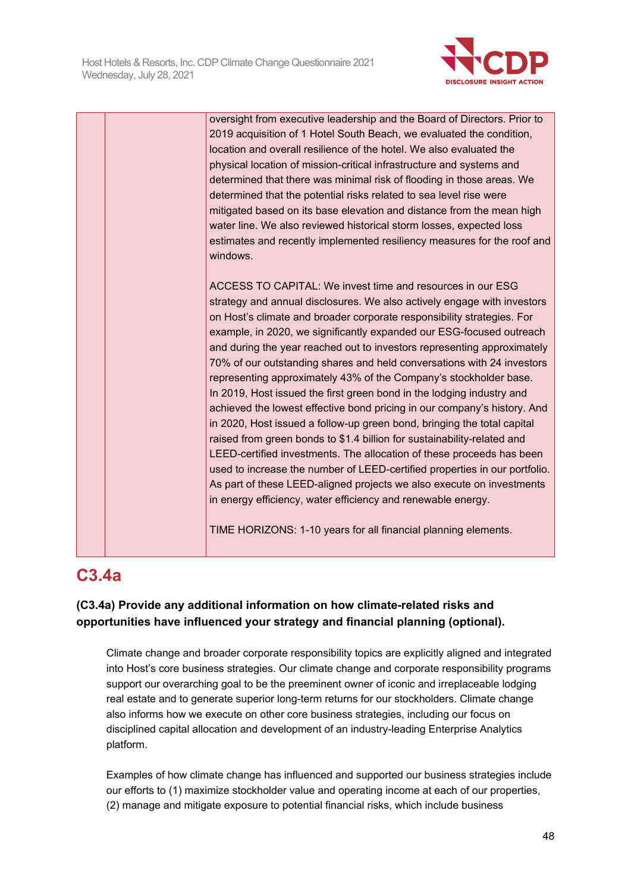

oversight from executive leadership and the Board of Directors. Prior to 2019 acquisition of 1 Hotel South Beach, we evaluated the condition, location and overall resilience of the hotel. We also evaluated the physical location of mission-critical infrastructure and systems and determined that there was minimal risk of flooding in those areas. We determined that the potential risks related to sea level rise were mitigated based on its base elevation and distance from the mean high water line. We also reviewed historical storm losses, expected loss estimates and recently implemented resiliency measures for the roof and windows. ACCESS TO CAPITAL: We invest time and resources in our ESG strategy and annual disclosures. We also actively engage with investors on Host's climate and broader corporate responsibility strategies. For example, in 2020, we significantly expanded our ESG-focused outreach and during the year reached out to investors representing approximately 70% of our outstanding shares and held conversations with 24 investors representing approximately 43% of the Company's stockholder base. In 2019, Host issued the first green bond in the lodging industry and achieved the lowest effective bond pricing in our company's history. And in 2020, Host issued a follow-up green bond, bringing the total capital raised from green bonds to \$1.4 billion for sustainability-related and LEED-certified investments. The allocation of these proceeds has been used to increase the number of LEED-certified properties in our portfolio. As part of these LEED-aligned projects we also execute on investments in energy efficiency, water efficiency and renewable energy. TIME HORIZONS: 1-10 years for all financial planning elements.

# **C3.4a**

## **(C3.4a) Provide any additional information on how climate-related risks and opportunities have influenced your strategy and financial planning (optional).**

Climate change and broader corporate responsibility topics are explicitly aligned and integrated into Host's core business strategies. Our climate change and corporate responsibility programs support our overarching goal to be the preeminent owner of iconic and irreplaceable lodging real estate and to generate superior long-term returns for our stockholders. Climate change also informs how we execute on other core business strategies, including our focus on disciplined capital allocation and development of an industry-leading Enterprise Analytics platform.

Examples of how climate change has influenced and supported our business strategies include our efforts to (1) maximize stockholder value and operating income at each of our properties, (2) manage and mitigate exposure to potential financial risks, which include business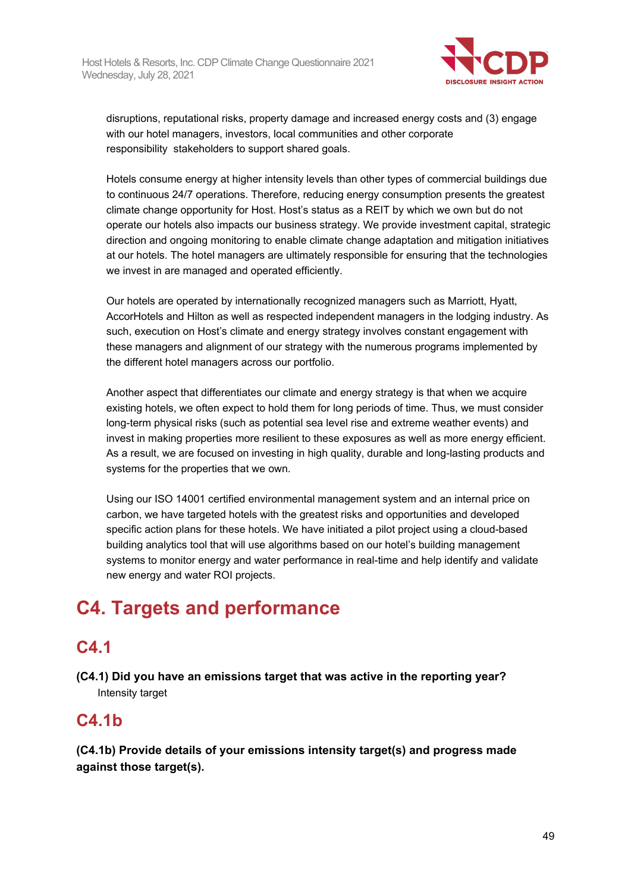

disruptions, reputational risks, property damage and increased energy costs and (3) engage with our hotel managers, investors, local communities and other corporate responsibility stakeholders to support shared goals.

Hotels consume energy at higher intensity levels than other types of commercial buildings due to continuous 24/7 operations. Therefore, reducing energy consumption presents the greatest climate change opportunity for Host. Host's status as a REIT by which we own but do not operate our hotels also impacts our business strategy. We provide investment capital, strategic direction and ongoing monitoring to enable climate change adaptation and mitigation initiatives at our hotels. The hotel managers are ultimately responsible for ensuring that the technologies we invest in are managed and operated efficiently.

Our hotels are operated by internationally recognized managers such as Marriott, Hyatt, AccorHotels and Hilton as well as respected independent managers in the lodging industry. As such, execution on Host's climate and energy strategy involves constant engagement with these managers and alignment of our strategy with the numerous programs implemented by the different hotel managers across our portfolio.

Another aspect that differentiates our climate and energy strategy is that when we acquire existing hotels, we often expect to hold them for long periods of time. Thus, we must consider long-term physical risks (such as potential sea level rise and extreme weather events) and invest in making properties more resilient to these exposures as well as more energy efficient. As a result, we are focused on investing in high quality, durable and long-lasting products and systems for the properties that we own.

Using our ISO 14001 certified environmental management system and an internal price on carbon, we have targeted hotels with the greatest risks and opportunities and developed specific action plans for these hotels. We have initiated a pilot project using a cloud-based building analytics tool that will use algorithms based on our hotel's building management systems to monitor energy and water performance in real-time and help identify and validate new energy and water ROI projects.

# **C4. Targets and performance**

# **C4.1**

**(C4.1) Did you have an emissions target that was active in the reporting year?** Intensity target

# **C4.1b**

**(C4.1b) Provide details of your emissions intensity target(s) and progress made against those target(s).**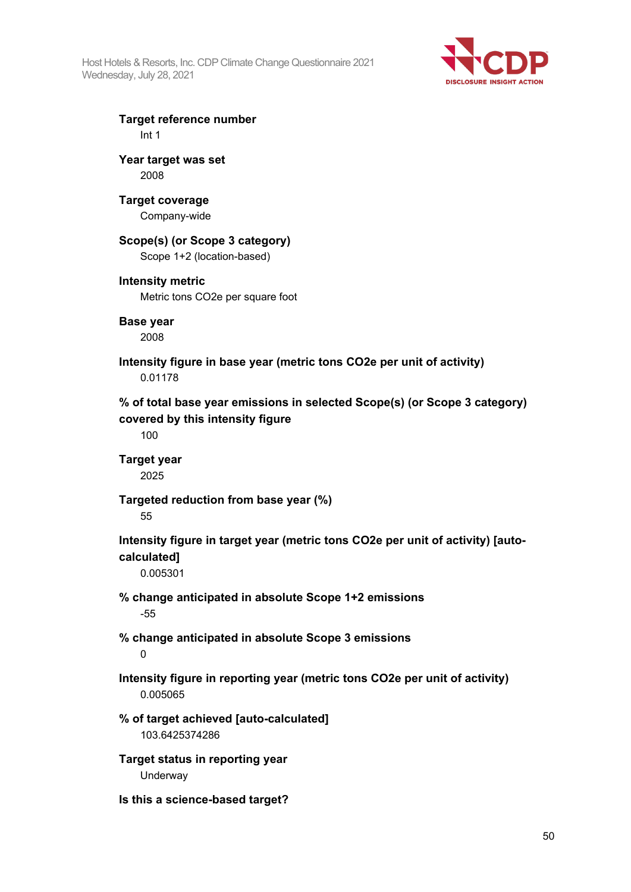Host Hotels & Resorts, Inc. CDP Climate Change Questionnaire 2021 Wednesday, July 28, 2021



**Target reference number** Int 1

**Year target was set** 2008

**Target coverage**

Company-wide

## **Scope(s) (or Scope 3 category)**

Scope 1+2 (location-based)

## **Intensity metric**

Metric tons CO2e per square foot

**Base year**

2008

**Intensity figure in base year (metric tons CO2e per unit of activity)** 0.01178

**% of total base year emissions in selected Scope(s) (or Scope 3 category) covered by this intensity figure**

100

**Target year** 2025

**Targeted reduction from base year (%)**

55

**Intensity figure in target year (metric tons CO2e per unit of activity) [autocalculated]**

0.005301

- **% change anticipated in absolute Scope 1+2 emissions** -55
- **% change anticipated in absolute Scope 3 emissions**

 $\Omega$ 

**Intensity figure in reporting year (metric tons CO2e per unit of activity)** 0.005065

**% of target achieved [auto-calculated]** 103.6425374286

**Target status in reporting year** Underway

**Is this a science-based target?**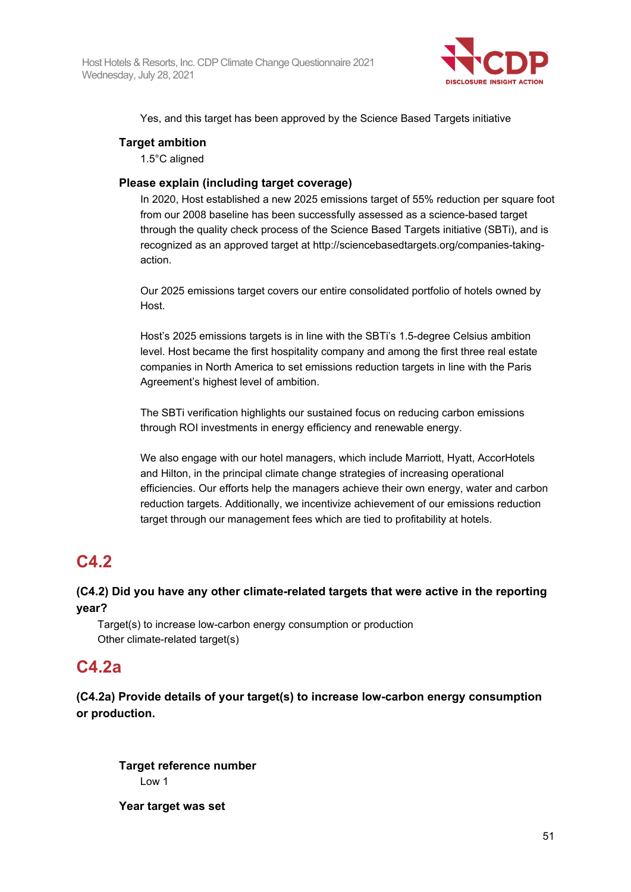

Yes, and this target has been approved by the Science Based Targets initiative

## **Target ambition**

1.5°C aligned

## **Please explain (including target coverage)**

In 2020, Host established a new 2025 emissions target of 55% reduction per square foot from our 2008 baseline has been successfully assessed as a science-based target through the quality check process of the Science Based Targets initiative (SBTi), and is recognized as an approved target at http://sciencebasedtargets.org/companies-takingaction.

Our 2025 emissions target covers our entire consolidated portfolio of hotels owned by Host.

Host's 2025 emissions targets is in line with the SBTi's 1.5-degree Celsius ambition level. Host became the first hospitality company and among the first three real estate companies in North America to set emissions reduction targets in line with the Paris Agreement's highest level of ambition.

The SBTi verification highlights our sustained focus on reducing carbon emissions through ROI investments in energy efficiency and renewable energy.

We also engage with our hotel managers, which include Marriott, Hyatt, AccorHotels and Hilton, in the principal climate change strategies of increasing operational efficiencies. Our efforts help the managers achieve their own energy, water and carbon reduction targets. Additionally, we incentivize achievement of our emissions reduction target through our management fees which are tied to profitability at hotels.

# **C4.2**

## **(C4.2) Did you have any other climate-related targets that were active in the reporting year?**

Target(s) to increase low-carbon energy consumption or production Other climate-related target(s)

## **C4.2a**

**(C4.2a) Provide details of your target(s) to increase low-carbon energy consumption or production.**

**Target reference number** Low 1

**Year target was set**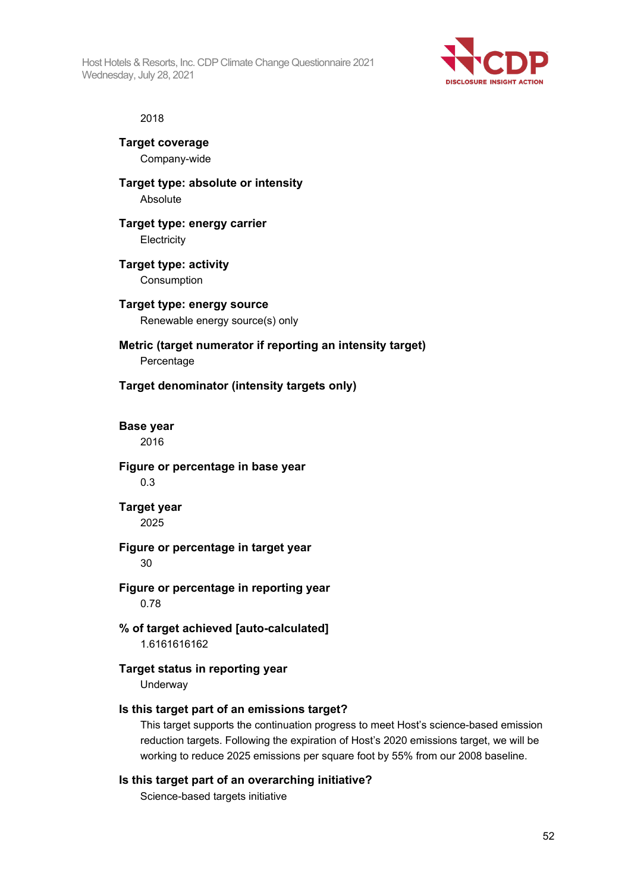Host Hotels & Resorts, Inc. CDP Climate Change Questionnaire 2021 Wednesday, July 28, 2021



#### 2018

**Target coverage** Company-wide

**Target type: absolute or intensity** Absolute

## **Target type: energy carrier Electricity**

- **Target type: activity** Consumption
- **Target type: energy source** Renewable energy source(s) only

## **Metric (target numerator if reporting an intensity target)** Percentage

## **Target denominator (intensity targets only)**

**Base year** 2016

**Figure or percentage in base year** 0.3

## **Target year** 2025

## **Figure or percentage in target year**

30

## **Figure or percentage in reporting year** 0.78

**% of target achieved [auto-calculated]** 1.6161616162

## **Target status in reporting year**

Underway

## **Is this target part of an emissions target?**

This target supports the continuation progress to meet Host's science-based emission reduction targets. Following the expiration of Host's 2020 emissions target, we will be working to reduce 2025 emissions per square foot by 55% from our 2008 baseline.

## **Is this target part of an overarching initiative?**

Science-based targets initiative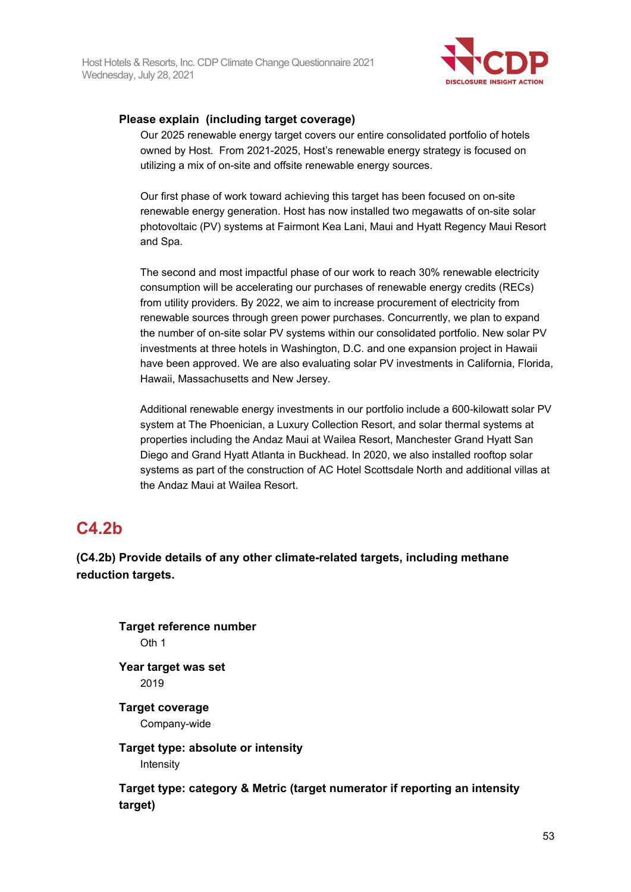

## **Please explain (including target coverage)**

Our 2025 renewable energy target covers our entire consolidated portfolio of hotels owned by Host. From 2021-2025, Host's renewable energy strategy is focused on utilizing a mix of on-site and offsite renewable energy sources.

Our first phase of work toward achieving this target has been focused on on-site renewable energy generation. Host has now installed two megawatts of on-site solar photovoltaic (PV) systems at Fairmont Kea Lani, Maui and Hyatt Regency Maui Resort and Spa.

The second and most impactful phase of our work to reach 30% renewable electricity consumption will be accelerating our purchases of renewable energy credits (RECs) from utility providers. By 2022, we aim to increase procurement of electricity from renewable sources through green power purchases. Concurrently, we plan to expand the number of on-site solar PV systems within our consolidated portfolio. New solar PV investments at three hotels in Washington, D.C. and one expansion project in Hawaii have been approved. We are also evaluating solar PV investments in California, Florida, Hawaii, Massachusetts and New Jersey.

Additional renewable energy investments in our portfolio include a 600-kilowatt solar PV system at The Phoenician, a Luxury Collection Resort, and solar thermal systems at properties including the Andaz Maui at Wailea Resort, Manchester Grand Hyatt San Diego and Grand Hyatt Atlanta in Buckhead. In 2020, we also installed rooftop solar systems as part of the construction of AC Hotel Scottsdale North and additional villas at the Andaz Maui at Wailea Resort.

# **C4.2b**

**(C4.2b) Provide details of any other climate-related targets, including methane reduction targets.**

**Target reference number** Oth 1 **Year target was set** 2019 **Target coverage** Company-wide **Target type: absolute or intensity** Intensity **Target type: category & Metric (target numerator if reporting an intensity target)**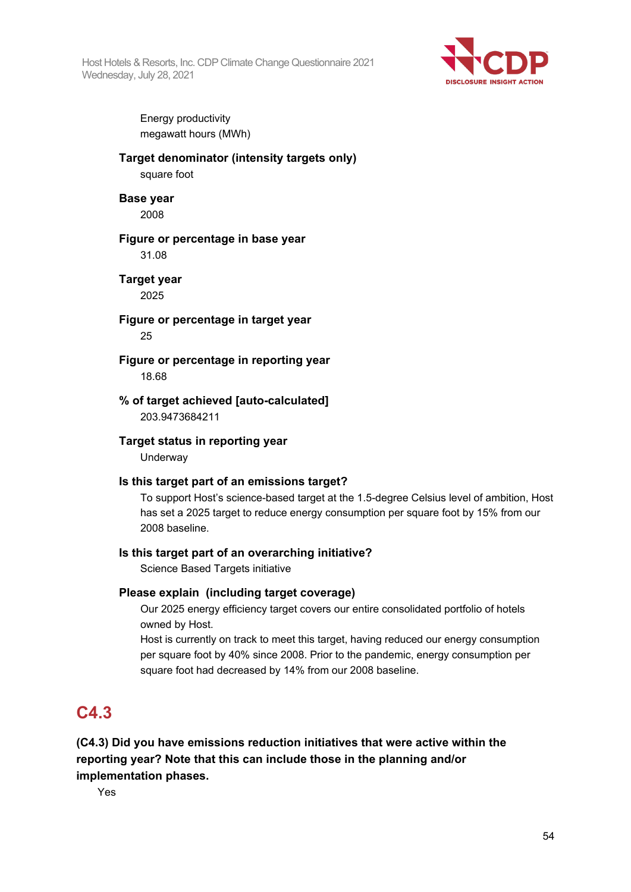Host Hotels & Resorts, Inc. CDP Climate Change Questionnaire 2021 Wednesday, July 28, 2021



Energy productivity megawatt hours (MWh)

## **Target denominator (intensity targets only)**

square foot

## **Base year**

2008

## **Figure or percentage in base year**

31.08

# **Target year**

2025

## **Figure or percentage in target year** 25

**Figure or percentage in reporting year** 18.68

## **% of target achieved [auto-calculated]** 203.9473684211

## **Target status in reporting year**

Underway

## **Is this target part of an emissions target?**

To support Host's science-based target at the 1.5-degree Celsius level of ambition, Host has set a 2025 target to reduce energy consumption per square foot by 15% from our 2008 baseline.

## **Is this target part of an overarching initiative?**

Science Based Targets initiative

## **Please explain (including target coverage)**

Our 2025 energy efficiency target covers our entire consolidated portfolio of hotels owned by Host.

Host is currently on track to meet this target, having reduced our energy consumption per square foot by 40% since 2008. Prior to the pandemic, energy consumption per square foot had decreased by 14% from our 2008 baseline.

# **C4.3**

**(C4.3) Did you have emissions reduction initiatives that were active within the reporting year? Note that this can include those in the planning and/or implementation phases.**

Yes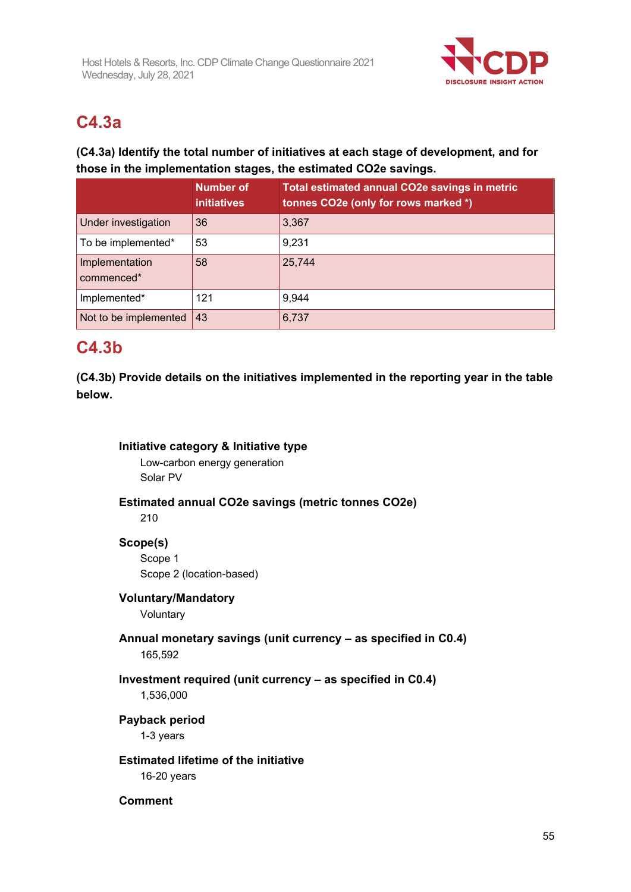

# **C4.3a**

## **(C4.3a) Identify the total number of initiatives at each stage of development, and for those in the implementation stages, the estimated CO2e savings.**

|                              | <b>Number of</b><br><b>initiatives</b> | Total estimated annual CO2e savings in metric<br>tonnes CO2e (only for rows marked *) |
|------------------------------|----------------------------------------|---------------------------------------------------------------------------------------|
| Under investigation          | 36                                     | 3,367                                                                                 |
| To be implemented*           | 53                                     | 9,231                                                                                 |
| Implementation<br>commenced* | 58                                     | 25,744                                                                                |
| Implemented*                 | 121                                    | 9,944                                                                                 |
| Not to be implemented        | 43                                     | 6,737                                                                                 |

## **C4.3b**

**(C4.3b) Provide details on the initiatives implemented in the reporting year in the table below.**

## **Initiative category & Initiative type**

Low-carbon energy generation Solar PV

## **Estimated annual CO2e savings (metric tonnes CO2e)**

210

## **Scope(s)**

Scope 1 Scope 2 (location-based)

## **Voluntary/Mandatory**

Voluntary

## **Annual monetary savings (unit currency – as specified in C0.4)** 165,592

# **Investment required (unit currency – as specified in C0.4)**

1,536,000

## **Payback period**

1-3 years

## **Estimated lifetime of the initiative**

16-20 years

## **Comment**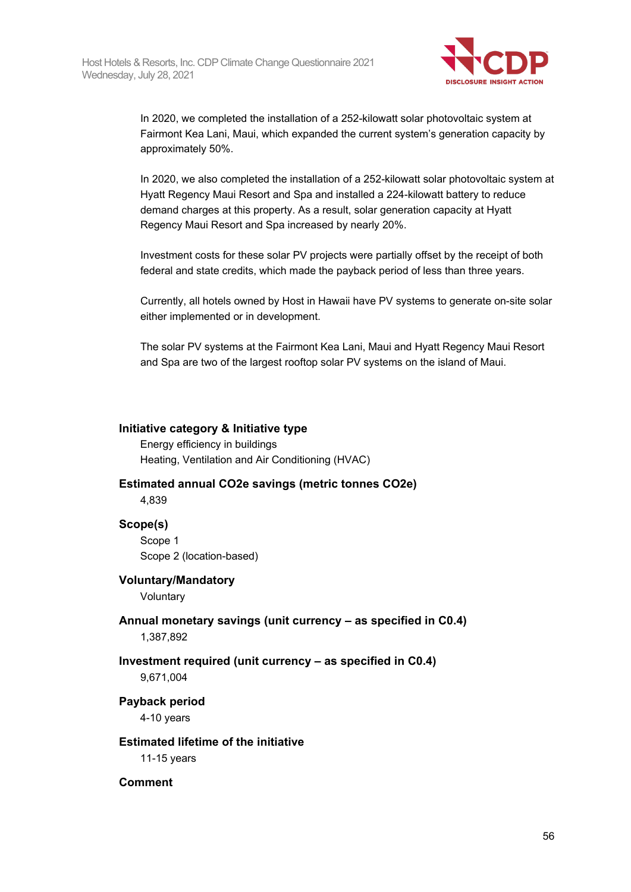

In 2020, we completed the installation of a 252-kilowatt solar photovoltaic system at Fairmont Kea Lani, Maui, which expanded the current system's generation capacity by approximately 50%.

In 2020, we also completed the installation of a 252-kilowatt solar photovoltaic system at Hyatt Regency Maui Resort and Spa and installed a 224-kilowatt battery to reduce demand charges at this property. As a result, solar generation capacity at Hyatt Regency Maui Resort and Spa increased by nearly 20%.

Investment costs for these solar PV projects were partially offset by the receipt of both federal and state credits, which made the payback period of less than three years.

Currently, all hotels owned by Host in Hawaii have PV systems to generate on-site solar either implemented or in development.

The solar PV systems at the Fairmont Kea Lani, Maui and Hyatt Regency Maui Resort and Spa are two of the largest rooftop solar PV systems on the island of Maui.

## **Initiative category & Initiative type**

Energy efficiency in buildings Heating, Ventilation and Air Conditioning (HVAC)

#### **Estimated annual CO2e savings (metric tonnes CO2e)**

4,839

#### **Scope(s)**

Scope 1 Scope 2 (location-based)

#### **Voluntary/Mandatory**

Voluntary

**Annual monetary savings (unit currency – as specified in C0.4)** 1,387,892

## **Investment required (unit currency – as specified in C0.4)** 9,671,004

**Payback period** 4-10 years

#### **Estimated lifetime of the initiative**

11-15 years

#### **Comment**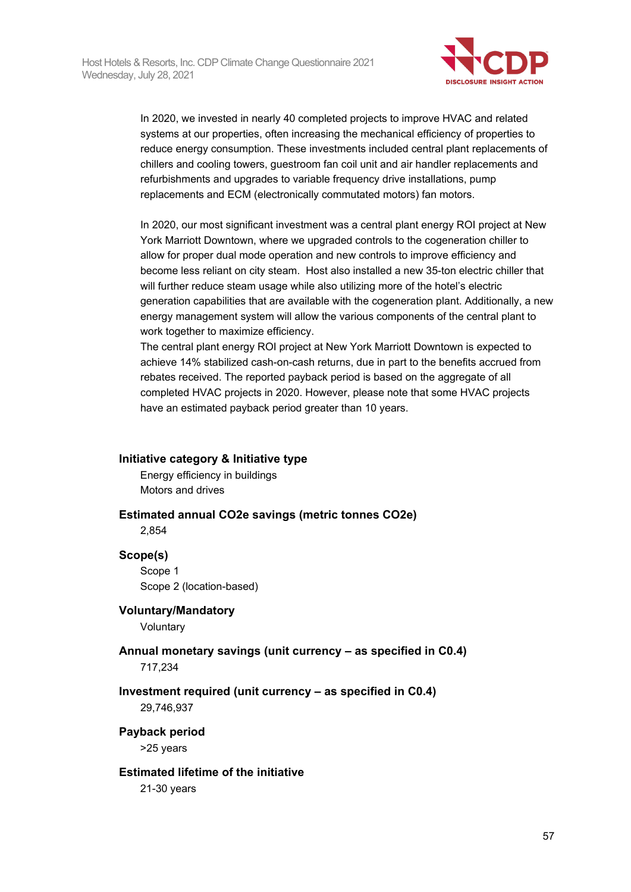

In 2020, we invested in nearly 40 completed projects to improve HVAC and related systems at our properties, often increasing the mechanical efficiency of properties to reduce energy consumption. These investments included central plant replacements of chillers and cooling towers, guestroom fan coil unit and air handler replacements and refurbishments and upgrades to variable frequency drive installations, pump replacements and ECM (electronically commutated motors) fan motors.

In 2020, our most significant investment was a central plant energy ROI project at New York Marriott Downtown, where we upgraded controls to the cogeneration chiller to allow for proper dual mode operation and new controls to improve efficiency and become less reliant on city steam. Host also installed a new 35-ton electric chiller that will further reduce steam usage while also utilizing more of the hotel's electric generation capabilities that are available with the cogeneration plant. Additionally, a new energy management system will allow the various components of the central plant to work together to maximize efficiency.

The central plant energy ROI project at New York Marriott Downtown is expected to achieve 14% stabilized cash-on-cash returns, due in part to the benefits accrued from rebates received. The reported payback period is based on the aggregate of all completed HVAC projects in 2020. However, please note that some HVAC projects have an estimated payback period greater than 10 years.

## **Initiative category & Initiative type**

Energy efficiency in buildings Motors and drives

## **Estimated annual CO2e savings (metric tonnes CO2e)**

2,854

## **Scope(s)**

Scope 1 Scope 2 (location-based)

## **Voluntary/Mandatory**

Voluntary

## **Annual monetary savings (unit currency – as specified in C0.4)**

717,234

## **Investment required (unit currency – as specified in C0.4)**

29,746,937

## **Payback period**

>25 years

## **Estimated lifetime of the initiative**

21-30 years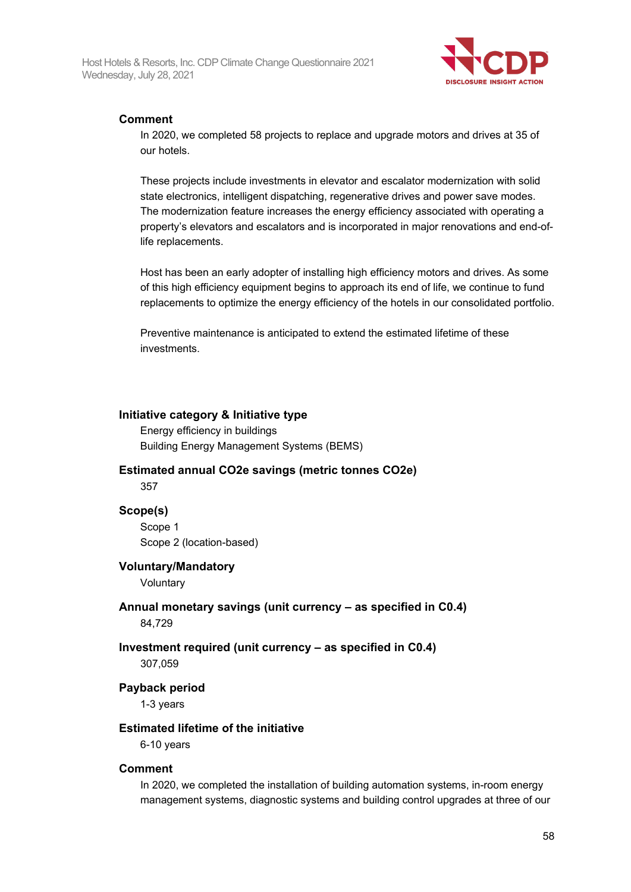

## **Comment**

In 2020, we completed 58 projects to replace and upgrade motors and drives at 35 of our hotels.

These projects include investments in elevator and escalator modernization with solid state electronics, intelligent dispatching, regenerative drives and power save modes. The modernization feature increases the energy efficiency associated with operating a property's elevators and escalators and is incorporated in major renovations and end-oflife replacements.

Host has been an early adopter of installing high efficiency motors and drives. As some of this high efficiency equipment begins to approach its end of life, we continue to fund replacements to optimize the energy efficiency of the hotels in our consolidated portfolio.

Preventive maintenance is anticipated to extend the estimated lifetime of these investments.

## **Initiative category & Initiative type**

Energy efficiency in buildings Building Energy Management Systems (BEMS)

## **Estimated annual CO2e savings (metric tonnes CO2e)** 357

## **Scope(s)**

Scope 1 Scope 2 (location-based)

## **Voluntary/Mandatory**

**Voluntary** 

## **Annual monetary savings (unit currency – as specified in C0.4)**

84,729

# **Investment required (unit currency – as specified in C0.4)**

307,059

## **Payback period**

1-3 years

## **Estimated lifetime of the initiative**

6-10 years

## **Comment**

In 2020, we completed the installation of building automation systems, in-room energy management systems, diagnostic systems and building control upgrades at three of our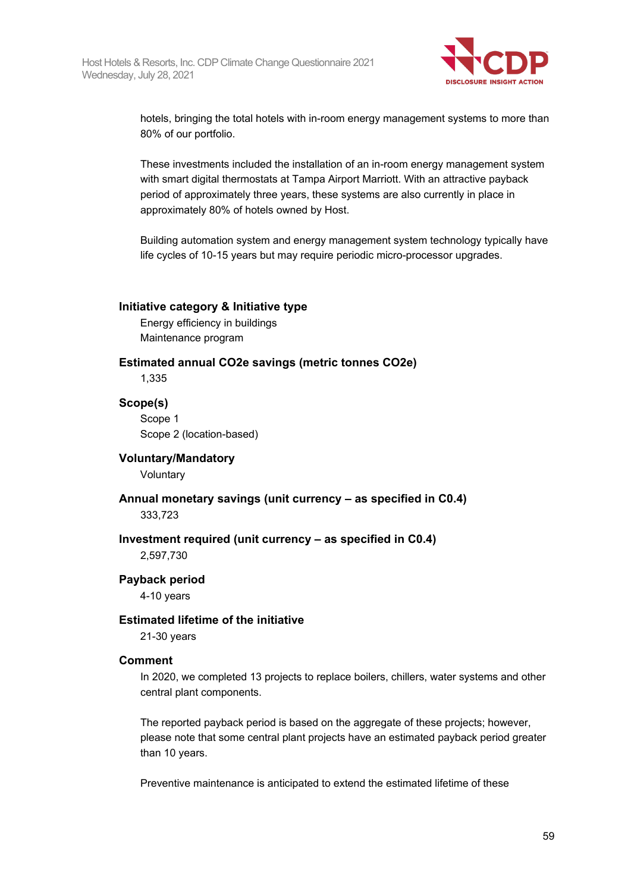

hotels, bringing the total hotels with in-room energy management systems to more than 80% of our portfolio.

These investments included the installation of an in-room energy management system with smart digital thermostats at Tampa Airport Marriott. With an attractive payback period of approximately three years, these systems are also currently in place in approximately 80% of hotels owned by Host.

Building automation system and energy management system technology typically have life cycles of 10-15 years but may require periodic micro-processor upgrades.

#### **Initiative category & Initiative type**

Energy efficiency in buildings Maintenance program

## **Estimated annual CO2e savings (metric tonnes CO2e)**

1,335

## **Scope(s)**

Scope 1 Scope 2 (location-based)

## **Voluntary/Mandatory**

Voluntary

## **Annual monetary savings (unit currency – as specified in C0.4)**

333,723

## **Investment required (unit currency – as specified in C0.4)**

2,597,730

## **Payback period**

4-10 years

## **Estimated lifetime of the initiative**

21-30 years

## **Comment**

In 2020, we completed 13 projects to replace boilers, chillers, water systems and other central plant components.

The reported payback period is based on the aggregate of these projects; however, please note that some central plant projects have an estimated payback period greater than 10 years.

Preventive maintenance is anticipated to extend the estimated lifetime of these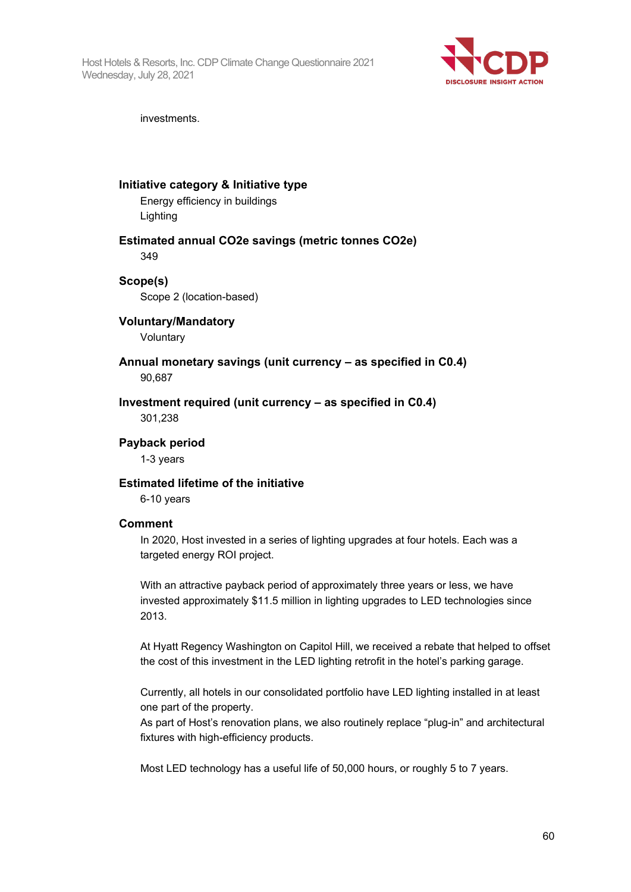Host Hotels & Resorts, Inc. CDP Climate Change Questionnaire 2021 Wednesday, July 28, 2021



investments.

## **Initiative category & Initiative type**

Energy efficiency in buildings Lighting

#### **Estimated annual CO2e savings (metric tonnes CO2e)** 349

## **Scope(s)**

Scope 2 (location-based)

## **Voluntary/Mandatory**

Voluntary

## **Annual monetary savings (unit currency – as specified in C0.4)** 90,687

**Investment required (unit currency – as specified in C0.4)** 301,238

**Payback period**

1-3 years

## **Estimated lifetime of the initiative**

6-10 years

## **Comment**

In 2020, Host invested in a series of lighting upgrades at four hotels. Each was a targeted energy ROI project.

With an attractive payback period of approximately three years or less, we have invested approximately \$11.5 million in lighting upgrades to LED technologies since 2013.

At Hyatt Regency Washington on Capitol Hill, we received a rebate that helped to offset the cost of this investment in the LED lighting retrofit in the hotel's parking garage.

Currently, all hotels in our consolidated portfolio have LED lighting installed in at least one part of the property.

As part of Host's renovation plans, we also routinely replace "plug-in" and architectural fixtures with high-efficiency products.

Most LED technology has a useful life of 50,000 hours, or roughly 5 to 7 years.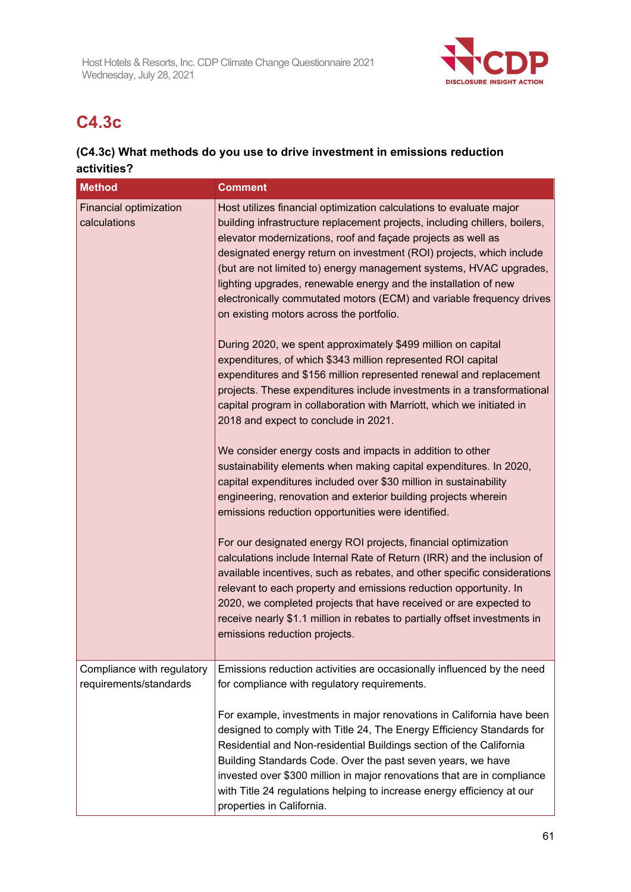

# **C4.3c**

## **(C4.3c) What methods do you use to drive investment in emissions reduction activities?**

| <b>Method</b>                                 | <b>Comment</b>                                                                                                                                                                                                                                                                                                                                                                                                                                                                                                                                                                                                                                                                                                                                                                                                                                                                                                                                                                                                                                                                                                                                                                                                                                                                          |
|-----------------------------------------------|-----------------------------------------------------------------------------------------------------------------------------------------------------------------------------------------------------------------------------------------------------------------------------------------------------------------------------------------------------------------------------------------------------------------------------------------------------------------------------------------------------------------------------------------------------------------------------------------------------------------------------------------------------------------------------------------------------------------------------------------------------------------------------------------------------------------------------------------------------------------------------------------------------------------------------------------------------------------------------------------------------------------------------------------------------------------------------------------------------------------------------------------------------------------------------------------------------------------------------------------------------------------------------------------|
| <b>Financial optimization</b><br>calculations | Host utilizes financial optimization calculations to evaluate major<br>building infrastructure replacement projects, including chillers, boilers,<br>elevator modernizations, roof and façade projects as well as<br>designated energy return on investment (ROI) projects, which include<br>(but are not limited to) energy management systems, HVAC upgrades,<br>lighting upgrades, renewable energy and the installation of new<br>electronically commutated motors (ECM) and variable frequency drives<br>on existing motors across the portfolio.<br>During 2020, we spent approximately \$499 million on capital<br>expenditures, of which \$343 million represented ROI capital<br>expenditures and \$156 million represented renewal and replacement<br>projects. These expenditures include investments in a transformational<br>capital program in collaboration with Marriott, which we initiated in<br>2018 and expect to conclude in 2021.<br>We consider energy costs and impacts in addition to other<br>sustainability elements when making capital expenditures. In 2020,<br>capital expenditures included over \$30 million in sustainability<br>engineering, renovation and exterior building projects wherein<br>emissions reduction opportunities were identified. |
|                                               | For our designated energy ROI projects, financial optimization<br>calculations include Internal Rate of Return (IRR) and the inclusion of<br>available incentives, such as rebates, and other specific considerations<br>relevant to each property and emissions reduction opportunity. In<br>2020, we completed projects that have received or are expected to<br>receive nearly \$1.1 million in rebates to partially offset investments in<br>emissions reduction projects.                                                                                                                                                                                                                                                                                                                                                                                                                                                                                                                                                                                                                                                                                                                                                                                                          |
| Compliance with regulatory                    | Emissions reduction activities are occasionally influenced by the need                                                                                                                                                                                                                                                                                                                                                                                                                                                                                                                                                                                                                                                                                                                                                                                                                                                                                                                                                                                                                                                                                                                                                                                                                  |
| requirements/standards                        | for compliance with regulatory requirements.                                                                                                                                                                                                                                                                                                                                                                                                                                                                                                                                                                                                                                                                                                                                                                                                                                                                                                                                                                                                                                                                                                                                                                                                                                            |
|                                               | For example, investments in major renovations in California have been<br>designed to comply with Title 24, The Energy Efficiency Standards for<br>Residential and Non-residential Buildings section of the California<br>Building Standards Code. Over the past seven years, we have<br>invested over \$300 million in major renovations that are in compliance<br>with Title 24 regulations helping to increase energy efficiency at our<br>properties in California.                                                                                                                                                                                                                                                                                                                                                                                                                                                                                                                                                                                                                                                                                                                                                                                                                  |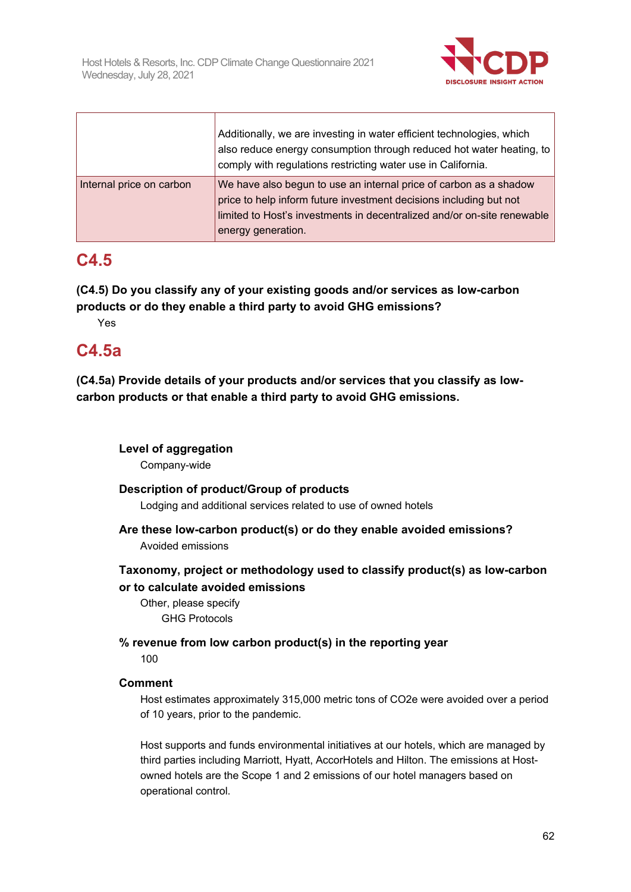

|                          | Additionally, we are investing in water efficient technologies, which<br>also reduce energy consumption through reduced hot water heating, to<br>comply with regulations restricting water use in California.                            |
|--------------------------|------------------------------------------------------------------------------------------------------------------------------------------------------------------------------------------------------------------------------------------|
| Internal price on carbon | We have also begun to use an internal price of carbon as a shadow<br>price to help inform future investment decisions including but not<br>limited to Host's investments in decentralized and/or on-site renewable<br>energy generation. |

## **C4.5**

**(C4.5) Do you classify any of your existing goods and/or services as low-carbon products or do they enable a third party to avoid GHG emissions?**

Yes

## **C4.5a**

**(C4.5a) Provide details of your products and/or services that you classify as lowcarbon products or that enable a third party to avoid GHG emissions.**

## **Level of aggregation**

Company-wide

## **Description of product/Group of products**

Lodging and additional services related to use of owned hotels

## **Are these low-carbon product(s) or do they enable avoided emissions?** Avoided emissions

## **Taxonomy, project or methodology used to classify product(s) as low-carbon or to calculate avoided emissions**

Other, please specify GHG Protocols

## **% revenue from low carbon product(s) in the reporting year**

 $100$ 

## **Comment**

Host estimates approximately 315,000 metric tons of CO2e were avoided over a period of 10 years, prior to the pandemic.

Host supports and funds environmental initiatives at our hotels, which are managed by third parties including Marriott, Hyatt, AccorHotels and Hilton. The emissions at Hostowned hotels are the Scope 1 and 2 emissions of our hotel managers based on operational control.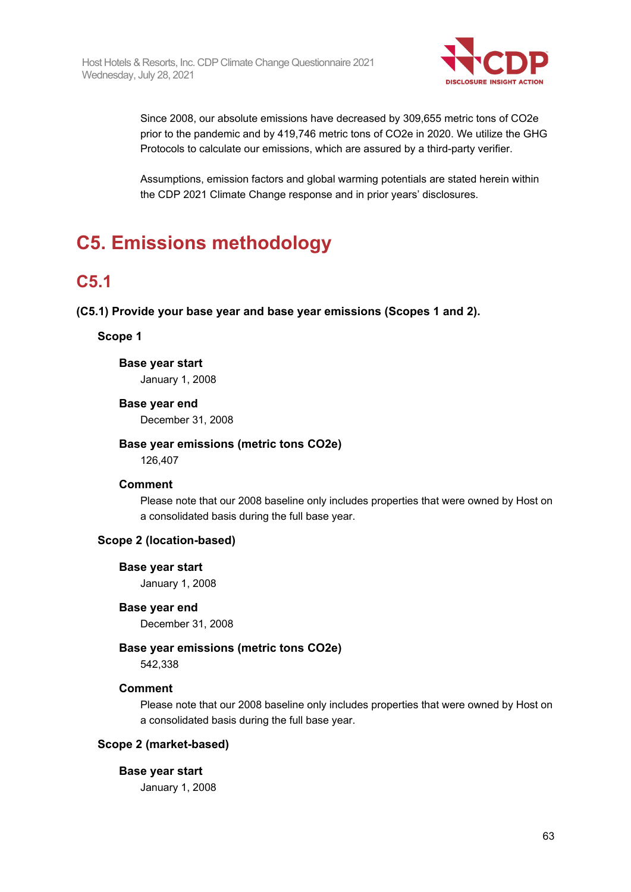

Since 2008, our absolute emissions have decreased by 309,655 metric tons of CO2e prior to the pandemic and by 419,746 metric tons of CO2e in 2020. We utilize the GHG Protocols to calculate our emissions, which are assured by a third-party verifier.

Assumptions, emission factors and global warming potentials are stated herein within the CDP 2021 Climate Change response and in prior years' disclosures.

# **C5. Emissions methodology**

# **C5.1**

**(C5.1) Provide your base year and base year emissions (Scopes 1 and 2).**

## **Scope 1**

## **Base year start**

January 1, 2008

## **Base year end**

December 31, 2008

## **Base year emissions (metric tons CO2e)**

126,407

## **Comment**

Please note that our 2008 baseline only includes properties that were owned by Host on a consolidated basis during the full base year.

## **Scope 2 (location-based)**

## **Base year start**

January 1, 2008

## **Base year end**

December 31, 2008

## **Base year emissions (metric tons CO2e)**

542,338

## **Comment**

Please note that our 2008 baseline only includes properties that were owned by Host on a consolidated basis during the full base year.

## **Scope 2 (market-based)**

## **Base year start**

January 1, 2008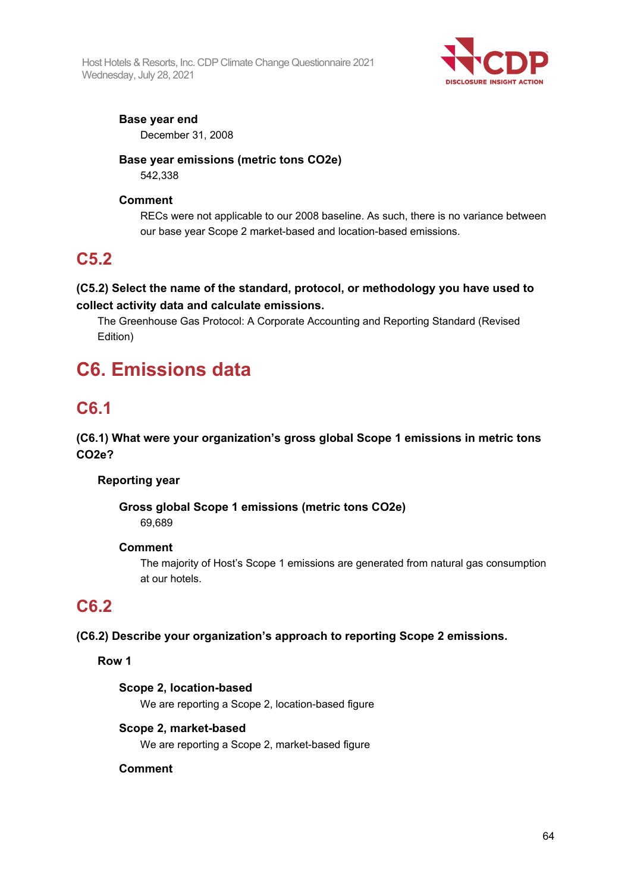Host Hotels & Resorts, Inc. CDP Climate Change Questionnaire 2021 Wednesday, July 28, 2021



## **Base year end**

December 31, 2008

# **Base year emissions (metric tons CO2e)**

542,338

## **Comment**

RECs were not applicable to our 2008 baseline. As such, there is no variance between our base year Scope 2 market-based and location-based emissions.

## **C5.2**

## **(C5.2) Select the name of the standard, protocol, or methodology you have used to collect activity data and calculate emissions.**

The Greenhouse Gas Protocol: A Corporate Accounting and Reporting Standard (Revised Edition)

# **C6. Emissions data**

# **C6.1**

## **(C6.1) What were your organization's gross global Scope 1 emissions in metric tons CO2e?**

## **Reporting year**

## **Gross global Scope 1 emissions (metric tons CO2e)** 69,689

## **Comment**

The majority of Host's Scope 1 emissions are generated from natural gas consumption at our hotels.

## **C6.2**

**(C6.2) Describe your organization's approach to reporting Scope 2 emissions.**

## **Row 1**

## **Scope 2, location-based**

We are reporting a Scope 2, location-based figure

## **Scope 2, market-based**

We are reporting a Scope 2, market-based figure

## **Comment**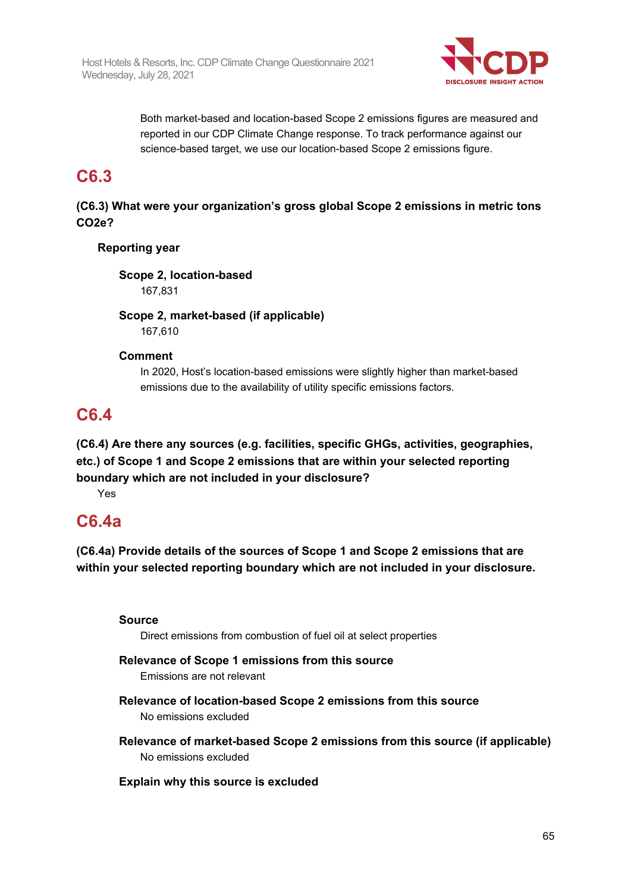

Both market-based and location-based Scope 2 emissions figures are measured and reported in our CDP Climate Change response. To track performance against our science-based target, we use our location-based Scope 2 emissions figure.

## **C6.3**

## **(C6.3) What were your organization's gross global Scope 2 emissions in metric tons CO2e?**

## **Reporting year**

**Scope 2, location-based**

167,831

**Scope 2, market-based (if applicable)** 167,610

## **Comment**

In 2020, Host's location-based emissions were slightly higher than market-based emissions due to the availability of utility specific emissions factors.

# **C6.4**

**(C6.4) Are there any sources (e.g. facilities, specific GHGs, activities, geographies, etc.) of Scope 1 and Scope 2 emissions that are within your selected reporting boundary which are not included in your disclosure?**

Yes

# **C6.4a**

**(C6.4a) Provide details of the sources of Scope 1 and Scope 2 emissions that are within your selected reporting boundary which are not included in your disclosure.**

## **Source**

Direct emissions from combustion of fuel oil at select properties

## **Relevance of Scope 1 emissions from this source**

Emissions are not relevant

- **Relevance of location-based Scope 2 emissions from this source** No emissions excluded
- **Relevance of market-based Scope 2 emissions from this source (if applicable)** No emissions excluded

## **Explain why this source is excluded**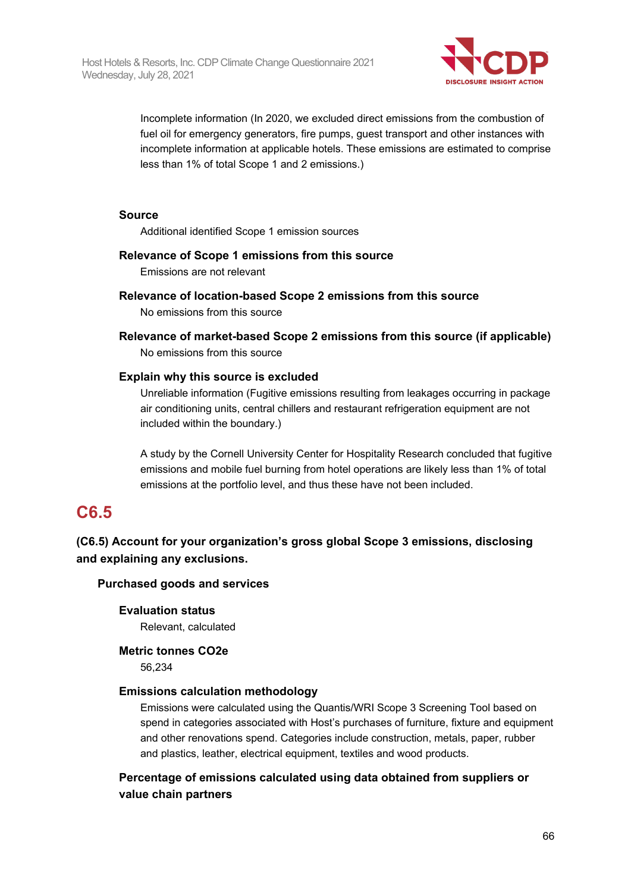

Incomplete information (In 2020, we excluded direct emissions from the combustion of fuel oil for emergency generators, fire pumps, guest transport and other instances with incomplete information at applicable hotels. These emissions are estimated to comprise less than 1% of total Scope 1 and 2 emissions.)

## **Source**

Additional identified Scope 1 emission sources

## **Relevance of Scope 1 emissions from this source**

Emissions are not relevant

- **Relevance of location-based Scope 2 emissions from this source** No emissions from this source
- **Relevance of market-based Scope 2 emissions from this source (if applicable)** No emissions from this source

## **Explain why this source is excluded**

Unreliable information (Fugitive emissions resulting from leakages occurring in package air conditioning units, central chillers and restaurant refrigeration equipment are not included within the boundary.)

A study by the Cornell University Center for Hospitality Research concluded that fugitive emissions and mobile fuel burning from hotel operations are likely less than 1% of total emissions at the portfolio level, and thus these have not been included.

## **C6.5**

**(C6.5) Account for your organization's gross global Scope 3 emissions, disclosing and explaining any exclusions.**

## **Purchased goods and services**

**Evaluation status**

Relevant, calculated

**Metric tonnes CO2e**

56,234

## **Emissions calculation methodology**

Emissions were calculated using the Quantis/WRI Scope 3 Screening Tool based on spend in categories associated with Host's purchases of furniture, fixture and equipment and other renovations spend. Categories include construction, metals, paper, rubber and plastics, leather, electrical equipment, textiles and wood products.

**Percentage of emissions calculated using data obtained from suppliers or value chain partners**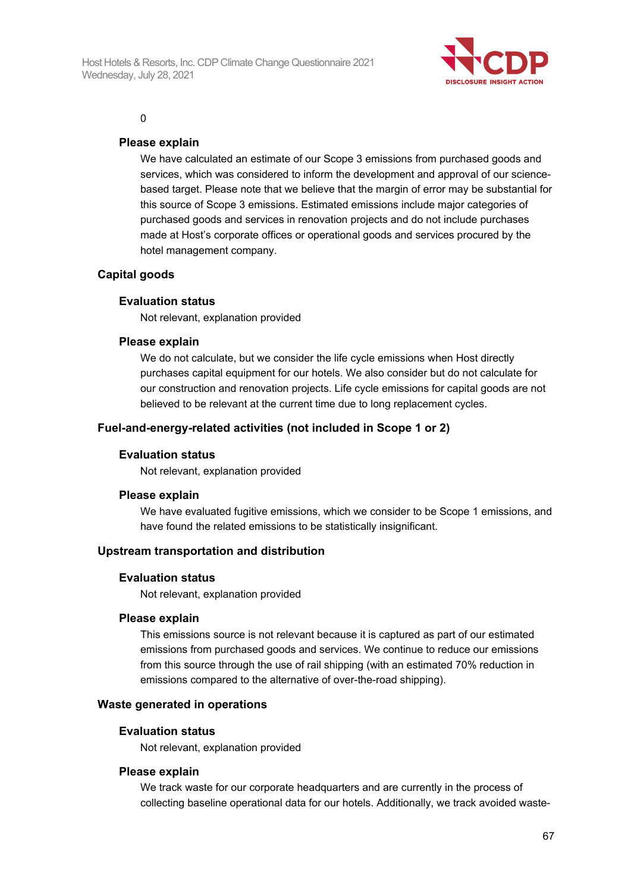

#### $\Omega$

## **Please explain**

We have calculated an estimate of our Scope 3 emissions from purchased goods and services, which was considered to inform the development and approval of our sciencebased target. Please note that we believe that the margin of error may be substantial for this source of Scope 3 emissions. Estimated emissions include major categories of purchased goods and services in renovation projects and do not include purchases made at Host's corporate offices or operational goods and services procured by the hotel management company.

## **Capital goods**

## **Evaluation status**

Not relevant, explanation provided

## **Please explain**

We do not calculate, but we consider the life cycle emissions when Host directly purchases capital equipment for our hotels. We also consider but do not calculate for our construction and renovation projects. Life cycle emissions for capital goods are not believed to be relevant at the current time due to long replacement cycles.

## **Fuel-and-energy-related activities (not included in Scope 1 or 2)**

## **Evaluation status**

Not relevant, explanation provided

## **Please explain**

We have evaluated fugitive emissions, which we consider to be Scope 1 emissions, and have found the related emissions to be statistically insignificant.

## **Upstream transportation and distribution**

#### **Evaluation status**

Not relevant, explanation provided

#### **Please explain**

This emissions source is not relevant because it is captured as part of our estimated emissions from purchased goods and services. We continue to reduce our emissions from this source through the use of rail shipping (with an estimated 70% reduction in emissions compared to the alternative of over-the-road shipping).

#### **Waste generated in operations**

#### **Evaluation status**

Not relevant, explanation provided

#### **Please explain**

We track waste for our corporate headquarters and are currently in the process of collecting baseline operational data for our hotels. Additionally, we track avoided waste-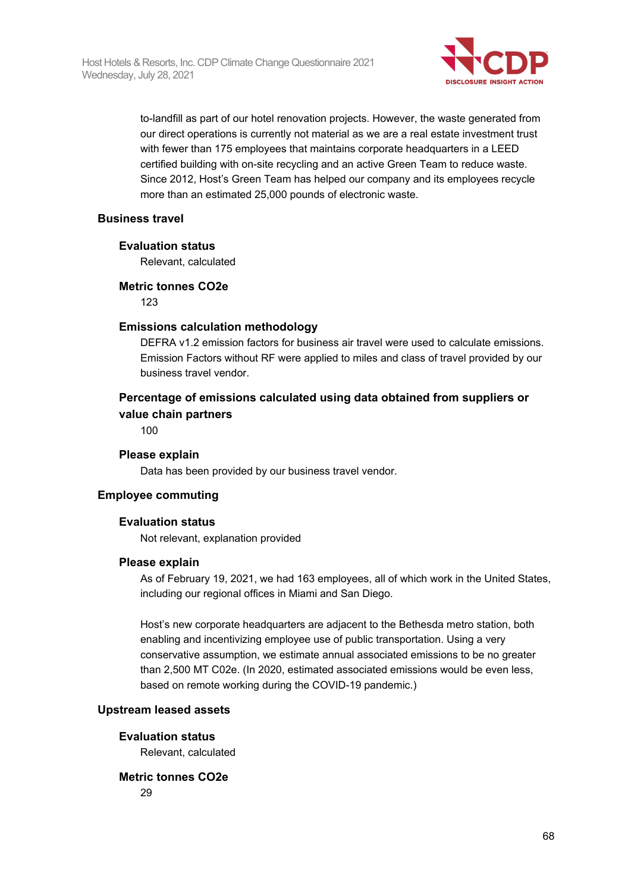

to-landfill as part of our hotel renovation projects. However, the waste generated from our direct operations is currently not material as we are a real estate investment trust with fewer than 175 employees that maintains corporate headquarters in a LEED certified building with on-site recycling and an active Green Team to reduce waste. Since 2012, Host's Green Team has helped our company and its employees recycle more than an estimated 25,000 pounds of electronic waste.

#### **Business travel**

#### **Evaluation status**

Relevant, calculated

#### **Metric tonnes CO2e**

 $123$ 

#### **Emissions calculation methodology**

DEFRA v1.2 emission factors for business air travel were used to calculate emissions. Emission Factors without RF were applied to miles and class of travel provided by our business travel vendor.

## **Percentage of emissions calculated using data obtained from suppliers or value chain partners**

100

#### **Please explain**

Data has been provided by our business travel vendor.

## **Employee commuting**

## **Evaluation status**

Not relevant, explanation provided

## **Please explain**

As of February 19, 2021, we had 163 employees, all of which work in the United States, including our regional offices in Miami and San Diego.

Host's new corporate headquarters are adjacent to the Bethesda metro station, both enabling and incentivizing employee use of public transportation. Using a very conservative assumption, we estimate annual associated emissions to be no greater than 2,500 MT C02e. (In 2020, estimated associated emissions would be even less, based on remote working during the COVID-19 pandemic.)

#### **Upstream leased assets**

## **Evaluation status**

Relevant, calculated

## **Metric tonnes CO2e**

29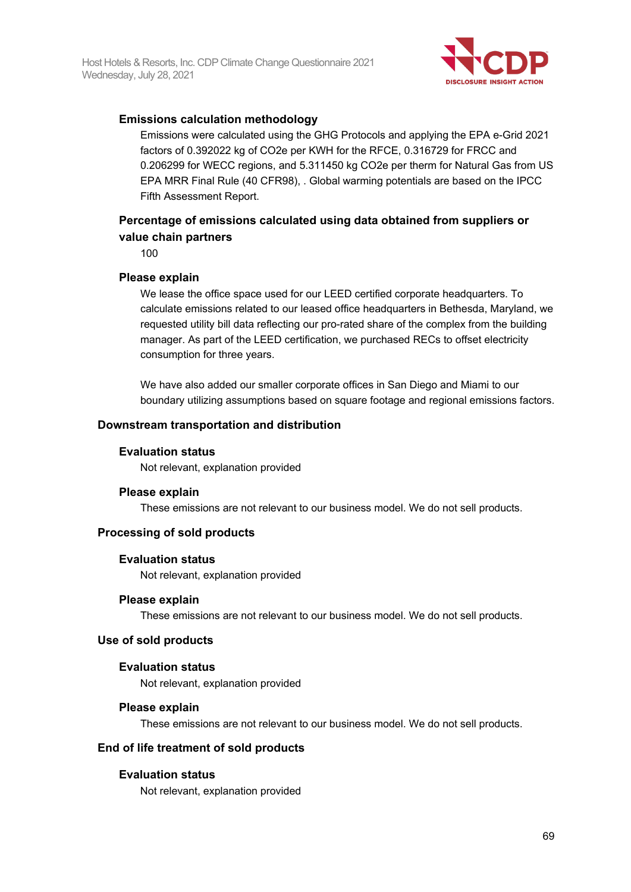

## **Emissions calculation methodology**

Emissions were calculated using the GHG Protocols and applying the EPA e-Grid 2021 factors of 0.392022 kg of CO2e per KWH for the RFCE, 0.316729 for FRCC and 0.206299 for WECC regions, and 5.311450 kg CO2e per therm for Natural Gas from US EPA MRR Final Rule (40 CFR98), . Global warming potentials are based on the IPCC Fifth Assessment Report.

## **Percentage of emissions calculated using data obtained from suppliers or value chain partners**

100

## **Please explain**

We lease the office space used for our LEED certified corporate headquarters. To calculate emissions related to our leased office headquarters in Bethesda, Maryland, we requested utility bill data reflecting our pro-rated share of the complex from the building manager. As part of the LEED certification, we purchased RECs to offset electricity consumption for three years.

We have also added our smaller corporate offices in San Diego and Miami to our boundary utilizing assumptions based on square footage and regional emissions factors.

## **Downstream transportation and distribution**

## **Evaluation status**

Not relevant, explanation provided

## **Please explain**

These emissions are not relevant to our business model. We do not sell products.

## **Processing of sold products**

## **Evaluation status**

Not relevant, explanation provided

## **Please explain**

These emissions are not relevant to our business model. We do not sell products.

## **Use of sold products**

## **Evaluation status**

Not relevant, explanation provided

## **Please explain**

These emissions are not relevant to our business model. We do not sell products.

## **End of life treatment of sold products**

## **Evaluation status**

Not relevant, explanation provided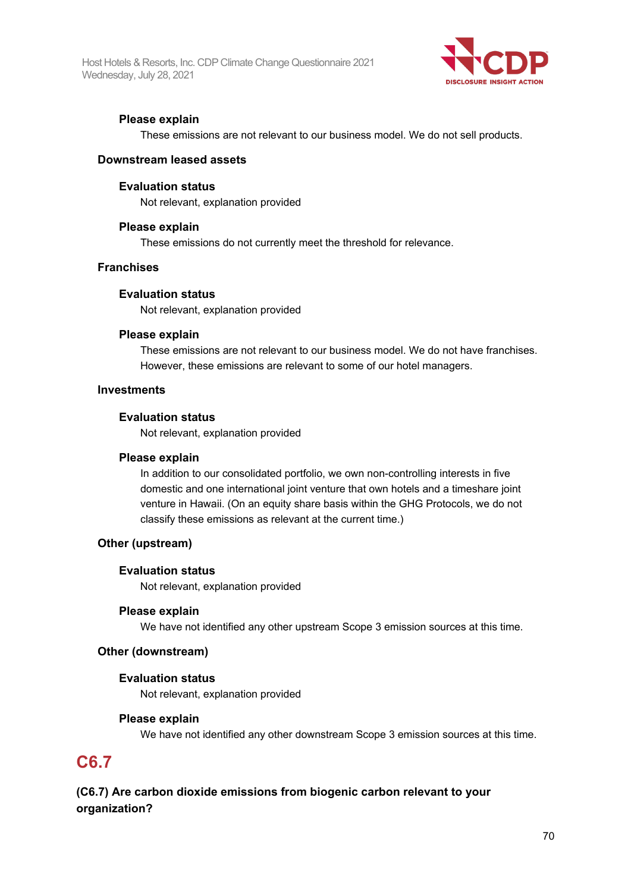Host Hotels & Resorts, Inc. CDP Climate Change Questionnaire 2021 Wednesday, July 28, 2021



## **Please explain**

These emissions are not relevant to our business model. We do not sell products.

## **Downstream leased assets**

#### **Evaluation status**

Not relevant, explanation provided

#### **Please explain**

These emissions do not currently meet the threshold for relevance.

#### **Franchises**

#### **Evaluation status**

Not relevant, explanation provided

#### **Please explain**

These emissions are not relevant to our business model. We do not have franchises. However, these emissions are relevant to some of our hotel managers.

#### **Investments**

#### **Evaluation status**

Not relevant, explanation provided

#### **Please explain**

In addition to our consolidated portfolio, we own non-controlling interests in five domestic and one international joint venture that own hotels and a timeshare joint venture in Hawaii. (On an equity share basis within the GHG Protocols, we do not classify these emissions as relevant at the current time.)

## **Other (upstream)**

#### **Evaluation status**

Not relevant, explanation provided

#### **Please explain**

We have not identified any other upstream Scope 3 emission sources at this time.

#### **Other (downstream)**

#### **Evaluation status**

Not relevant, explanation provided

## **Please explain**

We have not identified any other downstream Scope 3 emission sources at this time.

## **C6.7**

## **(C6.7) Are carbon dioxide emissions from biogenic carbon relevant to your organization?**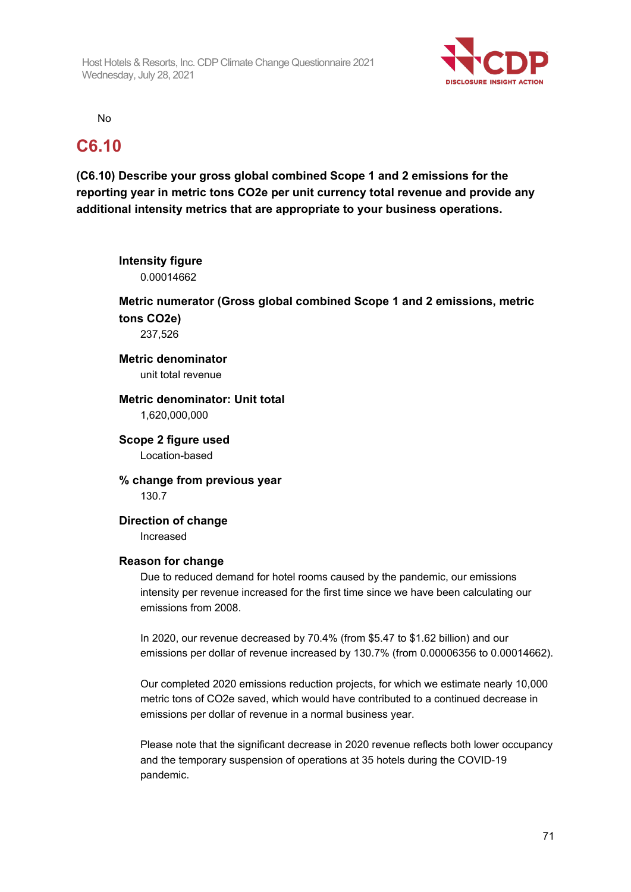

No

pandemic.

## **C6.10**

**(C6.10) Describe your gross global combined Scope 1 and 2 emissions for the reporting year in metric tons CO2e per unit currency total revenue and provide any additional intensity metrics that are appropriate to your business operations.**

| <b>Intensity figure</b><br>0.00014662            |                                                                                                                                                                                                                                          |
|--------------------------------------------------|------------------------------------------------------------------------------------------------------------------------------------------------------------------------------------------------------------------------------------------|
| tons CO2e)<br>237,526                            | Metric numerator (Gross global combined Scope 1 and 2 emissions, metric                                                                                                                                                                  |
| <b>Metric denominator</b><br>unit total revenue  |                                                                                                                                                                                                                                          |
| Metric denominator: Unit total<br>1,620,000,000  |                                                                                                                                                                                                                                          |
| Scope 2 figure used<br>Location-based            |                                                                                                                                                                                                                                          |
| % change from previous year<br>130.7             |                                                                                                                                                                                                                                          |
| <b>Direction of change</b><br>Increased          |                                                                                                                                                                                                                                          |
| <b>Reason for change</b><br>emissions from 2008. | Due to reduced demand for hotel rooms caused by the pandemic, our emissions<br>intensity per revenue increased for the first time since we have been calculating our                                                                     |
|                                                  | In 2020, our revenue decreased by 70.4% (from \$5.47 to \$1.62 billion) and our<br>emissions per dollar of revenue increased by 130.7% (from 0.00006356 to 0.00014662).                                                                  |
|                                                  | Our completed 2020 emissions reduction projects, for which we estimate nearly 10,000<br>metric tons of CO2e saved, which would have contributed to a continued decrease in<br>emissions per dollar of revenue in a normal business year. |
|                                                  | Please note that the significant decrease in 2020 revenue reflects both lower occupancy<br>and the temporary suspension of operations at 35 hotels during the COVID-19                                                                   |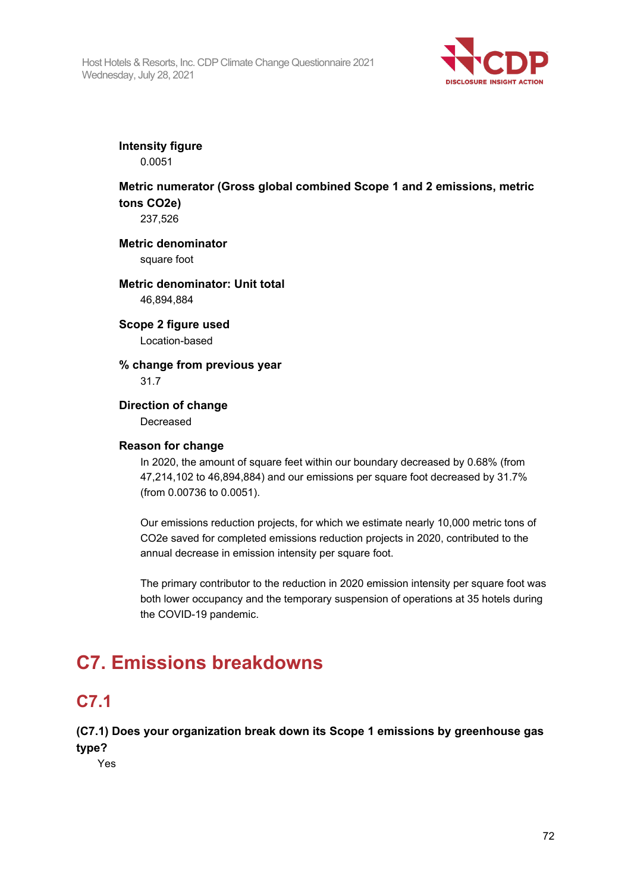

**Intensity figure**

0.0051

## **Metric numerator (Gross global combined Scope 1 and 2 emissions, metric tons CO2e)**

237,526

**Metric denominator**

square foot

## **Metric denominator: Unit total** 46,894,884

**Scope 2 figure used** Location-based

**% change from previous year** 31.7

**Direction of change** Decreased

## **Reason for change**

In 2020, the amount of square feet within our boundary decreased by 0.68% (from 47,214,102 to 46,894,884) and our emissions per square foot decreased by 31.7% (from 0.00736 to 0.0051).

Our emissions reduction projects, for which we estimate nearly 10,000 metric tons of CO2e saved for completed emissions reduction projects in 2020, contributed to the annual decrease in emission intensity per square foot.

The primary contributor to the reduction in 2020 emission intensity per square foot was both lower occupancy and the temporary suspension of operations at 35 hotels during the COVID-19 pandemic.

# **C7. Emissions breakdowns**

# **C7.1**

**(C7.1) Does your organization break down its Scope 1 emissions by greenhouse gas type?**

Yes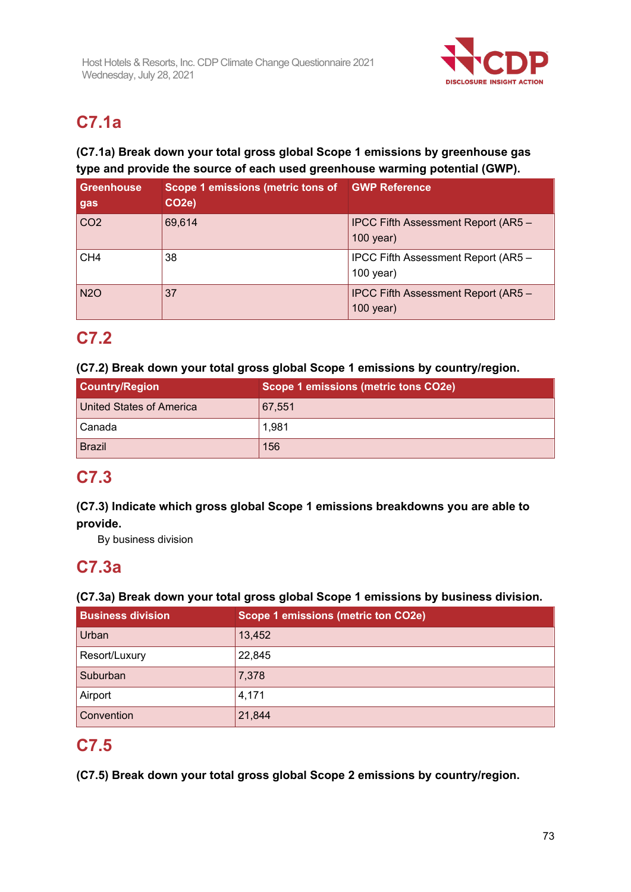

# **C7.1a**

### **(C7.1a) Break down your total gross global Scope 1 emissions by greenhouse gas type and provide the source of each used greenhouse warming potential (GWP).**

| Greenhouse<br>gas | Scope 1 emissions (metric tons of<br>CO <sub>2</sub> e) | <b>GWP Reference</b>                               |
|-------------------|---------------------------------------------------------|----------------------------------------------------|
| CO2               | 69,614                                                  | IPCC Fifth Assessment Report (AR5 -<br>$100$ year) |
| CH <sub>4</sub>   | 38                                                      | IPCC Fifth Assessment Report (AR5 -<br>$100$ year) |
| <b>N2O</b>        | 37                                                      | IPCC Fifth Assessment Report (AR5 -<br>$100$ year) |

# **C7.2**

#### **(C7.2) Break down your total gross global Scope 1 emissions by country/region.**

| <b>Country/Region</b>    | Scope 1 emissions (metric tons CO2e) |
|--------------------------|--------------------------------------|
| United States of America | 67,551                               |
| Canada                   | 1,981                                |
| <b>Brazil</b>            | 156                                  |

### **C7.3**

### **(C7.3) Indicate which gross global Scope 1 emissions breakdowns you are able to provide.**

By business division

## **C7.3a**

#### **(C7.3a) Break down your total gross global Scope 1 emissions by business division.**

| <b>Business division</b> | Scope 1 emissions (metric ton CO2e) |
|--------------------------|-------------------------------------|
| Urban                    | 13,452                              |
| Resort/Luxury            | 22,845                              |
| Suburban                 | 7,378                               |
| Airport                  | 4,171                               |
| Convention               | 21,844                              |

## **C7.5**

**(C7.5) Break down your total gross global Scope 2 emissions by country/region.**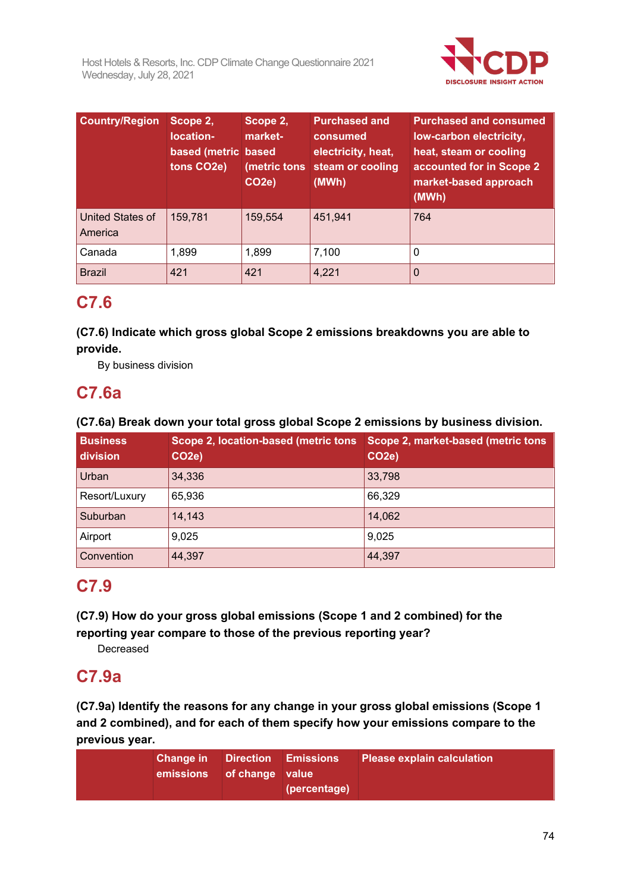

| <b>Country/Region</b>       | Scope 2,<br>location-<br>based (metric based<br>tons CO <sub>2</sub> e) | Scope 2,<br>market-<br>(metric tons<br>CO <sub>2e</sub> ) | <b>Purchased and</b><br>consumed<br>electricity, heat,<br>steam or cooling<br>(MWh) | <b>Purchased and consumed</b><br>low-carbon electricity,<br>heat, steam or cooling<br>accounted for in Scope 2<br>market-based approach<br>(MWh) |
|-----------------------------|-------------------------------------------------------------------------|-----------------------------------------------------------|-------------------------------------------------------------------------------------|--------------------------------------------------------------------------------------------------------------------------------------------------|
| United States of<br>America | 159,781                                                                 | 159,554                                                   | 451,941                                                                             | 764                                                                                                                                              |
| Canada                      | 1,899                                                                   | 1,899                                                     | 7,100                                                                               | 0                                                                                                                                                |
| <b>Brazil</b>               | 421                                                                     | 421                                                       | 4,221                                                                               | 0                                                                                                                                                |

## **C7.6**

**(C7.6) Indicate which gross global Scope 2 emissions breakdowns you are able to provide.**

By business division

### **C7.6a**

#### **(C7.6a) Break down your total gross global Scope 2 emissions by business division.**

| <b>Business</b><br>division | <b>Scope 2, location-based (metric tons)</b><br>CO <sub>2e</sub> ) | Scope 2, market-based (metric tons<br>CO <sub>2e</sub> ) |
|-----------------------------|--------------------------------------------------------------------|----------------------------------------------------------|
| Urban                       | 34,336                                                             | 33,798                                                   |
| Resort/Luxury               | 65,936                                                             | 66,329                                                   |
| Suburban                    | 14,143                                                             | 14,062                                                   |
| Airport                     | 9,025                                                              | 9,025                                                    |
| Convention                  | 44,397                                                             | 44,397                                                   |

## **C7.9**

**(C7.9) How do your gross global emissions (Scope 1 and 2 combined) for the reporting year compare to those of the previous reporting year?**

Decreased

### **C7.9a**

**(C7.9a) Identify the reasons for any change in your gross global emissions (Scope 1 and 2 combined), and for each of them specify how your emissions compare to the previous year.**

| <b>Change in</b> Direction Emissions<br>emissions of change value | (percentage) | <b>Please explain calculation</b> |
|-------------------------------------------------------------------|--------------|-----------------------------------|
|                                                                   |              |                                   |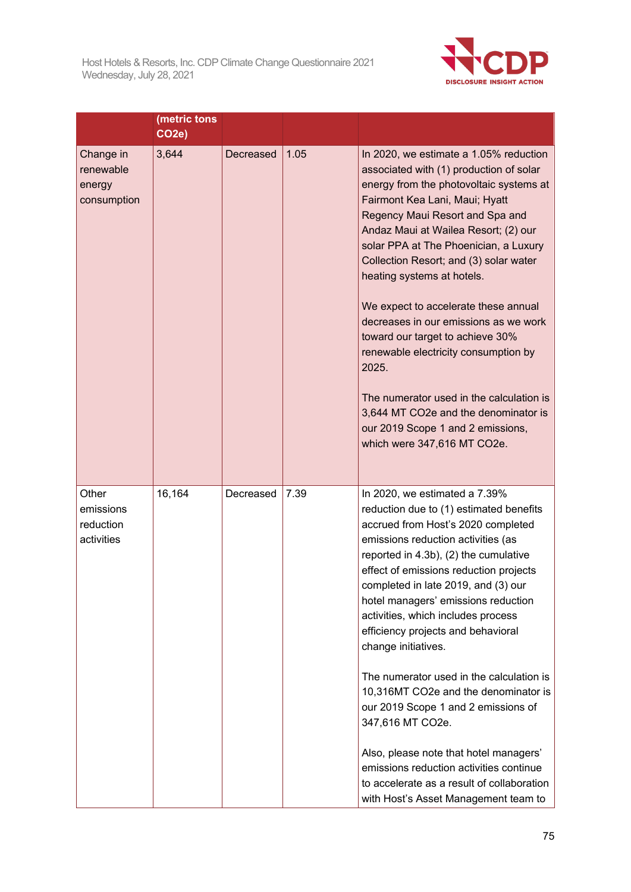

|                                                 | (metric tons<br>CO <sub>2e</sub> ) |           |      |                                                                                                                                                                                                                                                                                                                                                                                                                                                                                                                                                                                                                                                                                                                                                    |
|-------------------------------------------------|------------------------------------|-----------|------|----------------------------------------------------------------------------------------------------------------------------------------------------------------------------------------------------------------------------------------------------------------------------------------------------------------------------------------------------------------------------------------------------------------------------------------------------------------------------------------------------------------------------------------------------------------------------------------------------------------------------------------------------------------------------------------------------------------------------------------------------|
| Change in<br>renewable<br>energy<br>consumption | 3,644                              | Decreased | 1.05 | In 2020, we estimate a 1.05% reduction<br>associated with (1) production of solar<br>energy from the photovoltaic systems at<br>Fairmont Kea Lani, Maui; Hyatt<br>Regency Maui Resort and Spa and<br>Andaz Maui at Wailea Resort; (2) our<br>solar PPA at The Phoenician, a Luxury<br>Collection Resort; and (3) solar water<br>heating systems at hotels.<br>We expect to accelerate these annual<br>decreases in our emissions as we work<br>toward our target to achieve 30%<br>renewable electricity consumption by<br>2025.<br>The numerator used in the calculation is<br>3,644 MT CO2e and the denominator is<br>our 2019 Scope 1 and 2 emissions,<br>which were 347,616 MT CO2e.                                                           |
| Other<br>emissions<br>reduction<br>activities   | 16,164                             | Decreased | 7.39 | In 2020, we estimated a 7.39%<br>reduction due to (1) estimated benefits<br>accrued from Host's 2020 completed<br>emissions reduction activities (as<br>reported in 4.3b), (2) the cumulative<br>effect of emissions reduction projects<br>completed in late 2019, and (3) our<br>hotel managers' emissions reduction<br>activities, which includes process<br>efficiency projects and behavioral<br>change initiatives.<br>The numerator used in the calculation is<br>10,316MT CO2e and the denominator is<br>our 2019 Scope 1 and 2 emissions of<br>347,616 MT CO2e.<br>Also, please note that hotel managers'<br>emissions reduction activities continue<br>to accelerate as a result of collaboration<br>with Host's Asset Management team to |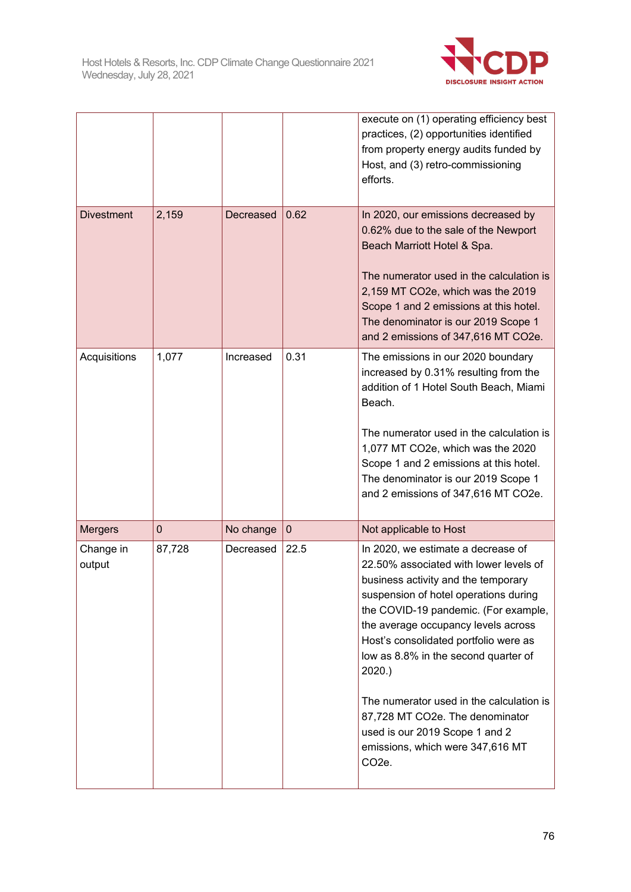

|                     |        |           |                  | execute on (1) operating efficiency best<br>practices, (2) opportunities identified<br>from property energy audits funded by<br>Host, and (3) retro-commissioning<br>efforts.                                                                                                                                                                                                                                                                                                                                        |
|---------------------|--------|-----------|------------------|----------------------------------------------------------------------------------------------------------------------------------------------------------------------------------------------------------------------------------------------------------------------------------------------------------------------------------------------------------------------------------------------------------------------------------------------------------------------------------------------------------------------|
| <b>Divestment</b>   | 2,159  | Decreased | 0.62             | In 2020, our emissions decreased by<br>0.62% due to the sale of the Newport<br>Beach Marriott Hotel & Spa.<br>The numerator used in the calculation is<br>2,159 MT CO2e, which was the 2019<br>Scope 1 and 2 emissions at this hotel.<br>The denominator is our 2019 Scope 1<br>and 2 emissions of 347,616 MT CO2e.                                                                                                                                                                                                  |
| Acquisitions        | 1,077  | Increased | 0.31             | The emissions in our 2020 boundary<br>increased by 0.31% resulting from the<br>addition of 1 Hotel South Beach, Miami<br>Beach.<br>The numerator used in the calculation is<br>1,077 MT CO2e, which was the 2020<br>Scope 1 and 2 emissions at this hotel.<br>The denominator is our 2019 Scope 1<br>and 2 emissions of 347,616 MT CO2e.                                                                                                                                                                             |
| <b>Mergers</b>      | 0      | No change | $\boldsymbol{0}$ | Not applicable to Host                                                                                                                                                                                                                                                                                                                                                                                                                                                                                               |
| Change in<br>output | 87,728 | Decreased | 22.5             | In 2020, we estimate a decrease of<br>22.50% associated with lower levels of<br>business activity and the temporary<br>suspension of hotel operations during<br>the COVID-19 pandemic. (For example,<br>the average occupancy levels across<br>Host's consolidated portfolio were as<br>low as 8.8% in the second quarter of<br>$2020.$ )<br>The numerator used in the calculation is<br>87,728 MT CO2e. The denominator<br>used is our 2019 Scope 1 and 2<br>emissions, which were 347,616 MT<br>CO <sub>2</sub> e. |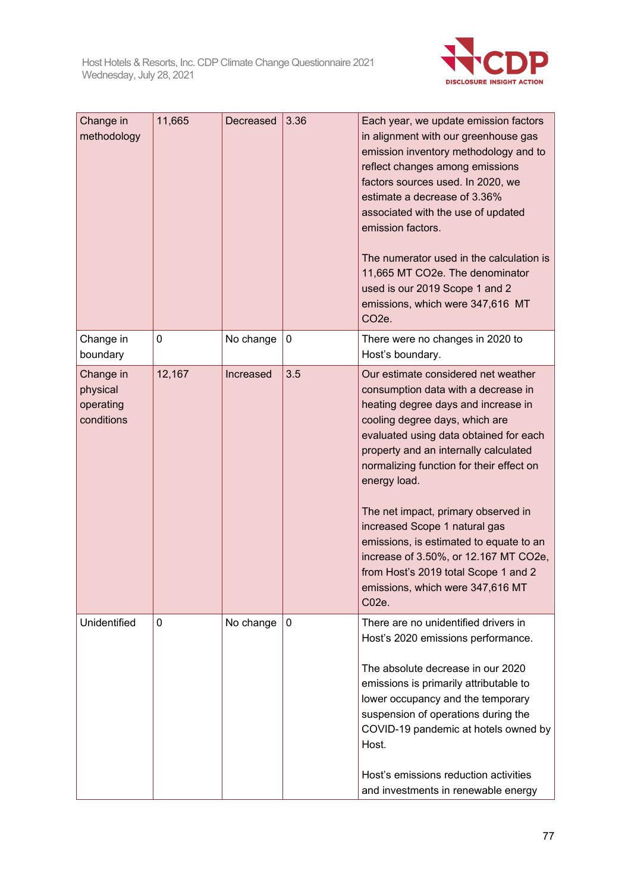

| Change in<br>methodology                         | 11,665 | Decreased | 3.36         | Each year, we update emission factors<br>in alignment with our greenhouse gas<br>emission inventory methodology and to<br>reflect changes among emissions<br>factors sources used. In 2020, we<br>estimate a decrease of 3.36%<br>associated with the use of updated<br>emission factors.<br>The numerator used in the calculation is<br>11,665 MT CO2e. The denominator<br>used is our 2019 Scope 1 and 2<br>emissions, which were 347,616 MT<br>CO <sub>2</sub> e.                                                                                |
|--------------------------------------------------|--------|-----------|--------------|-----------------------------------------------------------------------------------------------------------------------------------------------------------------------------------------------------------------------------------------------------------------------------------------------------------------------------------------------------------------------------------------------------------------------------------------------------------------------------------------------------------------------------------------------------|
| Change in<br>boundary                            | 0      | No change | 0            | There were no changes in 2020 to<br>Host's boundary.                                                                                                                                                                                                                                                                                                                                                                                                                                                                                                |
| Change in<br>physical<br>operating<br>conditions | 12,167 | Increased | 3.5          | Our estimate considered net weather<br>consumption data with a decrease in<br>heating degree days and increase in<br>cooling degree days, which are<br>evaluated using data obtained for each<br>property and an internally calculated<br>normalizing function for their effect on<br>energy load.<br>The net impact, primary observed in<br>increased Scope 1 natural gas<br>emissions, is estimated to equate to an<br>increase of 3.50%, or 12.167 MT CO2e,<br>from Host's 2019 total Scope 1 and 2<br>emissions, which were 347,616 MT<br>C02e. |
| Unidentified                                     | 0      | No change | $\mathbf{0}$ | There are no unidentified drivers in<br>Host's 2020 emissions performance.<br>The absolute decrease in our 2020<br>emissions is primarily attributable to<br>lower occupancy and the temporary<br>suspension of operations during the<br>COVID-19 pandemic at hotels owned by<br>Host.<br>Host's emissions reduction activities<br>and investments in renewable energy                                                                                                                                                                              |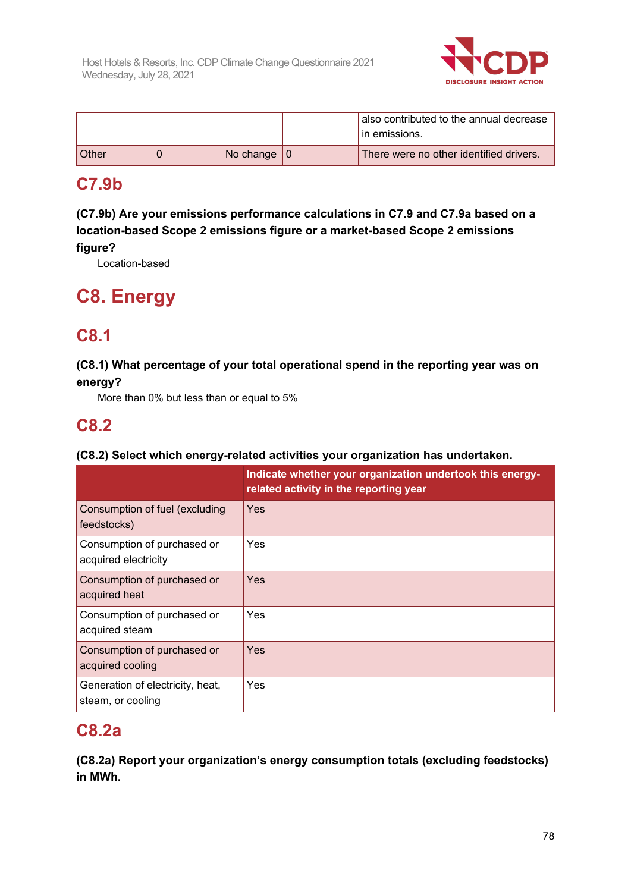

|       |                | also contributed to the annual decrease<br>in emissions. |
|-------|----------------|----------------------------------------------------------|
| Other | No change $ 0$ | There were no other identified drivers.                  |

### **C7.9b**

**(C7.9b) Are your emissions performance calculations in C7.9 and C7.9a based on a location-based Scope 2 emissions figure or a market-based Scope 2 emissions figure?**

Location-based

# **C8. Energy**

## **C8.1**

### **(C8.1) What percentage of your total operational spend in the reporting year was on energy?**

More than 0% but less than or equal to 5%

### **C8.2**

### **(C8.2) Select which energy-related activities your organization has undertaken.**

|                                                       | Indicate whether your organization undertook this energy-<br>related activity in the reporting year |
|-------------------------------------------------------|-----------------------------------------------------------------------------------------------------|
| Consumption of fuel (excluding<br>feedstocks)         | Yes                                                                                                 |
| Consumption of purchased or<br>acquired electricity   | Yes                                                                                                 |
| Consumption of purchased or<br>acquired heat          | Yes                                                                                                 |
| Consumption of purchased or<br>acquired steam         | Yes                                                                                                 |
| Consumption of purchased or<br>acquired cooling       | Yes                                                                                                 |
| Generation of electricity, heat,<br>steam, or cooling | Yes                                                                                                 |

### **C8.2a**

**(C8.2a) Report your organization's energy consumption totals (excluding feedstocks) in MWh.**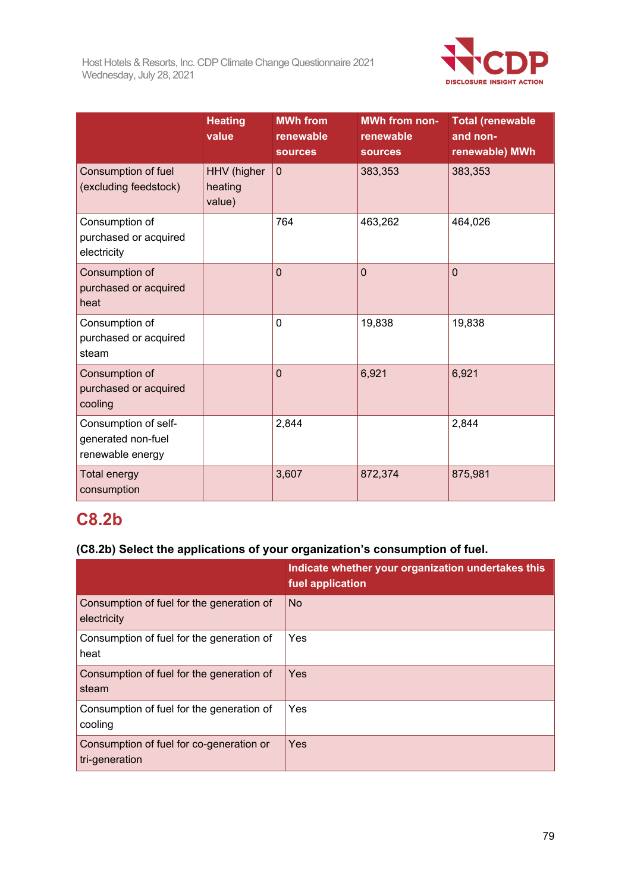

|                                                                | <b>Heating</b><br>value          | <b>MWh from</b><br>renewable<br><b>sources</b> | <b>MWh from non-</b><br>renewable<br><b>sources</b> | <b>Total (renewable</b><br>and non-<br>renewable) MWh |
|----------------------------------------------------------------|----------------------------------|------------------------------------------------|-----------------------------------------------------|-------------------------------------------------------|
| Consumption of fuel<br>(excluding feedstock)                   | HHV (higher<br>heating<br>value) | $\mathbf 0$                                    | 383,353                                             | 383,353                                               |
| Consumption of<br>purchased or acquired<br>electricity         |                                  | 764                                            | 463,262                                             | 464,026                                               |
| Consumption of<br>purchased or acquired<br>heat                |                                  | $\overline{0}$                                 | $\overline{0}$                                      | $\mathbf{0}$                                          |
| Consumption of<br>purchased or acquired<br>steam               |                                  | $\mathbf 0$                                    | 19,838                                              | 19,838                                                |
| Consumption of<br>purchased or acquired<br>cooling             |                                  | $\overline{0}$                                 | 6,921                                               | 6,921                                                 |
| Consumption of self-<br>generated non-fuel<br>renewable energy |                                  | 2,844                                          |                                                     | 2,844                                                 |
| <b>Total energy</b><br>consumption                             |                                  | 3,607                                          | 872,374                                             | 875,981                                               |

# **C8.2b**

### **(C8.2b) Select the applications of your organization's consumption of fuel.**

|                                                            | Indicate whether your organization undertakes this<br>fuel application |
|------------------------------------------------------------|------------------------------------------------------------------------|
| Consumption of fuel for the generation of<br>electricity   | <b>No</b>                                                              |
| Consumption of fuel for the generation of<br>heat          | Yes                                                                    |
| Consumption of fuel for the generation of<br>steam         | Yes                                                                    |
| Consumption of fuel for the generation of<br>cooling       | Yes                                                                    |
| Consumption of fuel for co-generation or<br>tri-generation | Yes                                                                    |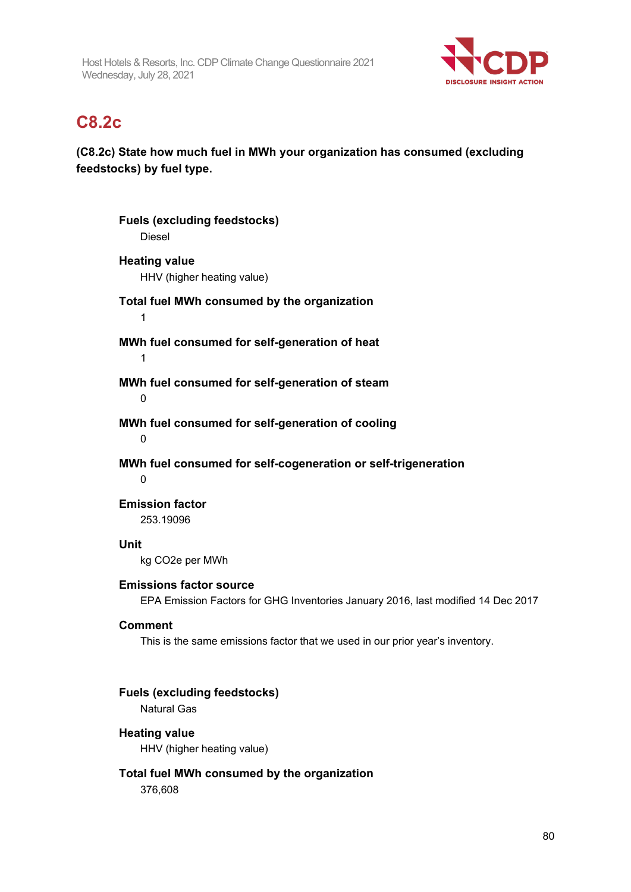

### **C8.2c**

### **(C8.2c) State how much fuel in MWh your organization has consumed (excluding feedstocks) by fuel type.**

**Fuels (excluding feedstocks)** Diesel **Heating value** HHV (higher heating value) **Total fuel MWh consumed by the organization** 1 **MWh fuel consumed for self-generation of heat** 1 **MWh fuel consumed for self-generation of steam**  $\Omega$ **MWh fuel consumed for self-generation of cooling**  $\Omega$ **MWh fuel consumed for self-cogeneration or self-trigeneration**  $\Omega$ **Emission factor** 253.19096 **Unit** kg CO2e per MWh **Emissions factor source** EPA Emission Factors for GHG Inventories January 2016, last modified 14 Dec 2017 **Comment** This is the same emissions factor that we used in our prior year's inventory. **Fuels (excluding feedstocks)** Natural Gas **Heating value** HHV (higher heating value) **Total fuel MWh consumed by the organization**

376,608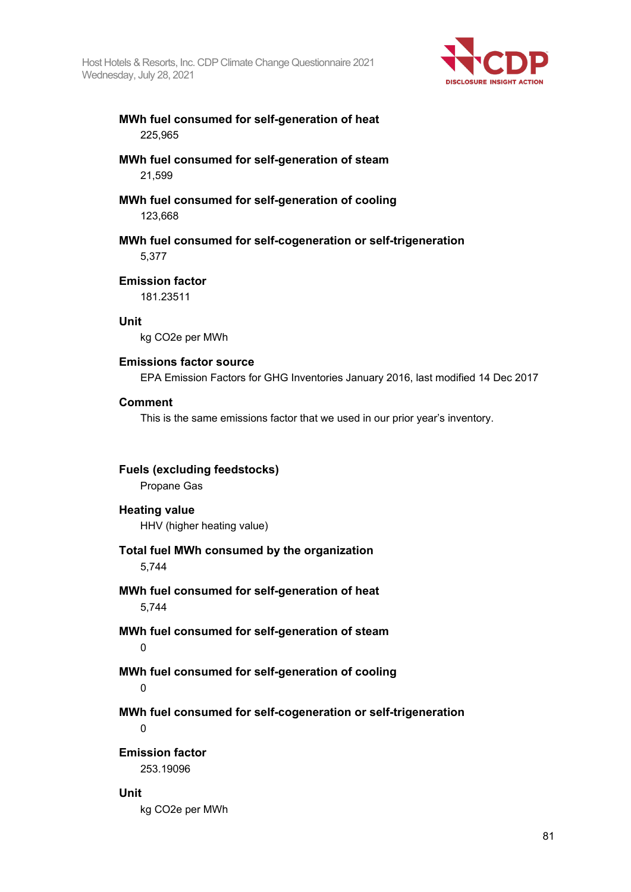Host Hotels & Resorts, Inc. CDP Climate Change Questionnaire 2021 Wednesday, July 28, 2021



#### **MWh fuel consumed for self-generation of heat** 225,965

#### **MWh fuel consumed for self-generation of steam** 21,599

#### **MWh fuel consumed for self-generation of cooling** 123,668

**MWh fuel consumed for self-cogeneration or self-trigeneration**

5,377

#### **Emission factor**

181.23511

#### **Unit**

kg CO2e per MWh

#### **Emissions factor source**

EPA Emission Factors for GHG Inventories January 2016, last modified 14 Dec 2017

#### **Comment**

This is the same emissions factor that we used in our prior year's inventory.

| <b>Fuels (excluding feedstocks)</b><br>Propane Gas                           |
|------------------------------------------------------------------------------|
| <b>Heating value</b><br>HHV (higher heating value)                           |
| Total fuel MWh consumed by the organization<br>5,744                         |
| MWh fuel consumed for self-generation of heat<br>5,744                       |
| MWh fuel consumed for self-generation of steam<br>$\mathbf 0$                |
| MWh fuel consumed for self-generation of cooling<br>$\mathbf 0$              |
| MWh fuel consumed for self-cogeneration or self-trigeneration<br>$\mathbf 0$ |
| <b>Emission factor</b><br>253.19096                                          |
| Unit<br>kg CO2e per MWh                                                      |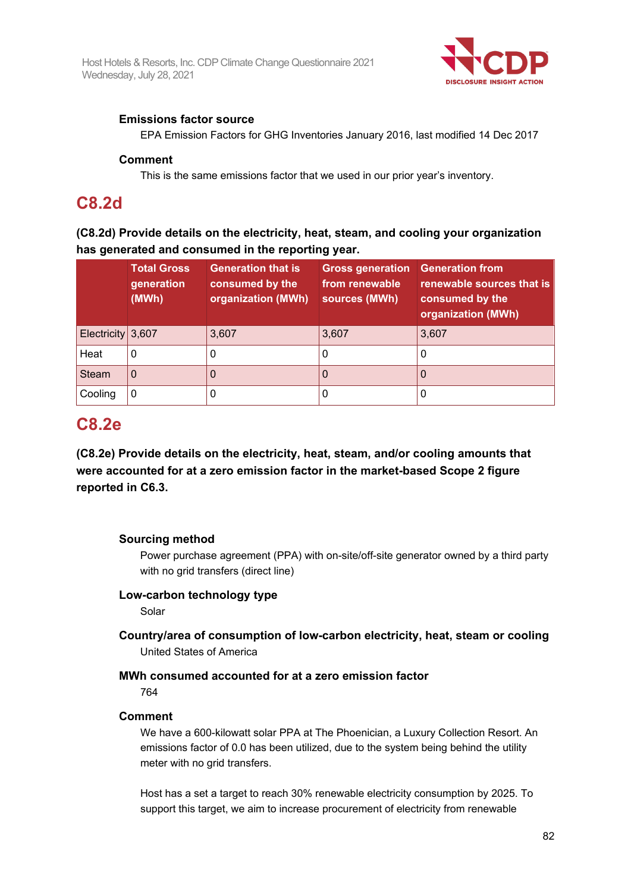

#### **Emissions factor source**

EPA Emission Factors for GHG Inventories January 2016, last modified 14 Dec 2017

#### **Comment**

This is the same emissions factor that we used in our prior year's inventory.

### **C8.2d**

**(C8.2d) Provide details on the electricity, heat, steam, and cooling your organization has generated and consumed in the reporting year.**

|                     | <b>Total Gross</b><br>generation<br>(MWh) | <b>Generation that is</b><br>consumed by the<br>organization (MWh) | <b>Gross generation</b> Generation from<br>from renewable<br>sources (MWh) | renewable sources that is<br>consumed by the<br>organization (MWh) |
|---------------------|-------------------------------------------|--------------------------------------------------------------------|----------------------------------------------------------------------------|--------------------------------------------------------------------|
| Electricity $3,607$ |                                           | 3,607                                                              | 3,607                                                                      | 3,607                                                              |
| Heat                | 0                                         |                                                                    | $\Omega$                                                                   | U                                                                  |
| <b>Steam</b>        | 0                                         |                                                                    |                                                                            | O                                                                  |
| Cooling             | 0                                         |                                                                    |                                                                            |                                                                    |

### **C8.2e**

**(C8.2e) Provide details on the electricity, heat, steam, and/or cooling amounts that were accounted for at a zero emission factor in the market-based Scope 2 figure reported in C6.3.**

#### **Sourcing method**

Power purchase agreement (PPA) with on-site/off-site generator owned by a third party with no grid transfers (direct line)

#### **Low-carbon technology type**

Solar

**Country/area of consumption of low-carbon electricity, heat, steam or cooling** United States of America

#### **MWh consumed accounted for at a zero emission factor**

764

#### **Comment**

We have a 600-kilowatt solar PPA at The Phoenician, a Luxury Collection Resort. An emissions factor of 0.0 has been utilized, due to the system being behind the utility meter with no grid transfers.

Host has a set a target to reach 30% renewable electricity consumption by 2025. To support this target, we aim to increase procurement of electricity from renewable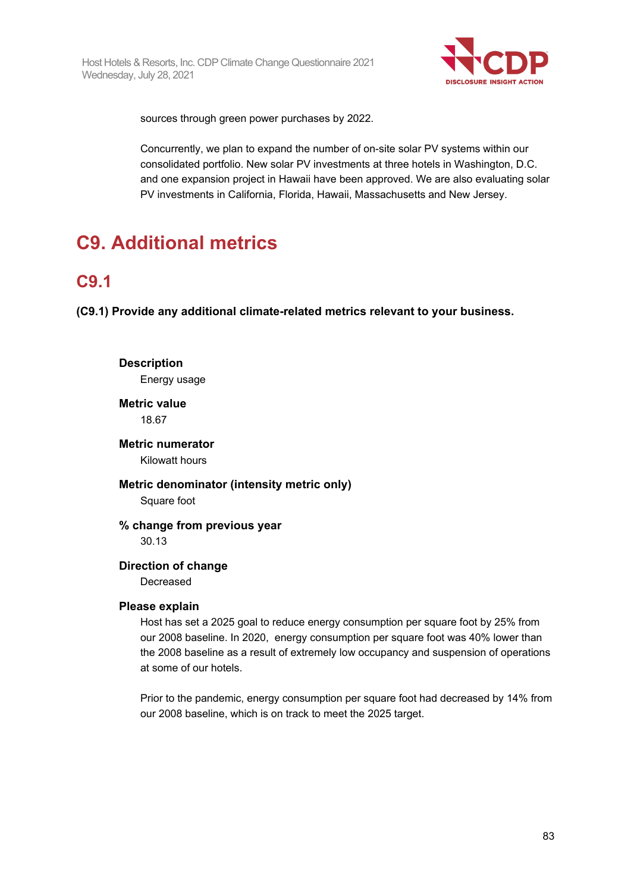

sources through green power purchases by 2022.

Concurrently, we plan to expand the number of on-site solar PV systems within our consolidated portfolio. New solar PV investments at three hotels in Washington, D.C. and one expansion project in Hawaii have been approved. We are also evaluating solar PV investments in California, Florida, Hawaii, Massachusetts and New Jersey.

# **C9. Additional metrics**

## **C9.1**

**(C9.1) Provide any additional climate-related metrics relevant to your business.**

**Description** Energy usage **Metric value** 18.67 **Metric numerator** Kilowatt hours **Metric denominator (intensity metric only)** Square foot **% change from previous year** 30.13 **Direction of change** Decreased **Please explain** Host has set a 2025 goal to reduce energy consumption per square foot by 25% from

our 2008 baseline. In 2020, energy consumption per square foot was 40% lower than the 2008 baseline as a result of extremely low occupancy and suspension of operations at some of our hotels.

Prior to the pandemic, energy consumption per square foot had decreased by 14% from our 2008 baseline, which is on track to meet the 2025 target.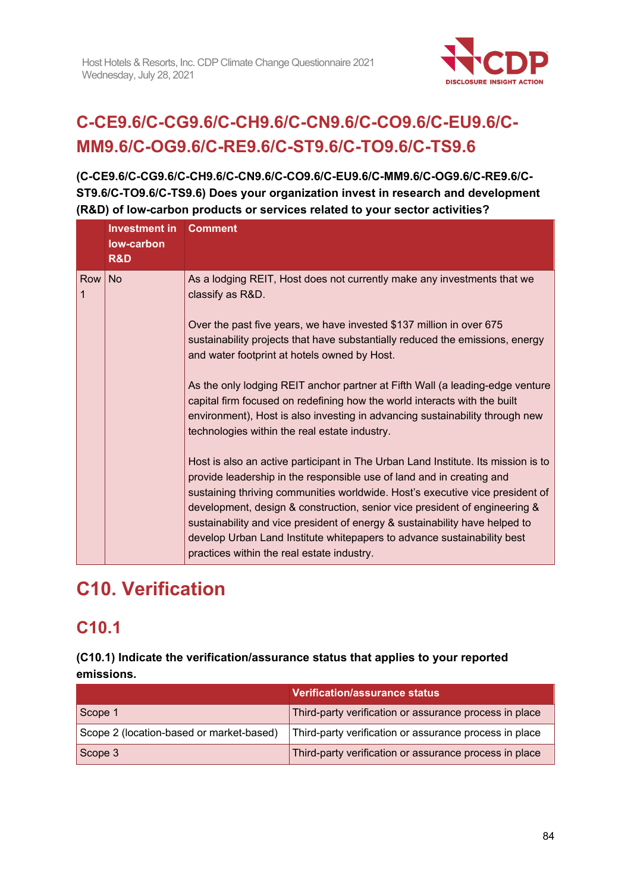

# **C-CE9.6/C-CG9.6/C-CH9.6/C-CN9.6/C-CO9.6/C-EU9.6/C-MM9.6/C-OG9.6/C-RE9.6/C-ST9.6/C-TO9.6/C-TS9.6**

**(C-CE9.6/C-CG9.6/C-CH9.6/C-CN9.6/C-CO9.6/C-EU9.6/C-MM9.6/C-OG9.6/C-RE9.6/C-ST9.6/C-TO9.6/C-TS9.6) Does your organization invest in research and development (R&D) of low-carbon products or services related to your sector activities?**

|          | Investment in<br>low-carbon<br>R&D | <b>Comment</b>                                                                                                                                                                                                                                                                                                                                                                                                                                                                                                                                                                                      |
|----------|------------------------------------|-----------------------------------------------------------------------------------------------------------------------------------------------------------------------------------------------------------------------------------------------------------------------------------------------------------------------------------------------------------------------------------------------------------------------------------------------------------------------------------------------------------------------------------------------------------------------------------------------------|
| Row<br>1 | <b>No</b>                          | As a lodging REIT, Host does not currently make any investments that we<br>classify as R&D.<br>Over the past five years, we have invested \$137 million in over 675<br>sustainability projects that have substantially reduced the emissions, energy<br>and water footprint at hotels owned by Host.<br>As the only lodging REIT anchor partner at Fifth Wall (a leading-edge venture<br>capital firm focused on redefining how the world interacts with the built<br>environment), Host is also investing in advancing sustainability through new<br>technologies within the real estate industry. |
|          |                                    | Host is also an active participant in The Urban Land Institute. Its mission is to<br>provide leadership in the responsible use of land and in creating and<br>sustaining thriving communities worldwide. Host's executive vice president of<br>development, design & construction, senior vice president of engineering &<br>sustainability and vice president of energy & sustainability have helped to<br>develop Urban Land Institute whitepapers to advance sustainability best<br>practices within the real estate industry.                                                                   |

# **C10. Verification**

# **C10.1**

**(C10.1) Indicate the verification/assurance status that applies to your reported emissions.**

|                                          | <b>Verification/assurance status</b>                   |
|------------------------------------------|--------------------------------------------------------|
| Scope 1                                  | Third-party verification or assurance process in place |
| Scope 2 (location-based or market-based) | Third-party verification or assurance process in place |
| Scope 3                                  | Third-party verification or assurance process in place |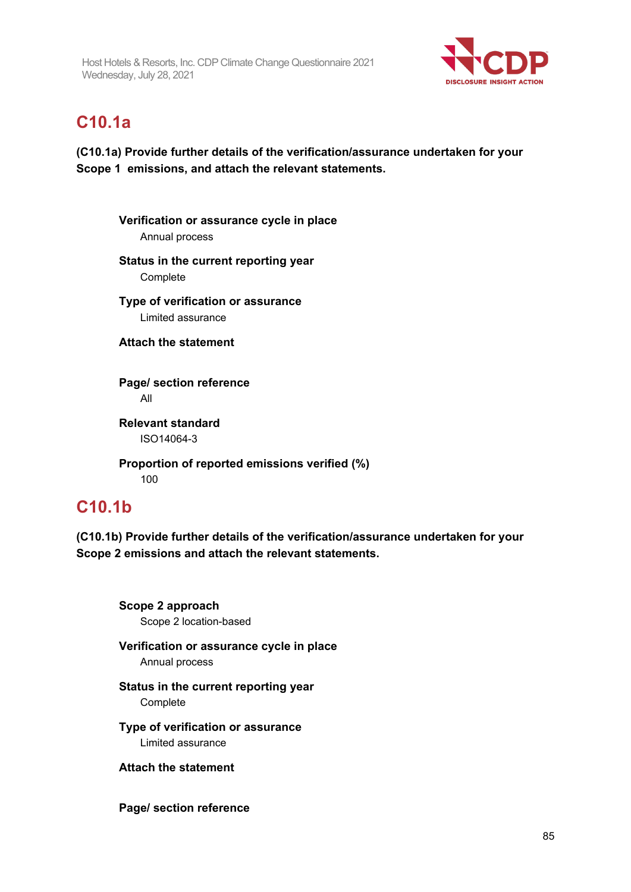

## **C10.1a**

**(C10.1a) Provide further details of the verification/assurance undertaken for your Scope 1 emissions, and attach the relevant statements.**

**Verification or assurance cycle in place** Annual process **Status in the current reporting year Complete Type of verification or assurance** Limited assurance **Attach the statement Page/ section reference** All **Relevant standard** ISO14064-3 **Proportion of reported emissions verified (%)**

100

### **C10.1b**

**(C10.1b) Provide further details of the verification/assurance undertaken for your Scope 2 emissions and attach the relevant statements.**

**Scope 2 approach** Scope 2 location-based

### **Verification or assurance cycle in place**

Annual process

#### **Status in the current reporting year Complete**

**Type of verification or assurance** Limited assurance

**Attach the statement**

**Page/ section reference**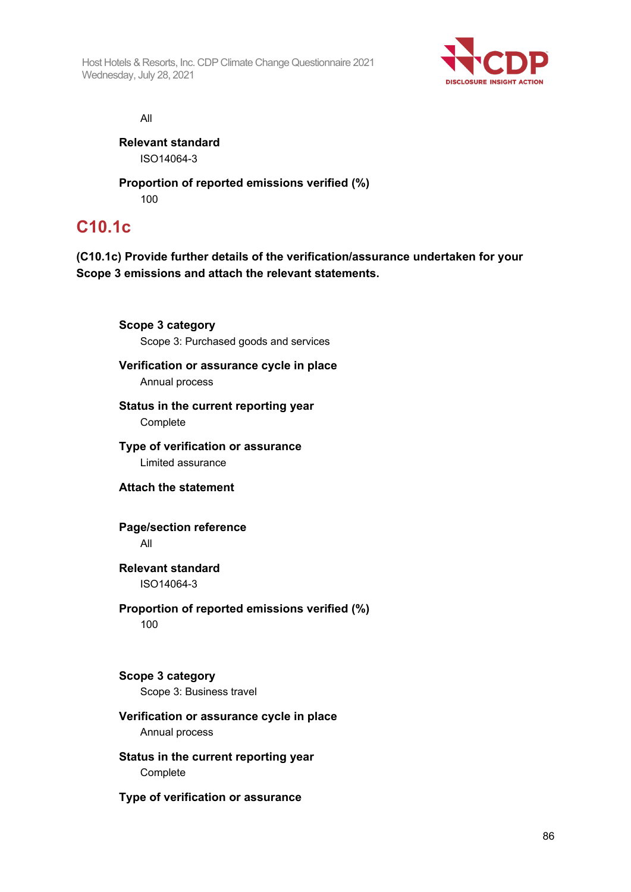Host Hotels & Resorts, Inc. CDP Climate Change Questionnaire 2021 Wednesday, July 28, 2021



All

**Relevant standard** ISO14064-3

**Proportion of reported emissions verified (%)** 100

### **C10.1c**

**(C10.1c) Provide further details of the verification/assurance undertaken for your Scope 3 emissions and attach the relevant statements.**

**Scope 3 category** Scope 3: Purchased goods and services **Verification or assurance cycle in place** Annual process **Status in the current reporting year Complete Type of verification or assurance** Limited assurance **Attach the statement Page/section reference** All **Relevant standard** ISO14064-3 **Proportion of reported emissions verified (%)** 100 **Scope 3 category** Scope 3: Business travel

#### **Verification or assurance cycle in place** Annual process

**Status in the current reporting year Complete** 

**Type of verification or assurance**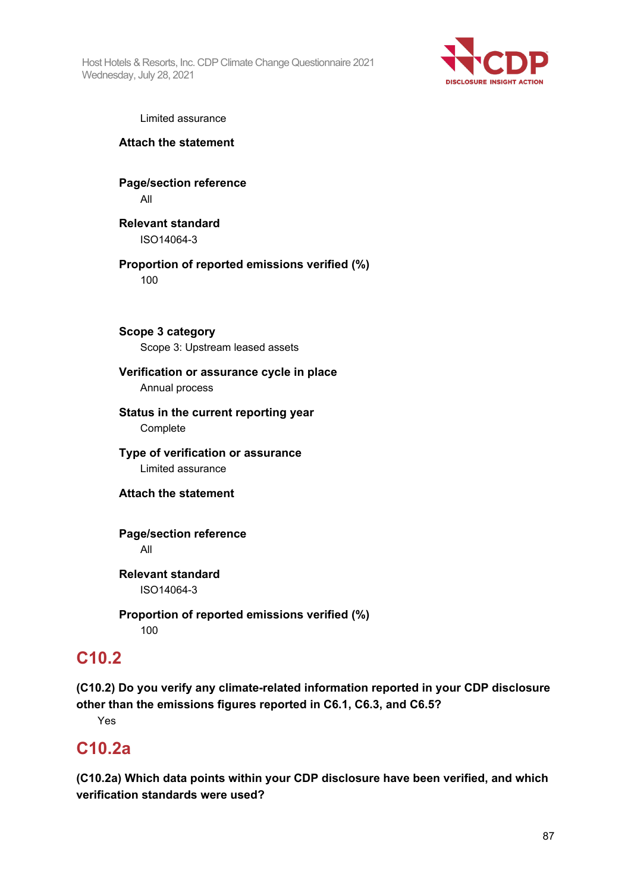Host Hotels & Resorts, Inc. CDP Climate Change Questionnaire 2021 Wednesday, July 28, 2021



Limited assurance

**Attach the statement**

**Page/section reference** All

**Relevant standard** ISO14064-3

**Proportion of reported emissions verified (%)** 100

**Scope 3 category** Scope 3: Upstream leased assets

#### **Verification or assurance cycle in place**

Annual process

**Status in the current reporting year Complete** 

**Type of verification or assurance** Limited assurance

**Attach the statement**

**Page/section reference** All

**Relevant standard** ISO14064-3

**Proportion of reported emissions verified (%)** 100

### **C10.2**

**(C10.2) Do you verify any climate-related information reported in your CDP disclosure other than the emissions figures reported in C6.1, C6.3, and C6.5?**

Yes

## **C10.2a**

**(C10.2a) Which data points within your CDP disclosure have been verified, and which verification standards were used?**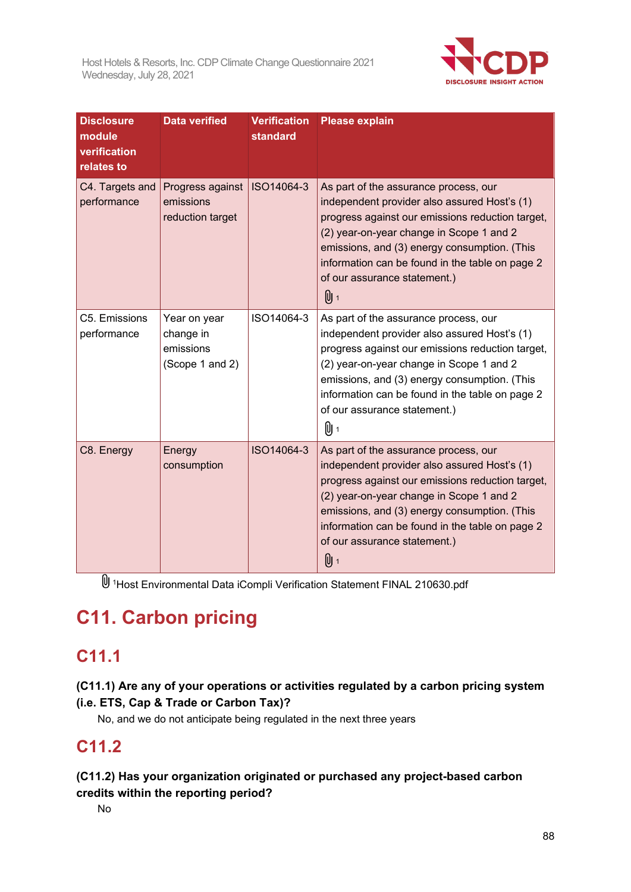

| <b>Disclosure</b><br>module<br>verification<br>relates to | <b>Data verified</b>                                      | <b>Verification</b><br><b>standard</b> | <b>Please explain</b>                                                                                                                                                                                                                                                                                                           |
|-----------------------------------------------------------|-----------------------------------------------------------|----------------------------------------|---------------------------------------------------------------------------------------------------------------------------------------------------------------------------------------------------------------------------------------------------------------------------------------------------------------------------------|
| C4. Targets and<br>performance                            | Progress against<br>emissions<br>reduction target         | ISO14064-3                             | As part of the assurance process, our<br>independent provider also assured Host's (1)<br>progress against our emissions reduction target,<br>(2) year-on-year change in Scope 1 and 2<br>emissions, and (3) energy consumption. (This<br>information can be found in the table on page 2<br>of our assurance statement.)<br>Ս 1 |
| C5. Emissions<br>performance                              | Year on year<br>change in<br>emissions<br>(Scope 1 and 2) | ISO14064-3                             | As part of the assurance process, our<br>independent provider also assured Host's (1)<br>progress against our emissions reduction target,<br>(2) year-on-year change in Scope 1 and 2<br>emissions, and (3) energy consumption. (This<br>information can be found in the table on page 2<br>of our assurance statement.)<br>Ս ւ |
| C8. Energy                                                | Energy<br>consumption                                     | ISO14064-3                             | As part of the assurance process, our<br>independent provider also assured Host's (1)<br>progress against our emissions reduction target,<br>(2) year-on-year change in Scope 1 and 2<br>emissions, and (3) energy consumption. (This<br>information can be found in the table on page 2<br>of our assurance statement.)<br>Ս 1 |

1Host Environmental Data iCompli Verification Statement FINAL 210630.pdf

# **C11. Carbon pricing**

## **C11.1**

### **(C11.1) Are any of your operations or activities regulated by a carbon pricing system (i.e. ETS, Cap & Trade or Carbon Tax)?**

No, and we do not anticipate being regulated in the next three years

# **C11.2**

### **(C11.2) Has your organization originated or purchased any project-based carbon credits within the reporting period?**

No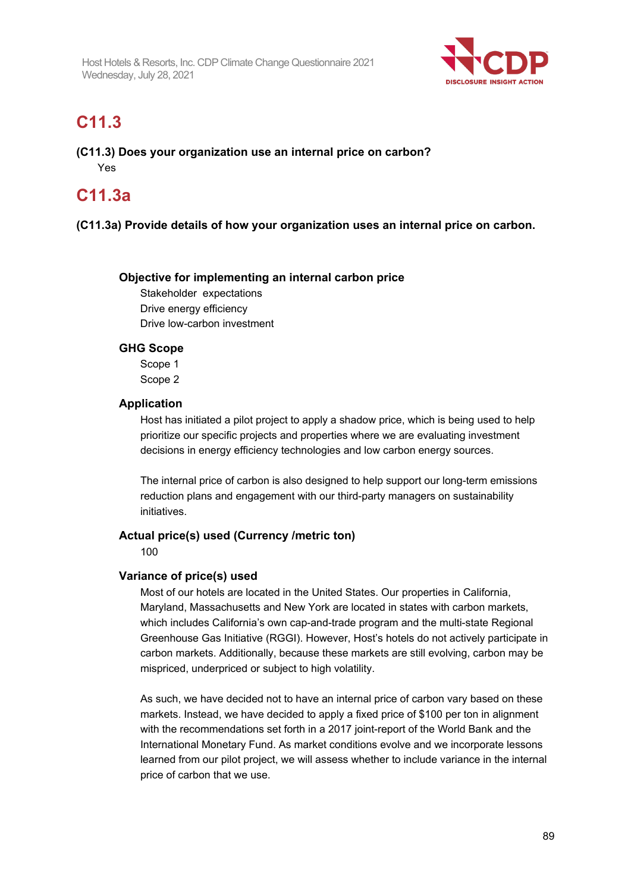

## **C11.3**

**(C11.3) Does your organization use an internal price on carbon?** Yes

# **C11.3a**

#### **(C11.3a) Provide details of how your organization uses an internal price on carbon.**

#### **Objective for implementing an internal carbon price**

Stakeholder expectations Drive energy efficiency Drive low-carbon investment

#### **GHG Scope**

Scope 1 Scope 2

#### **Application**

Host has initiated a pilot project to apply a shadow price, which is being used to help prioritize our specific projects and properties where we are evaluating investment decisions in energy efficiency technologies and low carbon energy sources.

The internal price of carbon is also designed to help support our long-term emissions reduction plans and engagement with our third-party managers on sustainability initiatives.

#### **Actual price(s) used (Currency /metric ton)**

100

#### **Variance of price(s) used**

Most of our hotels are located in the United States. Our properties in California, Maryland, Massachusetts and New York are located in states with carbon markets, which includes California's own cap-and-trade program and the multi-state Regional Greenhouse Gas Initiative (RGGI). However, Host's hotels do not actively participate in carbon markets. Additionally, because these markets are still evolving, carbon may be mispriced, underpriced or subject to high volatility.

As such, we have decided not to have an internal price of carbon vary based on these markets. Instead, we have decided to apply a fixed price of \$100 per ton in alignment with the recommendations set forth in a 2017 joint-report of the World Bank and the International Monetary Fund. As market conditions evolve and we incorporate lessons learned from our pilot project, we will assess whether to include variance in the internal price of carbon that we use.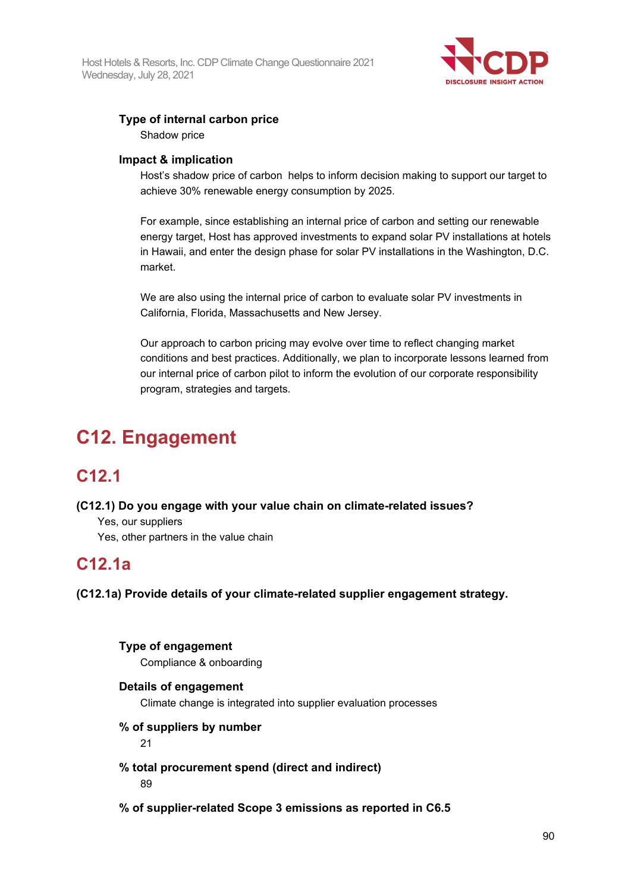

#### **Type of internal carbon price**

Shadow price

#### **Impact & implication**

Host's shadow price of carbon helps to inform decision making to support our target to achieve 30% renewable energy consumption by 2025.

For example, since establishing an internal price of carbon and setting our renewable energy target, Host has approved investments to expand solar PV installations at hotels in Hawaii, and enter the design phase for solar PV installations in the Washington, D.C. market.

We are also using the internal price of carbon to evaluate solar PV investments in California, Florida, Massachusetts and New Jersey.

Our approach to carbon pricing may evolve over time to reflect changing market conditions and best practices. Additionally, we plan to incorporate lessons learned from our internal price of carbon pilot to inform the evolution of our corporate responsibility program, strategies and targets.

# **C12. Engagement**

### **C12.1**

#### **(C12.1) Do you engage with your value chain on climate-related issues?**

Yes, our suppliers

Yes, other partners in the value chain

### **C12.1a**

**(C12.1a) Provide details of your climate-related supplier engagement strategy.**

#### **Type of engagement**

Compliance & onboarding

#### **Details of engagement**

Climate change is integrated into supplier evaluation processes

#### **% of suppliers by number**

21

#### **% total procurement spend (direct and indirect)** 89

**% of supplier-related Scope 3 emissions as reported in C6.5**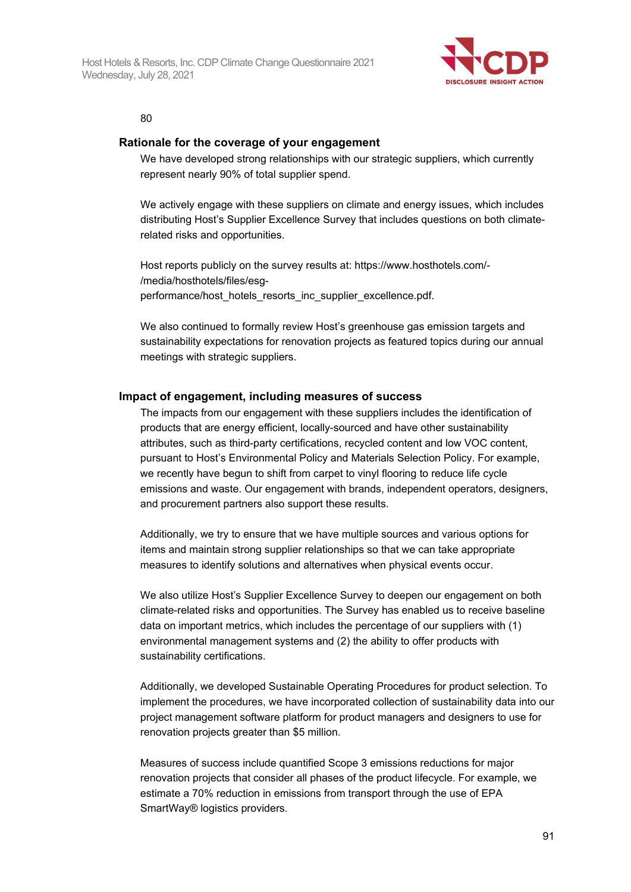

80

#### **Rationale for the coverage of your engagement**

We have developed strong relationships with our strategic suppliers, which currently represent nearly 90% of total supplier spend.

We actively engage with these suppliers on climate and energy issues, which includes distributing Host's Supplier Excellence Survey that includes questions on both climaterelated risks and opportunities.

Host reports publicly on the survey results at: https://www.hosthotels.com/- /media/hosthotels/files/esgperformance/host\_hotels\_resorts\_inc\_supplier\_excellence.pdf.

We also continued to formally review Host's greenhouse gas emission targets and sustainability expectations for renovation projects as featured topics during our annual meetings with strategic suppliers.

#### **Impact of engagement, including measures of success**

The impacts from our engagement with these suppliers includes the identification of products that are energy efficient, locally-sourced and have other sustainability attributes, such as third-party certifications, recycled content and low VOC content, pursuant to Host's Environmental Policy and Materials Selection Policy. For example, we recently have begun to shift from carpet to vinyl flooring to reduce life cycle emissions and waste. Our engagement with brands, independent operators, designers, and procurement partners also support these results.

Additionally, we try to ensure that we have multiple sources and various options for items and maintain strong supplier relationships so that we can take appropriate measures to identify solutions and alternatives when physical events occur.

We also utilize Host's Supplier Excellence Survey to deepen our engagement on both climate-related risks and opportunities. The Survey has enabled us to receive baseline data on important metrics, which includes the percentage of our suppliers with (1) environmental management systems and (2) the ability to offer products with sustainability certifications.

Additionally, we developed Sustainable Operating Procedures for product selection. To implement the procedures, we have incorporated collection of sustainability data into our project management software platform for product managers and designers to use for renovation projects greater than \$5 million.

Measures of success include quantified Scope 3 emissions reductions for major renovation projects that consider all phases of the product lifecycle. For example, we estimate a 70% reduction in emissions from transport through the use of EPA SmartWay® logistics providers.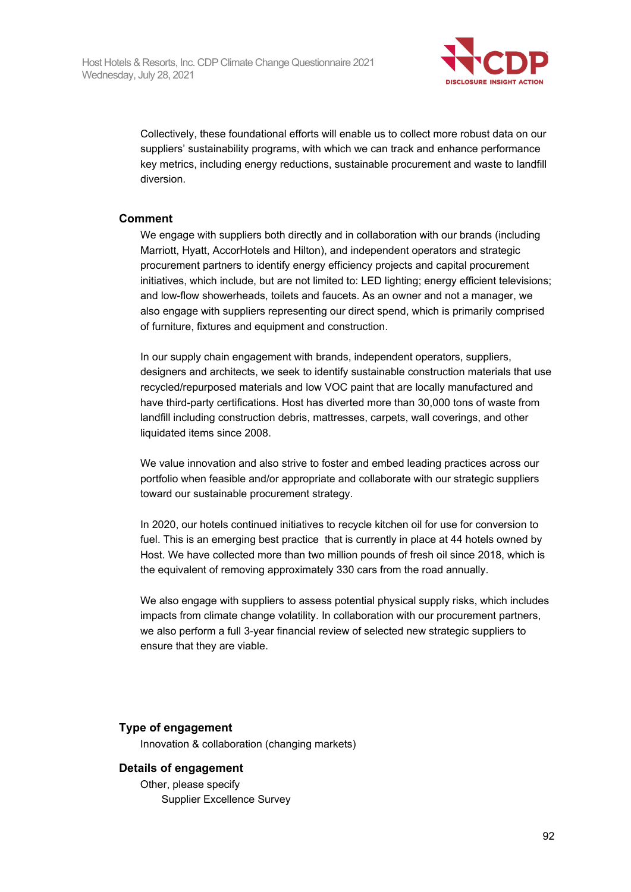

Collectively, these foundational efforts will enable us to collect more robust data on our suppliers' sustainability programs, with which we can track and enhance performance key metrics, including energy reductions, sustainable procurement and waste to landfill diversion.

#### **Comment**

We engage with suppliers both directly and in collaboration with our brands (including Marriott, Hyatt, AccorHotels and Hilton), and independent operators and strategic procurement partners to identify energy efficiency projects and capital procurement initiatives, which include, but are not limited to: LED lighting; energy efficient televisions; and low-flow showerheads, toilets and faucets. As an owner and not a manager, we also engage with suppliers representing our direct spend, which is primarily comprised of furniture, fixtures and equipment and construction.

In our supply chain engagement with brands, independent operators, suppliers, designers and architects, we seek to identify sustainable construction materials that use recycled/repurposed materials and low VOC paint that are locally manufactured and have third-party certifications. Host has diverted more than 30,000 tons of waste from landfill including construction debris, mattresses, carpets, wall coverings, and other liquidated items since 2008.

We value innovation and also strive to foster and embed leading practices across our portfolio when feasible and/or appropriate and collaborate with our strategic suppliers toward our sustainable procurement strategy.

In 2020, our hotels continued initiatives to recycle kitchen oil for use for conversion to fuel. This is an emerging best practice that is currently in place at 44 hotels owned by Host. We have collected more than two million pounds of fresh oil since 2018, which is the equivalent of removing approximately 330 cars from the road annually.

We also engage with suppliers to assess potential physical supply risks, which includes impacts from climate change volatility. In collaboration with our procurement partners, we also perform a full 3-year financial review of selected new strategic suppliers to ensure that they are viable.

#### **Type of engagement**

Innovation & collaboration (changing markets)

#### **Details of engagement**

Other, please specify Supplier Excellence Survey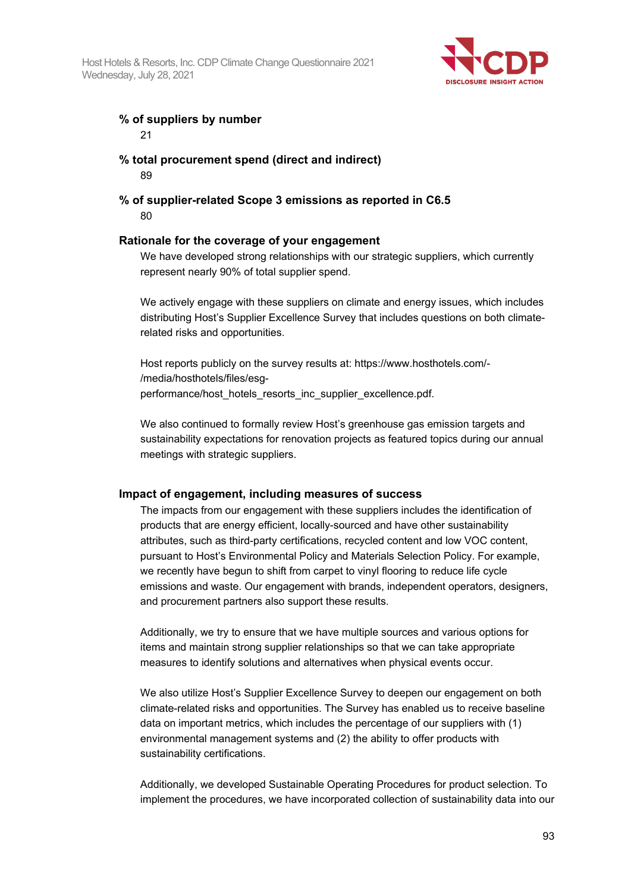

#### **% of suppliers by number**

21

### **% total procurement spend (direct and indirect)**

89

#### **% of supplier-related Scope 3 emissions as reported in C6.5** 80

#### **Rationale for the coverage of your engagement**

We have developed strong relationships with our strategic suppliers, which currently represent nearly 90% of total supplier spend.

We actively engage with these suppliers on climate and energy issues, which includes distributing Host's Supplier Excellence Survey that includes questions on both climaterelated risks and opportunities.

Host reports publicly on the survey results at: https://www.hosthotels.com/- /media/hosthotels/files/esgperformance/host\_hotels\_resorts\_inc\_supplier\_excellence.pdf.

We also continued to formally review Host's greenhouse gas emission targets and sustainability expectations for renovation projects as featured topics during our annual meetings with strategic suppliers.

#### **Impact of engagement, including measures of success**

The impacts from our engagement with these suppliers includes the identification of products that are energy efficient, locally-sourced and have other sustainability attributes, such as third-party certifications, recycled content and low VOC content, pursuant to Host's Environmental Policy and Materials Selection Policy. For example, we recently have begun to shift from carpet to vinyl flooring to reduce life cycle emissions and waste. Our engagement with brands, independent operators, designers, and procurement partners also support these results.

Additionally, we try to ensure that we have multiple sources and various options for items and maintain strong supplier relationships so that we can take appropriate measures to identify solutions and alternatives when physical events occur.

We also utilize Host's Supplier Excellence Survey to deepen our engagement on both climate-related risks and opportunities. The Survey has enabled us to receive baseline data on important metrics, which includes the percentage of our suppliers with (1) environmental management systems and (2) the ability to offer products with sustainability certifications.

Additionally, we developed Sustainable Operating Procedures for product selection. To implement the procedures, we have incorporated collection of sustainability data into our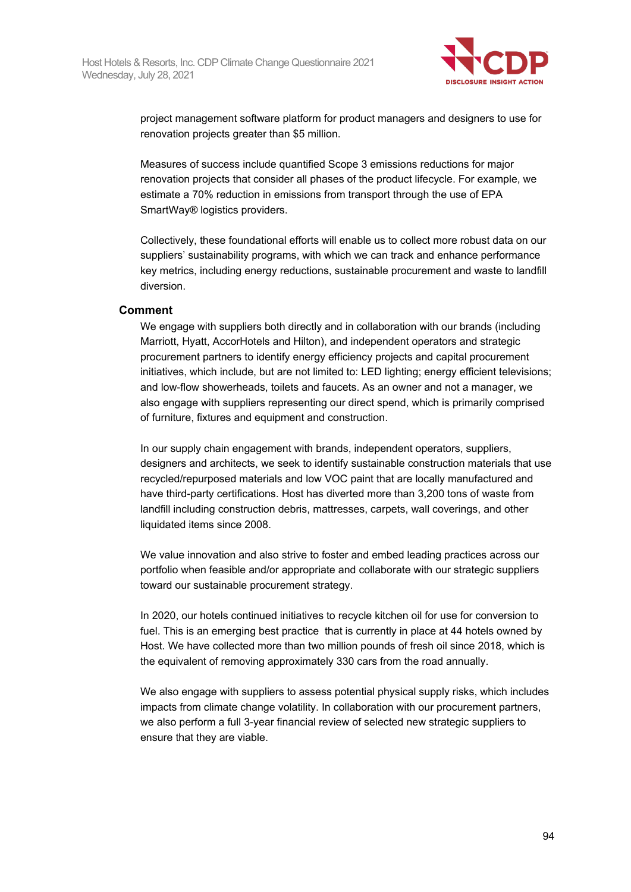

project management software platform for product managers and designers to use for renovation projects greater than \$5 million.

Measures of success include quantified Scope 3 emissions reductions for major renovation projects that consider all phases of the product lifecycle. For example, we estimate a 70% reduction in emissions from transport through the use of EPA SmartWay® logistics providers.

Collectively, these foundational efforts will enable us to collect more robust data on our suppliers' sustainability programs, with which we can track and enhance performance key metrics, including energy reductions, sustainable procurement and waste to landfill diversion.

#### **Comment**

We engage with suppliers both directly and in collaboration with our brands (including Marriott, Hyatt, AccorHotels and Hilton), and independent operators and strategic procurement partners to identify energy efficiency projects and capital procurement initiatives, which include, but are not limited to: LED lighting; energy efficient televisions; and low-flow showerheads, toilets and faucets. As an owner and not a manager, we also engage with suppliers representing our direct spend, which is primarily comprised of furniture, fixtures and equipment and construction.

In our supply chain engagement with brands, independent operators, suppliers, designers and architects, we seek to identify sustainable construction materials that use recycled/repurposed materials and low VOC paint that are locally manufactured and have third-party certifications. Host has diverted more than 3,200 tons of waste from landfill including construction debris, mattresses, carpets, wall coverings, and other liquidated items since 2008.

We value innovation and also strive to foster and embed leading practices across our portfolio when feasible and/or appropriate and collaborate with our strategic suppliers toward our sustainable procurement strategy.

In 2020, our hotels continued initiatives to recycle kitchen oil for use for conversion to fuel. This is an emerging best practice that is currently in place at 44 hotels owned by Host. We have collected more than two million pounds of fresh oil since 2018, which is the equivalent of removing approximately 330 cars from the road annually.

We also engage with suppliers to assess potential physical supply risks, which includes impacts from climate change volatility. In collaboration with our procurement partners, we also perform a full 3-year financial review of selected new strategic suppliers to ensure that they are viable.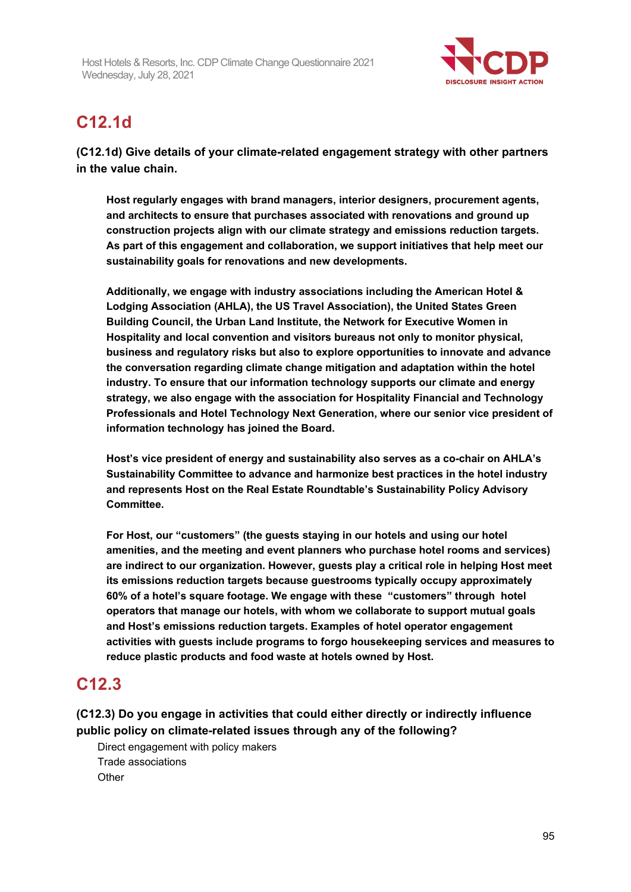

# **C12.1d**

**(C12.1d) Give details of your climate-related engagement strategy with other partners in the value chain.**

**Host regularly engages with brand managers, interior designers, procurement agents, and architects to ensure that purchases associated with renovations and ground up construction projects align with our climate strategy and emissions reduction targets. As part of this engagement and collaboration, we support initiatives that help meet our sustainability goals for renovations and new developments.**

**Additionally, we engage with industry associations including the American Hotel & Lodging Association (AHLA), the US Travel Association), the United States Green Building Council, the Urban Land Institute, the Network for Executive Women in Hospitality and local convention and visitors bureaus not only to monitor physical, business and regulatory risks but also to explore opportunities to innovate and advance the conversation regarding climate change mitigation and adaptation within the hotel industry. To ensure that our information technology supports our climate and energy strategy, we also engage with the association for Hospitality Financial and Technology Professionals and Hotel Technology Next Generation, where our senior vice president of information technology has joined the Board.**

**Host's vice president of energy and sustainability also serves as a co-chair on AHLA's Sustainability Committee to advance and harmonize best practices in the hotel industry and represents Host on the Real Estate Roundtable's Sustainability Policy Advisory Committee.**

**For Host, our "customers" (the guests staying in our hotels and using our hotel amenities, and the meeting and event planners who purchase hotel rooms and services) are indirect to our organization. However, guests play a critical role in helping Host meet its emissions reduction targets because guestrooms typically occupy approximately 60% of a hotel's square footage. We engage with these "customers" through hotel operators that manage our hotels, with whom we collaborate to support mutual goals and Host's emissions reduction targets. Examples of hotel operator engagement activities with guests include programs to forgo housekeeping services and measures to reduce plastic products and food waste at hotels owned by Host.**

## **C12.3**

**(C12.3) Do you engage in activities that could either directly or indirectly influence public policy on climate-related issues through any of the following?**

Direct engagement with policy makers Trade associations **Other**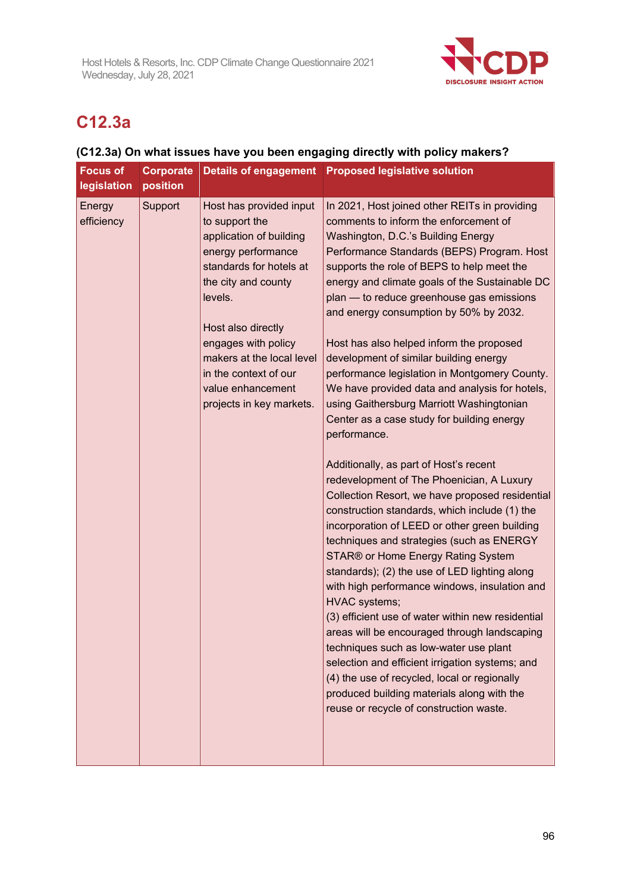

# **C12.3a**

### **(C12.3a) On what issues have you been engaging directly with policy makers?**

| <b>Focus of</b><br>legislation | Corporate<br>position | Details of engagement                                                                                                                                                                                                                                                                                       | <b>Proposed legislative solution</b>                                                                                                                                                                                                                                                                                                                                                                                                                                                                                                                                                                                                                                                                                                                                                                                                                                                                                                                                                                                                                                                                                                                                                                                                                                                                                                                                                                                                                                      |
|--------------------------------|-----------------------|-------------------------------------------------------------------------------------------------------------------------------------------------------------------------------------------------------------------------------------------------------------------------------------------------------------|---------------------------------------------------------------------------------------------------------------------------------------------------------------------------------------------------------------------------------------------------------------------------------------------------------------------------------------------------------------------------------------------------------------------------------------------------------------------------------------------------------------------------------------------------------------------------------------------------------------------------------------------------------------------------------------------------------------------------------------------------------------------------------------------------------------------------------------------------------------------------------------------------------------------------------------------------------------------------------------------------------------------------------------------------------------------------------------------------------------------------------------------------------------------------------------------------------------------------------------------------------------------------------------------------------------------------------------------------------------------------------------------------------------------------------------------------------------------------|
| Energy<br>efficiency           | Support               | Host has provided input<br>to support the<br>application of building<br>energy performance<br>standards for hotels at<br>the city and county<br>levels.<br>Host also directly<br>engages with policy<br>makers at the local level<br>in the context of our<br>value enhancement<br>projects in key markets. | In 2021, Host joined other REITs in providing<br>comments to inform the enforcement of<br>Washington, D.C.'s Building Energy<br>Performance Standards (BEPS) Program. Host<br>supports the role of BEPS to help meet the<br>energy and climate goals of the Sustainable DC<br>plan - to reduce greenhouse gas emissions<br>and energy consumption by 50% by 2032.<br>Host has also helped inform the proposed<br>development of similar building energy<br>performance legislation in Montgomery County.<br>We have provided data and analysis for hotels,<br>using Gaithersburg Marriott Washingtonian<br>Center as a case study for building energy<br>performance.<br>Additionally, as part of Host's recent<br>redevelopment of The Phoenician, A Luxury<br>Collection Resort, we have proposed residential<br>construction standards, which include (1) the<br>incorporation of LEED or other green building<br>techniques and strategies (such as ENERGY<br>STAR® or Home Energy Rating System<br>standards); (2) the use of LED lighting along<br>with high performance windows, insulation and<br><b>HVAC</b> systems;<br>(3) efficient use of water within new residential<br>areas will be encouraged through landscaping<br>techniques such as low-water use plant<br>selection and efficient irrigation systems; and<br>(4) the use of recycled, local or regionally<br>produced building materials along with the<br>reuse or recycle of construction waste. |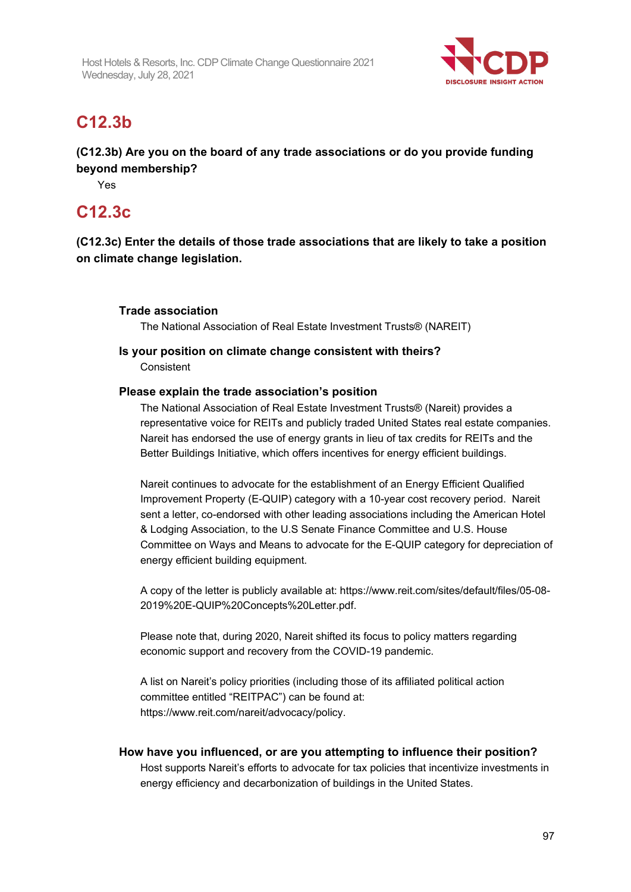

## **C12.3b**

**(C12.3b) Are you on the board of any trade associations or do you provide funding beyond membership?**

Yes

### **C12.3c**

**(C12.3c) Enter the details of those trade associations that are likely to take a position on climate change legislation.**

#### **Trade association**

The National Association of Real Estate Investment Trusts® (NAREIT)

#### **Is your position on climate change consistent with theirs?**

**Consistent** 

#### **Please explain the trade association's position**

The National Association of Real Estate Investment Trusts® (Nareit) provides a representative voice for REITs and publicly traded United States real estate companies. Nareit has endorsed the use of energy grants in lieu of tax credits for REITs and the Better Buildings Initiative, which offers incentives for energy efficient buildings.

Nareit continues to advocate for the establishment of an Energy Efficient Qualified Improvement Property (E-QUIP) category with a 10-year cost recovery period. Nareit sent a letter, co-endorsed with other leading associations including the American Hotel & Lodging Association, to the U.S Senate Finance Committee and U.S. House Committee on Ways and Means to advocate for the E-QUIP category for depreciation of energy efficient building equipment.

A copy of the letter is publicly available at: https://www.reit.com/sites/default/files/05-08- 2019%20E-QUIP%20Concepts%20Letter.pdf.

Please note that, during 2020, Nareit shifted its focus to policy matters regarding economic support and recovery from the COVID-19 pandemic.

A list on Nareit's policy priorities (including those of its affiliated political action committee entitled "REITPAC") can be found at: https://www.reit.com/nareit/advocacy/policy.

#### **How have you influenced, or are you attempting to influence their position?**

Host supports Nareit's efforts to advocate for tax policies that incentivize investments in energy efficiency and decarbonization of buildings in the United States.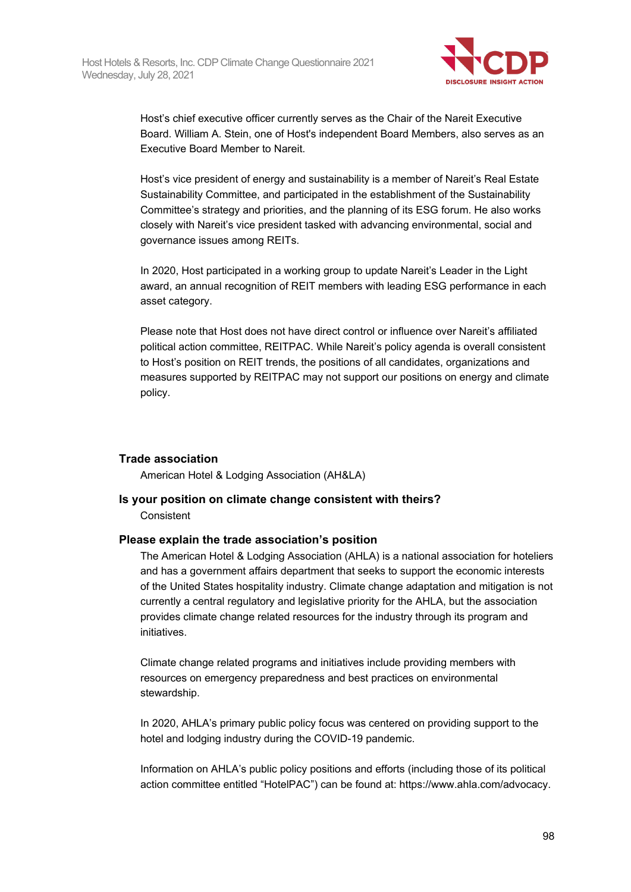

Host's chief executive officer currently serves as the Chair of the Nareit Executive Board. William A. Stein, one of Host's independent Board Members, also serves as an Executive Board Member to Nareit.

Host's vice president of energy and sustainability is a member of Nareit's Real Estate Sustainability Committee, and participated in the establishment of the Sustainability Committee's strategy and priorities, and the planning of its ESG forum. He also works closely with Nareit's vice president tasked with advancing environmental, social and governance issues among REITs.

In 2020, Host participated in a working group to update Nareit's Leader in the Light award, an annual recognition of REIT members with leading ESG performance in each asset category.

Please note that Host does not have direct control or influence over Nareit's affiliated political action committee, REITPAC. While Nareit's policy agenda is overall consistent to Host's position on REIT trends, the positions of all candidates, organizations and measures supported by REITPAC may not support our positions on energy and climate policy.

#### **Trade association**

American Hotel & Lodging Association (AH&LA)

#### **Is your position on climate change consistent with theirs?**

**Consistent** 

#### **Please explain the trade association's position**

The American Hotel & Lodging Association (AHLA) is a national association for hoteliers and has a government affairs department that seeks to support the economic interests of the United States hospitality industry. Climate change adaptation and mitigation is not currently a central regulatory and legislative priority for the AHLA, but the association provides climate change related resources for the industry through its program and initiatives.

Climate change related programs and initiatives include providing members with resources on emergency preparedness and best practices on environmental stewardship.

In 2020, AHLA's primary public policy focus was centered on providing support to the hotel and lodging industry during the COVID-19 pandemic.

Information on AHLA's public policy positions and efforts (including those of its political action committee entitled "HotelPAC") can be found at: https://www.ahla.com/advocacy.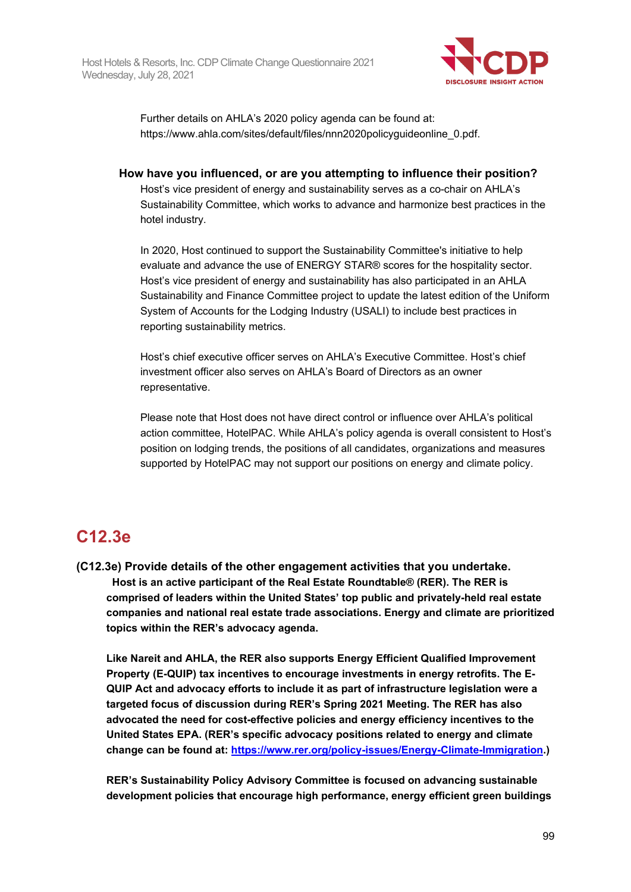

Further details on AHLA's 2020 policy agenda can be found at: https://www.ahla.com/sites/default/files/nnn2020policyguideonline\_0.pdf.

**How have you influenced, or are you attempting to influence their position?**

Host's vice president of energy and sustainability serves as a co-chair on AHLA's Sustainability Committee, which works to advance and harmonize best practices in the hotel industry.

In 2020, Host continued to support the Sustainability Committee's initiative to help evaluate and advance the use of ENERGY STAR® scores for the hospitality sector. Host's vice president of energy and sustainability has also participated in an AHLA Sustainability and Finance Committee project to update the latest edition of the Uniform System of Accounts for the Lodging Industry (USALI) to include best practices in reporting sustainability metrics.

Host's chief executive officer serves on AHLA's Executive Committee. Host's chief investment officer also serves on AHLA's Board of Directors as an owner representative.

Please note that Host does not have direct control or influence over AHLA's political action committee, HotelPAC. While AHLA's policy agenda is overall consistent to Host's position on lodging trends, the positions of all candidates, organizations and measures supported by HotelPAC may not support our positions on energy and climate policy.

## **C12.3e**

**(C12.3e) Provide details of the other engagement activities that you undertake. Host is an active participant of the Real Estate Roundtable® (RER). The RER is comprised of leaders within the United States' top public and privately-held real estate companies and national real estate trade associations. Energy and climate are prioritized topics within the RER's advocacy agenda.**

**Like Nareit and AHLA, the RER also supports Energy Efficient Qualified Improvement Property (E-QUIP) tax incentives to encourage investments in energy retrofits. The E-QUIP Act and advocacy efforts to include it as part of infrastructure legislation were a targeted focus of discussion during RER's Spring 2021 Meeting. The RER has also advocated the need for cost-effective policies and energy efficiency incentives to the United States EPA. (RER's specific advocacy positions related to energy and climate change can be found at: [https://www.rer.org/policy-issues/Energy-Climate-Immigration.](https://www.rer.org/policy-issues/Energy-Climate-Immigration))**

**RER's Sustainability Policy Advisory Committee is focused on advancing sustainable development policies that encourage high performance, energy efficient green buildings**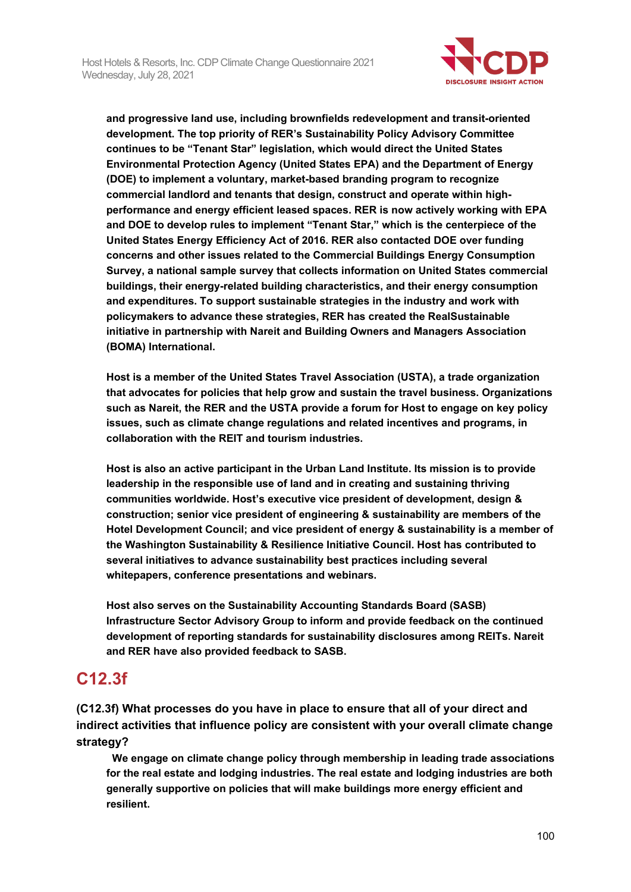

**and progressive land use, including brownfields redevelopment and transit-oriented development. The top priority of RER's Sustainability Policy Advisory Committee continues to be "Tenant Star" legislation, which would direct the United States Environmental Protection Agency (United States EPA) and the Department of Energy (DOE) to implement a voluntary, market-based branding program to recognize commercial landlord and tenants that design, construct and operate within highperformance and energy efficient leased spaces. RER is now actively working with EPA and DOE to develop rules to implement "Tenant Star," which is the centerpiece of the United States Energy Efficiency Act of 2016. RER also contacted DOE over funding concerns and other issues related to the Commercial Buildings Energy Consumption Survey, a national sample survey that collects information on United States commercial buildings, their energy-related building characteristics, and their energy consumption and expenditures. To support sustainable strategies in the industry and work with policymakers to advance these strategies, RER has created the RealSustainable initiative in partnership with Nareit and Building Owners and Managers Association (BOMA) International.**

**Host is a member of the United States Travel Association (USTA), a trade organization that advocates for policies that help grow and sustain the travel business. Organizations such as Nareit, the RER and the USTA provide a forum for Host to engage on key policy issues, such as climate change regulations and related incentives and programs, in collaboration with the REIT and tourism industries.**

**Host is also an active participant in the Urban Land Institute. Its mission is to provide leadership in the responsible use of land and in creating and sustaining thriving communities worldwide. Host's executive vice president of development, design & construction; senior vice president of engineering & sustainability are members of the Hotel Development Council; and vice president of energy & sustainability is a member of the Washington Sustainability & Resilience Initiative Council. Host has contributed to several initiatives to advance sustainability best practices including several whitepapers, conference presentations and webinars.**

**Host also serves on the Sustainability Accounting Standards Board (SASB) Infrastructure Sector Advisory Group to inform and provide feedback on the continued development of reporting standards for sustainability disclosures among REITs. Nareit and RER have also provided feedback to SASB.**

### **C12.3f**

**(C12.3f) What processes do you have in place to ensure that all of your direct and indirect activities that influence policy are consistent with your overall climate change strategy?**

 **We engage on climate change policy through membership in leading trade associations for the real estate and lodging industries. The real estate and lodging industries are both generally supportive on policies that will make buildings more energy efficient and resilient.**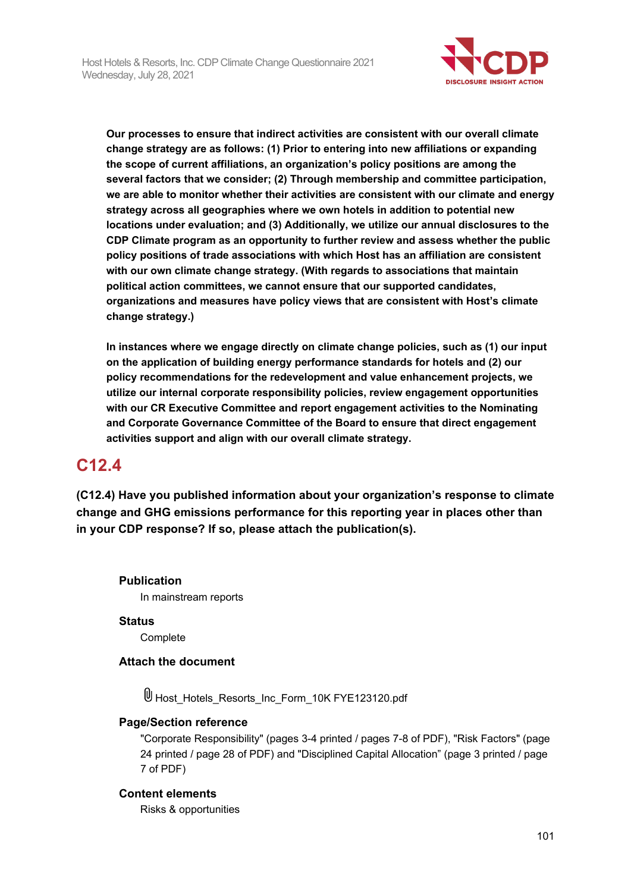

**Our processes to ensure that indirect activities are consistent with our overall climate change strategy are as follows: (1) Prior to entering into new affiliations or expanding the scope of current affiliations, an organization's policy positions are among the several factors that we consider; (2) Through membership and committee participation, we are able to monitor whether their activities are consistent with our climate and energy strategy across all geographies where we own hotels in addition to potential new locations under evaluation; and (3) Additionally, we utilize our annual disclosures to the CDP Climate program as an opportunity to further review and assess whether the public policy positions of trade associations with which Host has an affiliation are consistent with our own climate change strategy. (With regards to associations that maintain political action committees, we cannot ensure that our supported candidates, organizations and measures have policy views that are consistent with Host's climate change strategy.)**

**In instances where we engage directly on climate change policies, such as (1) our input on the application of building energy performance standards for hotels and (2) our policy recommendations for the redevelopment and value enhancement projects, we utilize our internal corporate responsibility policies, review engagement opportunities with our CR Executive Committee and report engagement activities to the Nominating and Corporate Governance Committee of the Board to ensure that direct engagement activities support and align with our overall climate strategy.** 

## **C12.4**

**(C12.4) Have you published information about your organization's response to climate change and GHG emissions performance for this reporting year in places other than in your CDP response? If so, please attach the publication(s).**

**Publication** In mainstream reports

**Status Complete** 

**Attach the document**

Host\_Hotels\_Resorts\_Inc\_Form\_10K FYE123120.pdf

#### **Page/Section reference**

"Corporate Responsibility" (pages 3-4 printed / pages 7-8 of PDF), "Risk Factors" (page 24 printed / page 28 of PDF) and "Disciplined Capital Allocation" (page 3 printed / page 7 of PDF)

#### **Content elements**

Risks & opportunities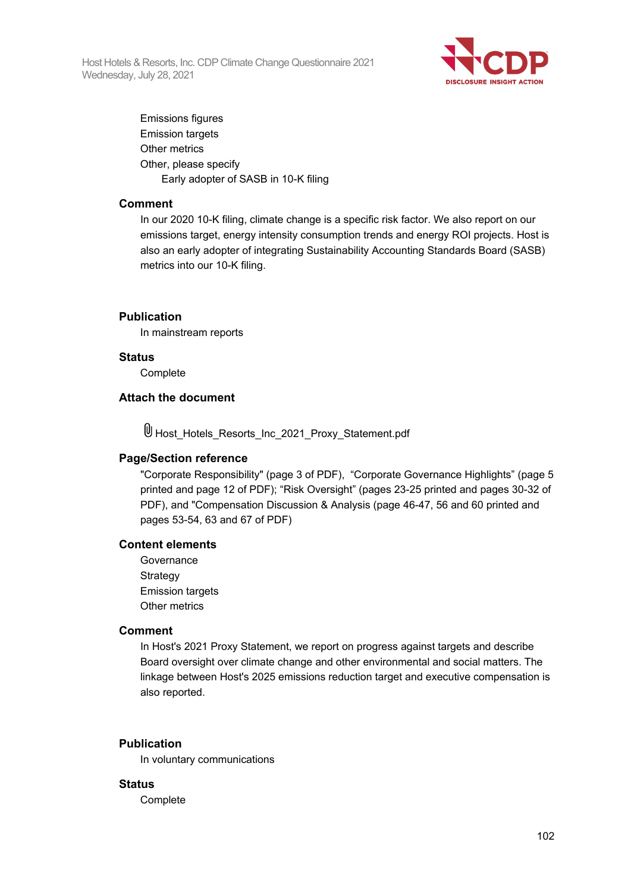Host Hotels & Resorts, Inc. CDP Climate Change Questionnaire 2021 Wednesday, July 28, 2021



Emissions figures Emission targets Other metrics Other, please specify Early adopter of SASB in 10-K filing

#### **Comment**

In our 2020 10-K filing, climate change is a specific risk factor. We also report on our emissions target, energy intensity consumption trends and energy ROI projects. Host is also an early adopter of integrating Sustainability Accounting Standards Board (SASB) metrics into our 10-K filing.

#### **Publication**

In mainstream reports

#### **Status**

**Complete** 

#### **Attach the document**

Host\_Hotels\_Resorts\_Inc\_2021\_Proxy\_Statement.pdf

#### **Page/Section reference**

"Corporate Responsibility" (page 3 of PDF), "Corporate Governance Highlights" (page 5 printed and page 12 of PDF); "Risk Oversight" (pages 23-25 printed and pages 30-32 of PDF), and "Compensation Discussion & Analysis (page 46-47, 56 and 60 printed and pages 53-54, 63 and 67 of PDF)

#### **Content elements**

**Governance Strategy** Emission targets Other metrics

#### **Comment**

In Host's 2021 Proxy Statement, we report on progress against targets and describe Board oversight over climate change and other environmental and social matters. The linkage between Host's 2025 emissions reduction target and executive compensation is also reported.

#### **Publication**

In voluntary communications

#### **Status**

**Complete**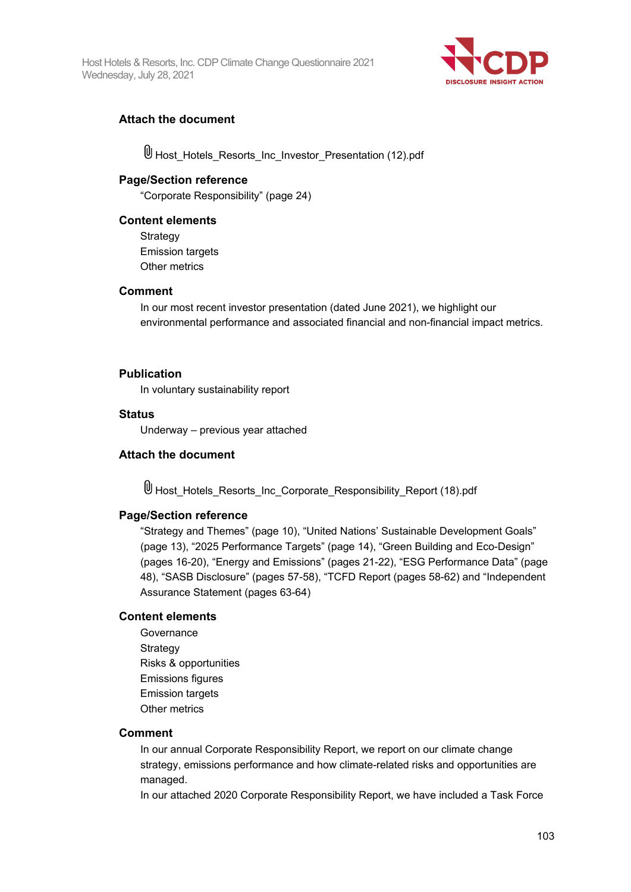Host Hotels & Resorts, Inc. CDP Climate Change Questionnaire 2021 Wednesday, July 28, 2021



#### **Attach the document**

 $\mathbb \Psi$  Host Hotels Resorts Inc Investor Presentation (12).pdf

#### **Page/Section reference**

"Corporate Responsibility" (page 24)

#### **Content elements**

**Strategy** Emission targets Other metrics

#### **Comment**

In our most recent investor presentation (dated June 2021), we highlight our environmental performance and associated financial and non-financial impact metrics.

#### **Publication**

In voluntary sustainability report

#### **Status**

Underway – previous year attached

#### **Attach the document**

Host\_Hotels\_Resorts\_Inc\_Corporate\_Responsibility\_Report (18).pdf

#### **Page/Section reference**

"Strategy and Themes" (page 10), "United Nations' Sustainable Development Goals" (page 13), "2025 Performance Targets" (page 14), "Green Building and Eco-Design" (pages 16-20), "Energy and Emissions" (pages 21-22), "ESG Performance Data" (page 48), "SASB Disclosure" (pages 57-58), "TCFD Report (pages 58-62) and "Independent Assurance Statement (pages 63-64)

#### **Content elements**

**Governance** Strategy Risks & opportunities Emissions figures Emission targets Other metrics

#### **Comment**

In our annual Corporate Responsibility Report, we report on our climate change strategy, emissions performance and how climate-related risks and opportunities are managed.

In our attached 2020 Corporate Responsibility Report, we have included a Task Force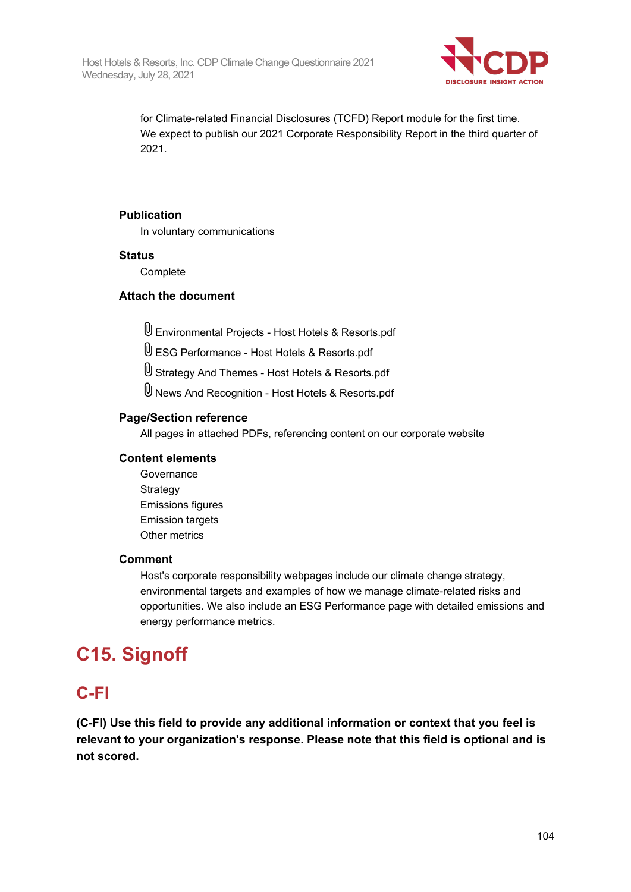

for Climate-related Financial Disclosures (TCFD) Report module for the first time. We expect to publish our 2021 Corporate Responsibility Report in the third quarter of 2021.

#### **Publication**

In voluntary communications

#### **Status**

Complete

#### **Attach the document**

Environmental Projects - Host Hotels & Resorts.pdf

ESG Performance - Host Hotels & Resorts.pdf

Strategy And Themes - Host Hotels & Resorts.pdf

News And Recognition - Host Hotels & Resorts.pdf

#### **Page/Section reference**

All pages in attached PDFs, referencing content on our corporate website

#### **Content elements**

**Governance Strategy** Emissions figures Emission targets Other metrics

#### **Comment**

Host's corporate responsibility webpages include our climate change strategy, environmental targets and examples of how we manage climate-related risks and opportunities. We also include an ESG Performance page with detailed emissions and energy performance metrics.

# **C15. Signoff**

### **C-FI**

**(C-FI) Use this field to provide any additional information or context that you feel is relevant to your organization's response. Please note that this field is optional and is not scored.**